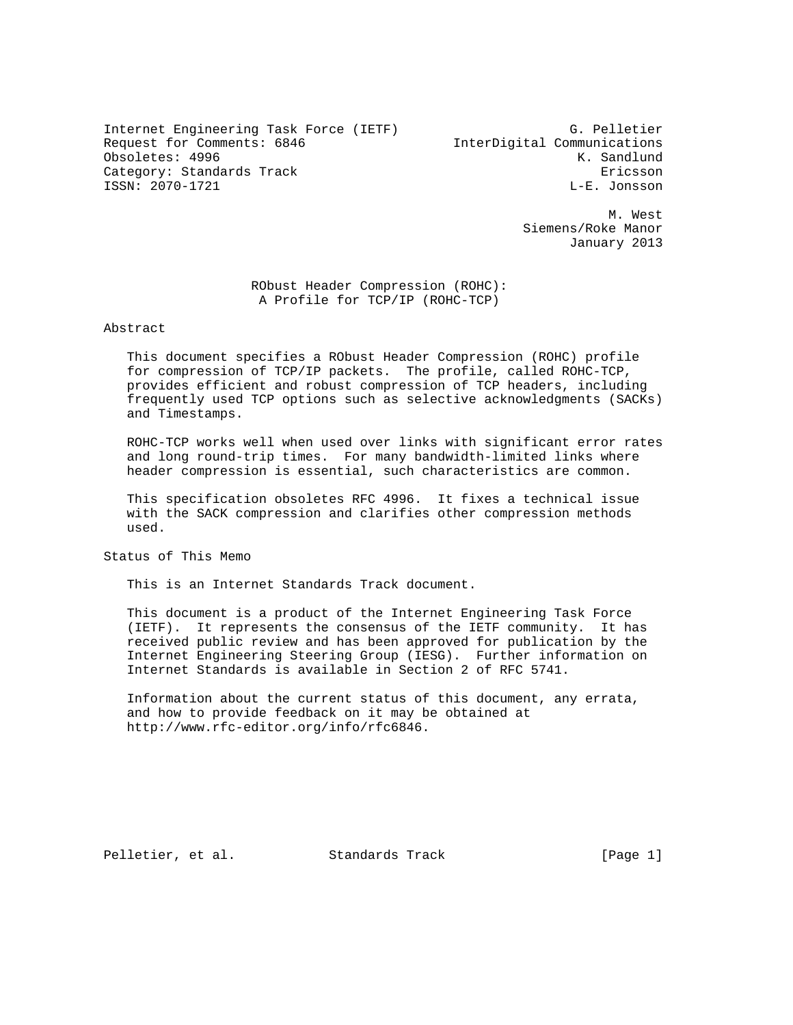Internet Engineering Task Force (IETF) G. Pelletier Request for Comments: 6846 InterDigital Communications Obsoletes: 4996 K. Sandlund Category: Standards Track Ericsson ISSN: 2070-1721

 M. West Siemens/Roke Manor January 2013

> RObust Header Compression (ROHC): A Profile for TCP/IP (ROHC-TCP)

Abstract

 This document specifies a RObust Header Compression (ROHC) profile for compression of TCP/IP packets. The profile, called ROHC-TCP, provides efficient and robust compression of TCP headers, including frequently used TCP options such as selective acknowledgments (SACKs) and Timestamps.

 ROHC-TCP works well when used over links with significant error rates and long round-trip times. For many bandwidth-limited links where header compression is essential, such characteristics are common.

 This specification obsoletes RFC 4996. It fixes a technical issue with the SACK compression and clarifies other compression methods used.

Status of This Memo

This is an Internet Standards Track document.

 This document is a product of the Internet Engineering Task Force (IETF). It represents the consensus of the IETF community. It has received public review and has been approved for publication by the Internet Engineering Steering Group (IESG). Further information on Internet Standards is available in Section 2 of RFC 5741.

 Information about the current status of this document, any errata, and how to provide feedback on it may be obtained at http://www.rfc-editor.org/info/rfc6846.

Pelletier, et al. Standards Track [Page 1]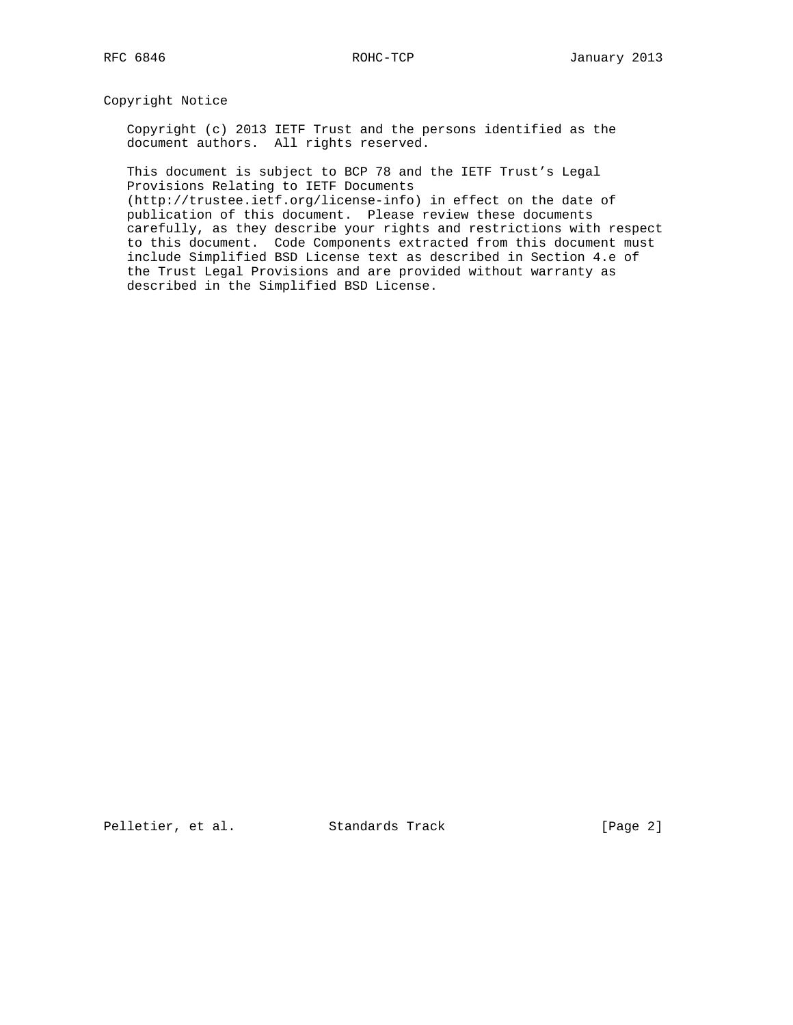Copyright Notice

 Copyright (c) 2013 IETF Trust and the persons identified as the document authors. All rights reserved.

 This document is subject to BCP 78 and the IETF Trust's Legal Provisions Relating to IETF Documents

 (http://trustee.ietf.org/license-info) in effect on the date of publication of this document. Please review these documents carefully, as they describe your rights and restrictions with respect to this document. Code Components extracted from this document must include Simplified BSD License text as described in Section 4.e of the Trust Legal Provisions and are provided without warranty as described in the Simplified BSD License.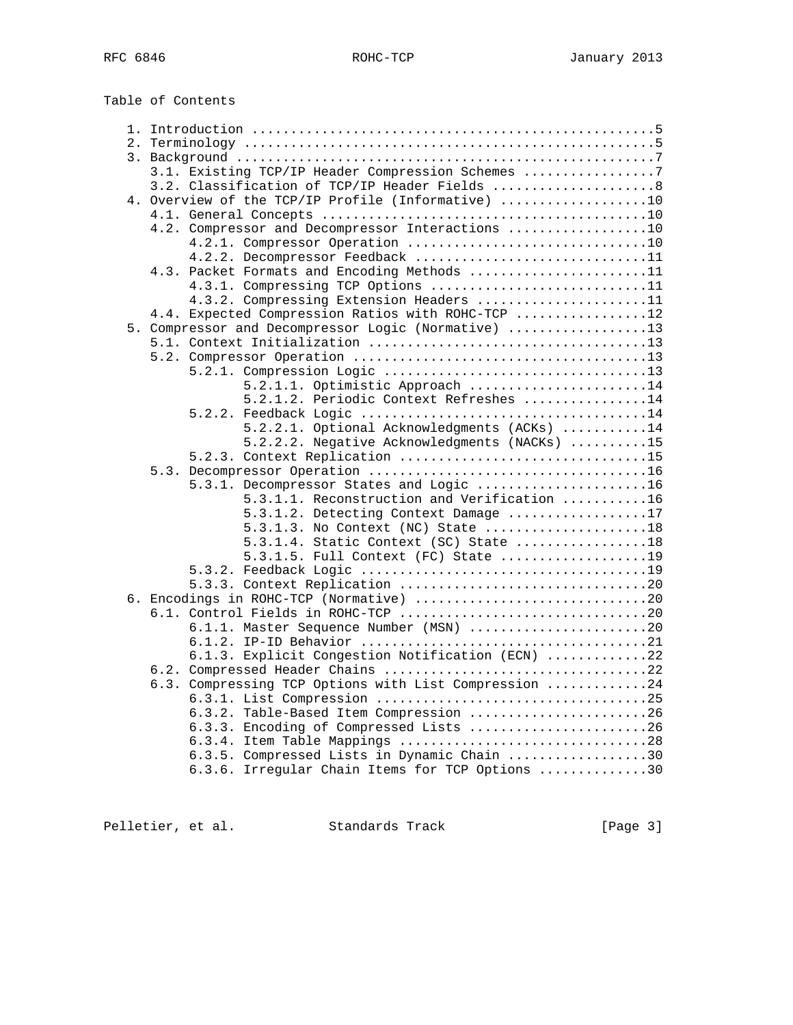| Table of Contents                                     |  |
|-------------------------------------------------------|--|
|                                                       |  |
|                                                       |  |
|                                                       |  |
| 3.1. Existing TCP/IP Header Compression Schemes 7     |  |
| 3.2. Classification of TCP/IP Header Fields 8         |  |
| 4. Overview of the TCP/IP Profile (Informative) 10    |  |
|                                                       |  |
| 4.2. Compressor and Decompressor Interactions 10      |  |
|                                                       |  |
| 4.2.2. Decompressor Feedback 11                       |  |
| 4.3. Packet Formats and Encoding Methods 11           |  |
| 4.3.1. Compressing TCP Options 11                     |  |
| 4.3.2. Compressing Extension Headers 11               |  |
| 4.4. Expected Compression Ratios with ROHC-TCP 12     |  |
| 5. Compressor and Decompressor Logic (Normative) 13   |  |
|                                                       |  |
|                                                       |  |
| 5.2.1.1. Optimistic Approach 14                       |  |
| 5.2.1.2. Periodic Context Refreshes 14                |  |
|                                                       |  |
| 5.2.2.1. Optional Acknowledgments (ACKs) 14           |  |
| 5.2.2.2. Negative Acknowledgments (NACKs) 15          |  |
|                                                       |  |
|                                                       |  |
| 5.3.1. Decompressor States and Logic 16               |  |
| 5.3.1.1. Reconstruction and Verification 16           |  |
| 5.3.1.2. Detecting Context Damage 17                  |  |
| 5.3.1.3. No Context (NC) State 18                     |  |
| 5.3.1.4. Static Context (SC) State 18                 |  |
| 5.3.1.5. Full Context (FC) State 19                   |  |
|                                                       |  |
|                                                       |  |
|                                                       |  |
|                                                       |  |
| 6.1.1. Master Sequence Number (MSN) 20                |  |
|                                                       |  |
| 6.1.3. Explicit Congestion Notification (ECN) 22      |  |
|                                                       |  |
| 6.3. Compressing TCP Options with List Compression 24 |  |
|                                                       |  |
| 6.3.2. Table-Based Item Compression 26                |  |
| 6.3.3. Encoding of Compressed Lists 26                |  |
|                                                       |  |
| 6.3.5. Compressed Lists in Dynamic Chain 30           |  |
| 6.3.6. Irregular Chain Items for TCP Options 30       |  |

Pelletier, et al. Standards Track [Page 3]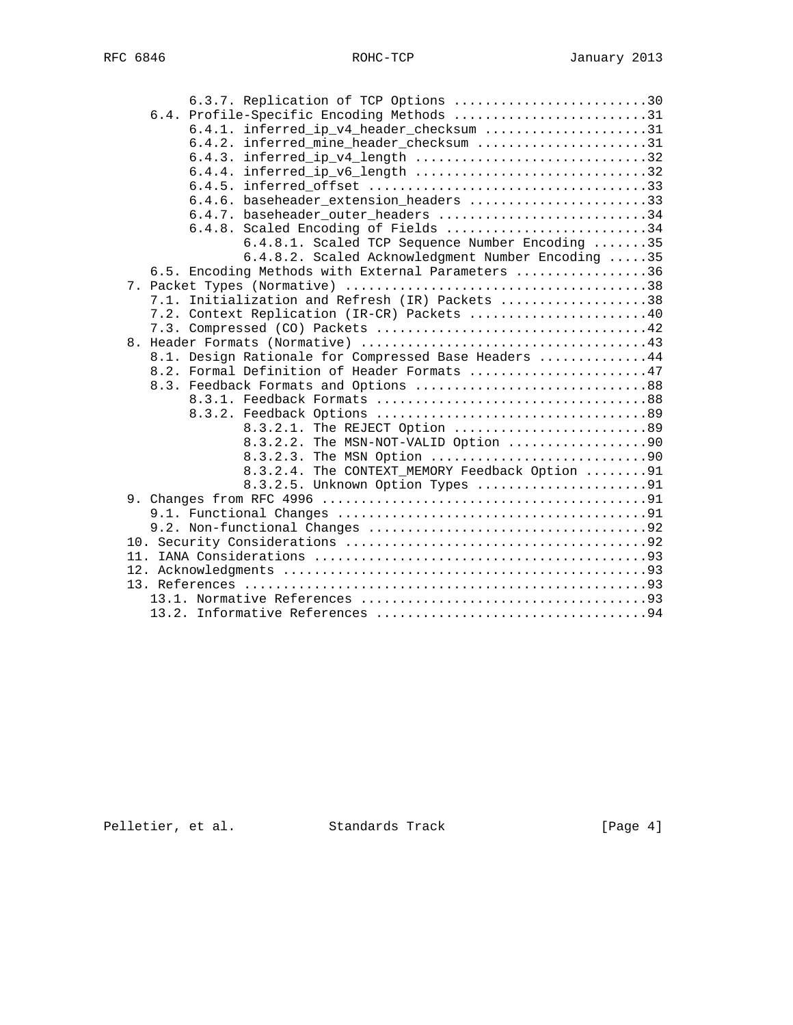|  | 6.3.7. Replication of TCP Options 30                 |  |
|--|------------------------------------------------------|--|
|  | 6.4. Profile-Specific Encoding Methods 31            |  |
|  | 6.4.1. inferred_ip_v4_header_checksum 31             |  |
|  | 6.4.2. inferred_mine_header_checksum 31              |  |
|  | 6.4.3. inferred_ip_v4_length 32                      |  |
|  | 6.4.4. inferred_ip_v6_length 32                      |  |
|  |                                                      |  |
|  | 6.4.6. baseheader_extension_headers 33               |  |
|  | 6.4.7. baseheader_outer_headers 34                   |  |
|  | 6.4.8. Scaled Encoding of Fields 34                  |  |
|  | 6.4.8.1. Scaled TCP Sequence Number Encoding 35      |  |
|  | 6.4.8.2. Scaled Acknowledgment Number Encoding 35    |  |
|  | 6.5. Encoding Methods with External Parameters 36    |  |
|  |                                                      |  |
|  | 7.1. Initialization and Refresh (IR) Packets 38      |  |
|  | 7.2. Context Replication (IR-CR) Packets 40          |  |
|  |                                                      |  |
|  |                                                      |  |
|  | 8.1. Design Rationale for Compressed Base Headers 44 |  |
|  | 8.2. Formal Definition of Header Formats 47          |  |
|  | 8.3. Feedback Formats and Options 88                 |  |
|  |                                                      |  |
|  |                                                      |  |
|  | 8.3.2.1. The REJECT Option 89                        |  |
|  | The MSN-NOT-VALID Option 90<br>8.3.2.2.              |  |
|  | The MSN Option 90<br>8.3.2.3.                        |  |
|  | 8.3.2.4. The CONTEXT_MEMORY Feedback Option 91       |  |
|  | 8.3.2.5. Unknown Option Types 91                     |  |
|  |                                                      |  |
|  |                                                      |  |
|  |                                                      |  |
|  |                                                      |  |
|  |                                                      |  |
|  |                                                      |  |
|  |                                                      |  |
|  |                                                      |  |
|  |                                                      |  |

Pelletier, et al. Standards Track [Page 4]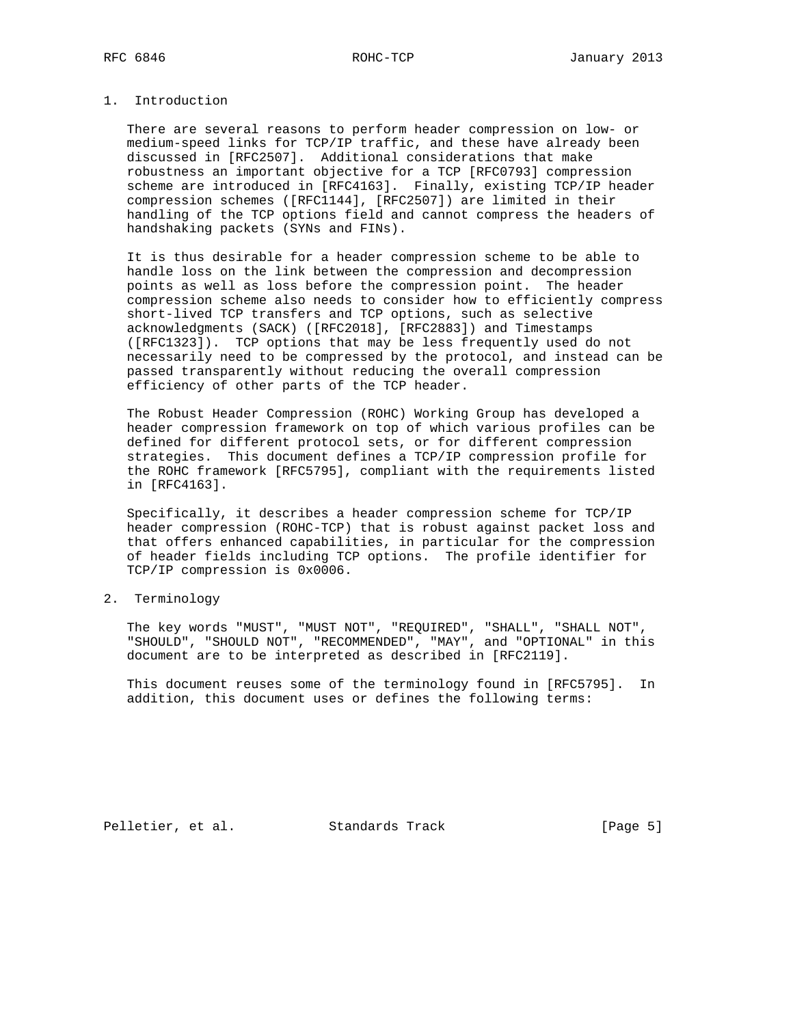# 1. Introduction

 There are several reasons to perform header compression on low- or medium-speed links for TCP/IP traffic, and these have already been discussed in [RFC2507]. Additional considerations that make robustness an important objective for a TCP [RFC0793] compression scheme are introduced in [RFC4163]. Finally, existing TCP/IP header compression schemes ([RFC1144], [RFC2507]) are limited in their handling of the TCP options field and cannot compress the headers of handshaking packets (SYNs and FINs).

 It is thus desirable for a header compression scheme to be able to handle loss on the link between the compression and decompression points as well as loss before the compression point. The header compression scheme also needs to consider how to efficiently compress short-lived TCP transfers and TCP options, such as selective acknowledgments (SACK) ([RFC2018], [RFC2883]) and Timestamps ([RFC1323]). TCP options that may be less frequently used do not necessarily need to be compressed by the protocol, and instead can be passed transparently without reducing the overall compression efficiency of other parts of the TCP header.

 The Robust Header Compression (ROHC) Working Group has developed a header compression framework on top of which various profiles can be defined for different protocol sets, or for different compression strategies. This document defines a TCP/IP compression profile for the ROHC framework [RFC5795], compliant with the requirements listed in [RFC4163].

 Specifically, it describes a header compression scheme for TCP/IP header compression (ROHC-TCP) that is robust against packet loss and that offers enhanced capabilities, in particular for the compression of header fields including TCP options. The profile identifier for TCP/IP compression is 0x0006.

2. Terminology

 The key words "MUST", "MUST NOT", "REQUIRED", "SHALL", "SHALL NOT", "SHOULD", "SHOULD NOT", "RECOMMENDED", "MAY", and "OPTIONAL" in this document are to be interpreted as described in [RFC2119].

 This document reuses some of the terminology found in [RFC5795]. In addition, this document uses or defines the following terms:

Pelletier, et al. Standards Track [Page 5]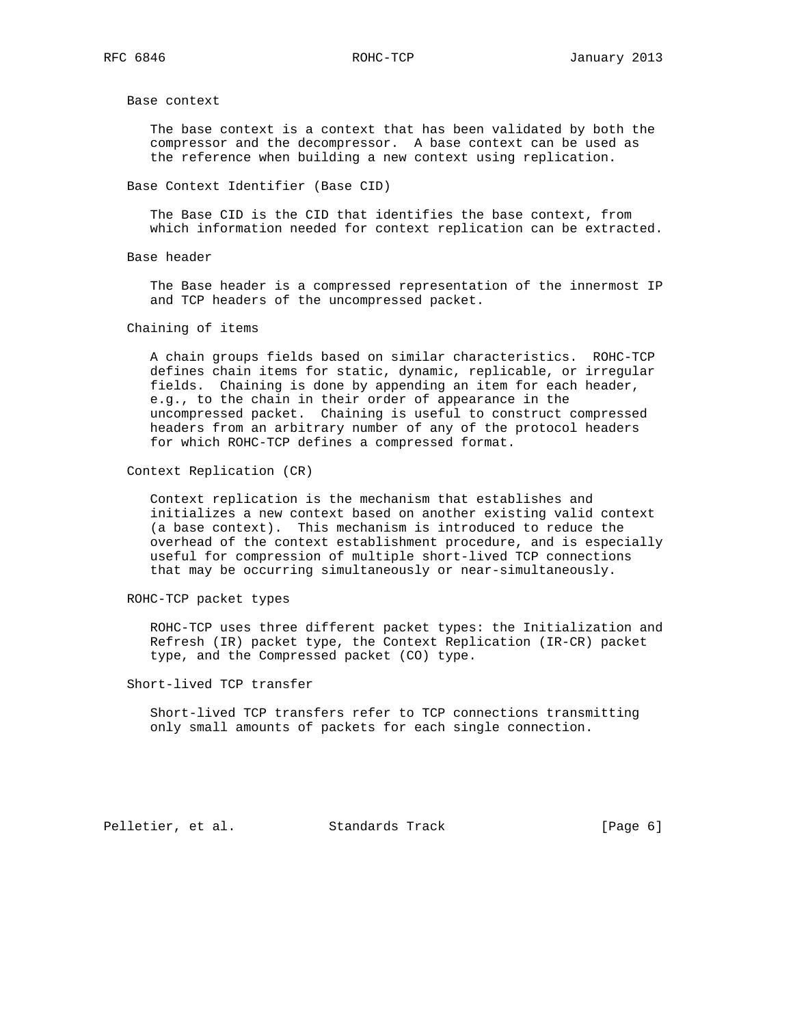Base context

 The base context is a context that has been validated by both the compressor and the decompressor. A base context can be used as the reference when building a new context using replication.

Base Context Identifier (Base CID)

 The Base CID is the CID that identifies the base context, from which information needed for context replication can be extracted.

Base header

 The Base header is a compressed representation of the innermost IP and TCP headers of the uncompressed packet.

Chaining of items

 A chain groups fields based on similar characteristics. ROHC-TCP defines chain items for static, dynamic, replicable, or irregular fields. Chaining is done by appending an item for each header, e.g., to the chain in their order of appearance in the uncompressed packet. Chaining is useful to construct compressed headers from an arbitrary number of any of the protocol headers for which ROHC-TCP defines a compressed format.

Context Replication (CR)

 Context replication is the mechanism that establishes and initializes a new context based on another existing valid context (a base context). This mechanism is introduced to reduce the overhead of the context establishment procedure, and is especially useful for compression of multiple short-lived TCP connections that may be occurring simultaneously or near-simultaneously.

ROHC-TCP packet types

 ROHC-TCP uses three different packet types: the Initialization and Refresh (IR) packet type, the Context Replication (IR-CR) packet type, and the Compressed packet (CO) type.

Short-lived TCP transfer

 Short-lived TCP transfers refer to TCP connections transmitting only small amounts of packets for each single connection.

Pelletier, et al. Standards Track [Page 6]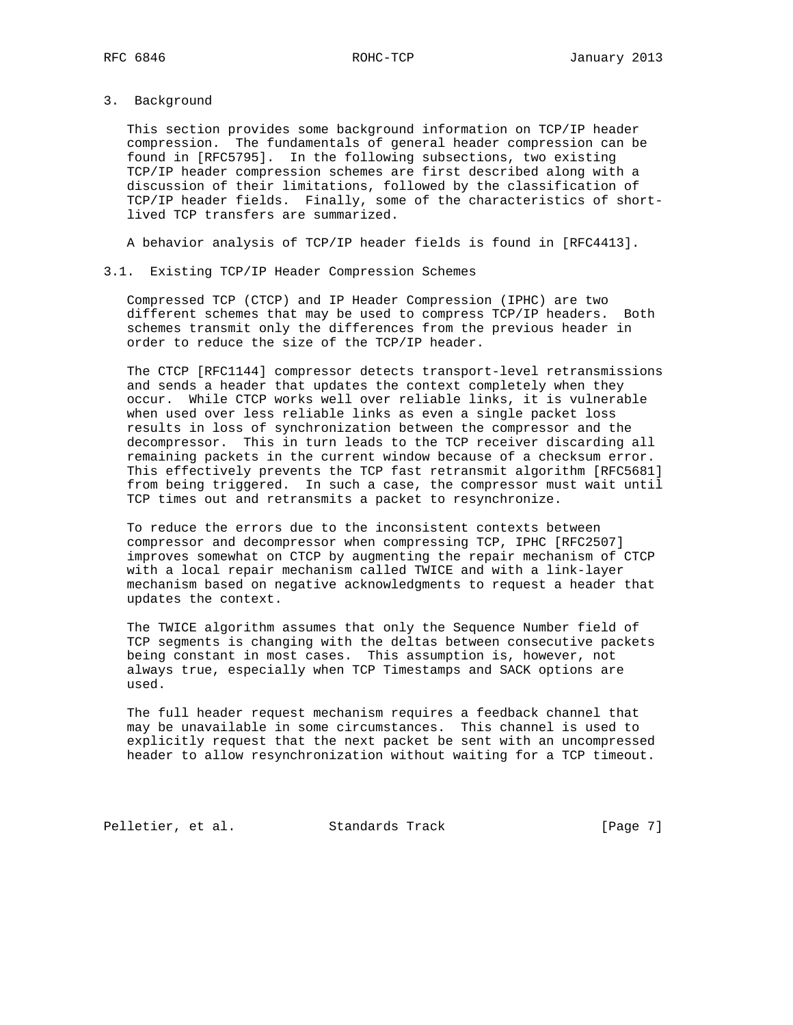3. Background

 This section provides some background information on TCP/IP header compression. The fundamentals of general header compression can be found in [RFC5795]. In the following subsections, two existing TCP/IP header compression schemes are first described along with a discussion of their limitations, followed by the classification of TCP/IP header fields. Finally, some of the characteristics of short lived TCP transfers are summarized.

A behavior analysis of TCP/IP header fields is found in [RFC4413].

#### 3.1. Existing TCP/IP Header Compression Schemes

 Compressed TCP (CTCP) and IP Header Compression (IPHC) are two different schemes that may be used to compress TCP/IP headers. Both schemes transmit only the differences from the previous header in order to reduce the size of the TCP/IP header.

 The CTCP [RFC1144] compressor detects transport-level retransmissions and sends a header that updates the context completely when they occur. While CTCP works well over reliable links, it is vulnerable when used over less reliable links as even a single packet loss results in loss of synchronization between the compressor and the decompressor. This in turn leads to the TCP receiver discarding all remaining packets in the current window because of a checksum error. This effectively prevents the TCP fast retransmit algorithm [RFC5681] from being triggered. In such a case, the compressor must wait until TCP times out and retransmits a packet to resynchronize.

 To reduce the errors due to the inconsistent contexts between compressor and decompressor when compressing TCP, IPHC [RFC2507] improves somewhat on CTCP by augmenting the repair mechanism of CTCP with a local repair mechanism called TWICE and with a link-layer mechanism based on negative acknowledgments to request a header that updates the context.

 The TWICE algorithm assumes that only the Sequence Number field of TCP segments is changing with the deltas between consecutive packets being constant in most cases. This assumption is, however, not always true, especially when TCP Timestamps and SACK options are used.

 The full header request mechanism requires a feedback channel that may be unavailable in some circumstances. This channel is used to explicitly request that the next packet be sent with an uncompressed header to allow resynchronization without waiting for a TCP timeout.

Pelletier, et al. Standards Track [Page 7]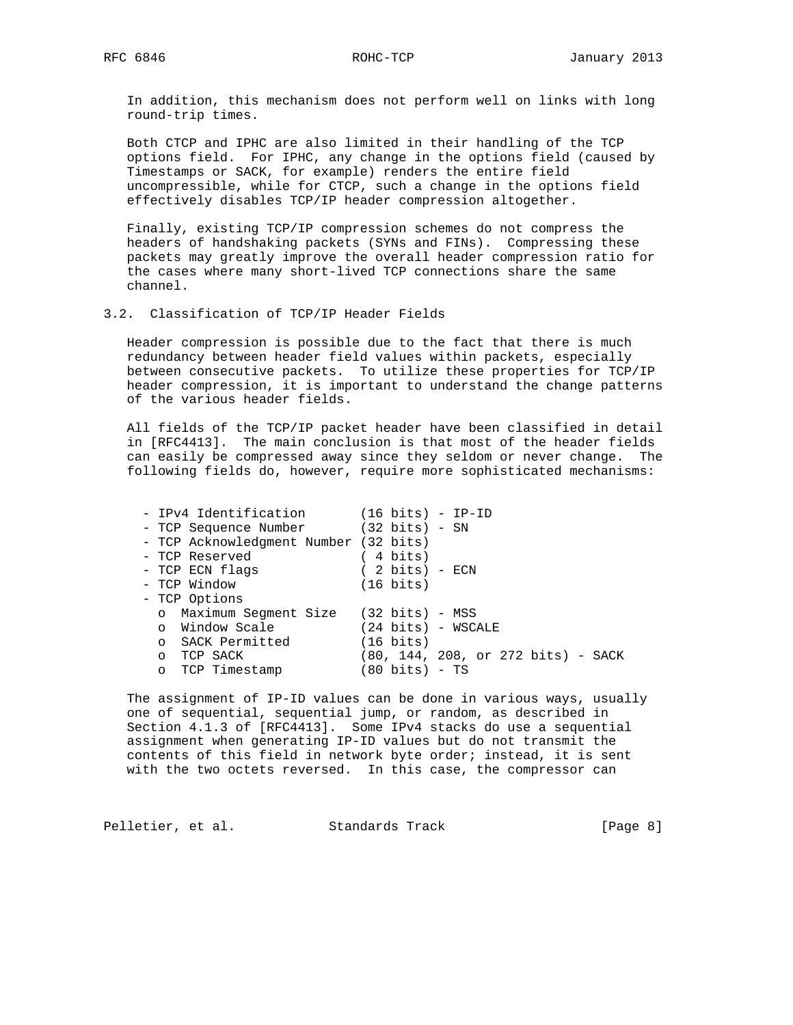In addition, this mechanism does not perform well on links with long round-trip times.

 Both CTCP and IPHC are also limited in their handling of the TCP options field. For IPHC, any change in the options field (caused by Timestamps or SACK, for example) renders the entire field uncompressible, while for CTCP, such a change in the options field effectively disables TCP/IP header compression altogether.

 Finally, existing TCP/IP compression schemes do not compress the headers of handshaking packets (SYNs and FINs). Compressing these packets may greatly improve the overall header compression ratio for the cases where many short-lived TCP connections share the same channel.

#### 3.2. Classification of TCP/IP Header Fields

 Header compression is possible due to the fact that there is much redundancy between header field values within packets, especially between consecutive packets. To utilize these properties for TCP/IP header compression, it is important to understand the change patterns of the various header fields.

 All fields of the TCP/IP packet header have been classified in detail in [RFC4413]. The main conclusion is that most of the header fields can easily be compressed away since they seldom or never change. The following fields do, however, require more sophisticated mechanisms:

| - IPv4 Identification (16 bits) - IP-ID |                                    |
|-----------------------------------------|------------------------------------|
| - TCP Sequence Number (32 bits) - SN    |                                    |
| - TCP Acknowledgment Number (32 bits)   |                                    |
| - TCP Reserved                          | $(4 \text{ bits})$                 |
| - TCP ECN flags                         | $(2 \text{ bits})$ - ECN           |
| - TCP Window                            | (16 bits)                          |
| - TCP Options                           |                                    |
| o Maximum Segment Size (32 bits) - MSS  |                                    |
| o Window Scale <b>Scale</b>             | $(24 \text{ bits}) - WSCALE$       |
| o SACK Permitted                        | $(16 \text{ bits})$                |
| o TCP SACK                              | (80, 144, 208, or 272 bits) - SACK |
| o TCP Timestamp                         | $(80 \text{ bits}) - TS$           |

 The assignment of IP-ID values can be done in various ways, usually one of sequential, sequential jump, or random, as described in Section 4.1.3 of [RFC4413]. Some IPv4 stacks do use a sequential assignment when generating IP-ID values but do not transmit the contents of this field in network byte order; instead, it is sent with the two octets reversed. In this case, the compressor can

Pelletier, et al. Standards Track [Page 8]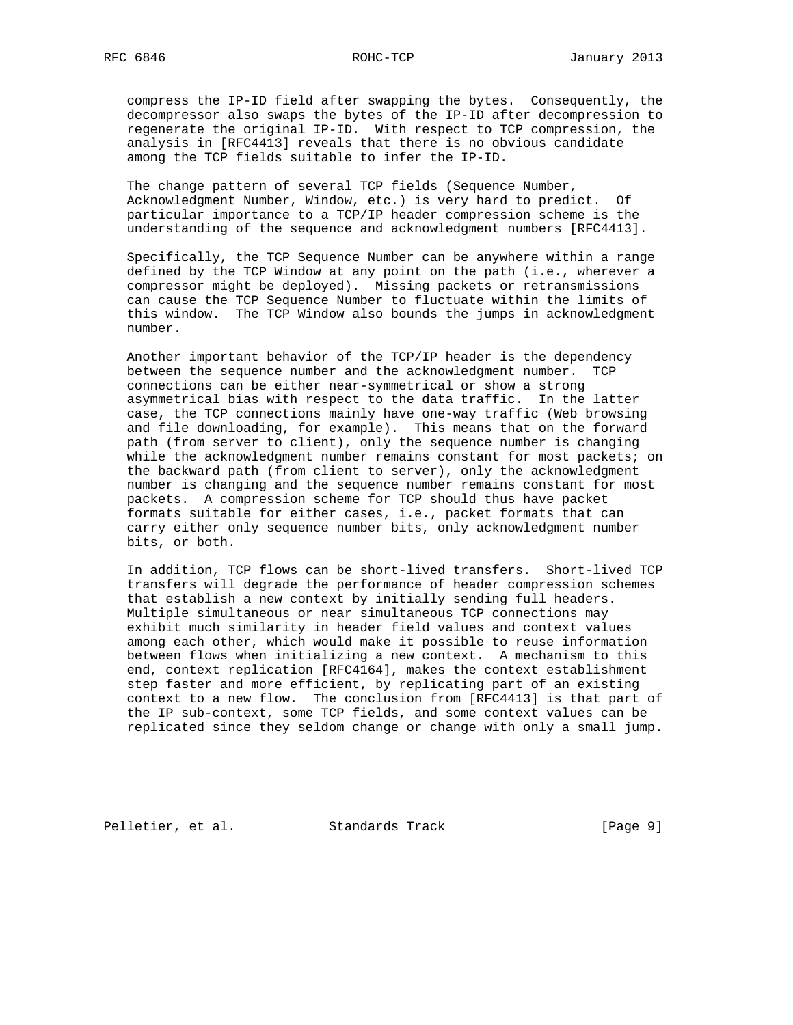compress the IP-ID field after swapping the bytes. Consequently, the decompressor also swaps the bytes of the IP-ID after decompression to regenerate the original IP-ID. With respect to TCP compression, the analysis in [RFC4413] reveals that there is no obvious candidate among the TCP fields suitable to infer the IP-ID.

 The change pattern of several TCP fields (Sequence Number, Acknowledgment Number, Window, etc.) is very hard to predict. Of particular importance to a TCP/IP header compression scheme is the understanding of the sequence and acknowledgment numbers [RFC4413].

 Specifically, the TCP Sequence Number can be anywhere within a range defined by the TCP Window at any point on the path (i.e., wherever a compressor might be deployed). Missing packets or retransmissions can cause the TCP Sequence Number to fluctuate within the limits of this window. The TCP Window also bounds the jumps in acknowledgment number.

 Another important behavior of the TCP/IP header is the dependency between the sequence number and the acknowledgment number. TCP connections can be either near-symmetrical or show a strong asymmetrical bias with respect to the data traffic. In the latter case, the TCP connections mainly have one-way traffic (Web browsing and file downloading, for example). This means that on the forward path (from server to client), only the sequence number is changing while the acknowledgment number remains constant for most packets; on the backward path (from client to server), only the acknowledgment number is changing and the sequence number remains constant for most packets. A compression scheme for TCP should thus have packet formats suitable for either cases, i.e., packet formats that can carry either only sequence number bits, only acknowledgment number bits, or both.

 In addition, TCP flows can be short-lived transfers. Short-lived TCP transfers will degrade the performance of header compression schemes that establish a new context by initially sending full headers. Multiple simultaneous or near simultaneous TCP connections may exhibit much similarity in header field values and context values among each other, which would make it possible to reuse information between flows when initializing a new context. A mechanism to this end, context replication [RFC4164], makes the context establishment step faster and more efficient, by replicating part of an existing context to a new flow. The conclusion from [RFC4413] is that part of the IP sub-context, some TCP fields, and some context values can be replicated since they seldom change or change with only a small jump.

Pelletier, et al. Standards Track [Page 9]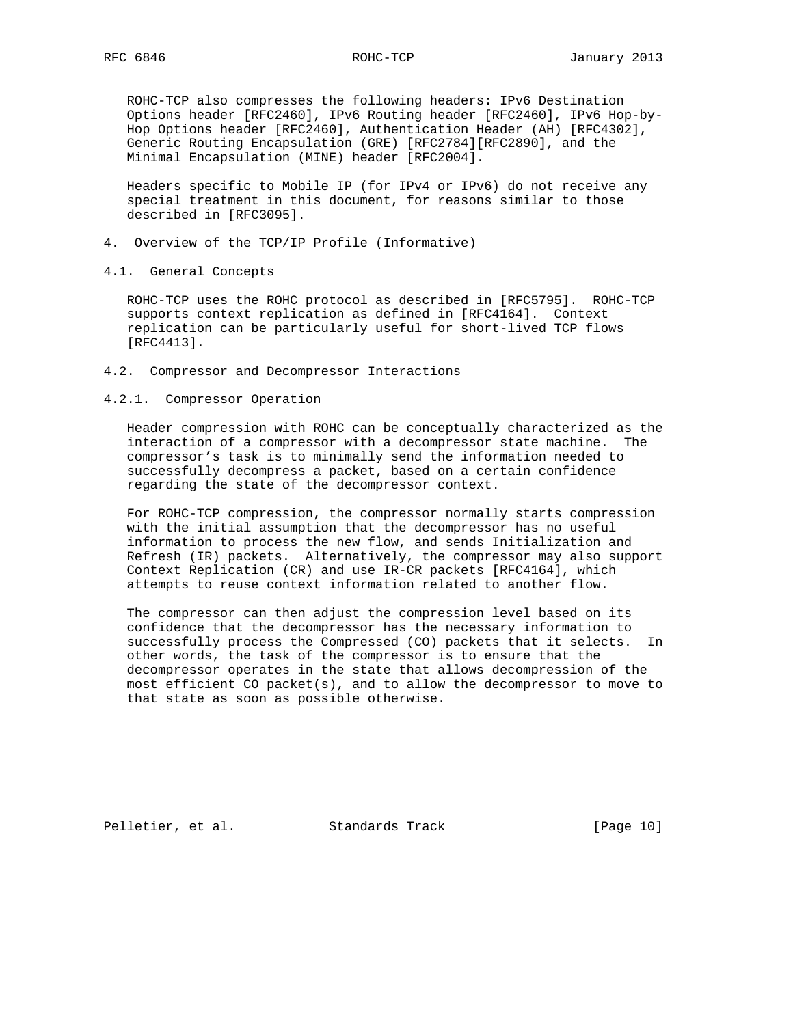ROHC-TCP also compresses the following headers: IPv6 Destination Options header [RFC2460], IPv6 Routing header [RFC2460], IPv6 Hop-by- Hop Options header [RFC2460], Authentication Header (AH) [RFC4302], Generic Routing Encapsulation (GRE) [RFC2784][RFC2890], and the Minimal Encapsulation (MINE) header [RFC2004].

 Headers specific to Mobile IP (for IPv4 or IPv6) do not receive any special treatment in this document, for reasons similar to those described in [RFC3095].

- 4. Overview of the TCP/IP Profile (Informative)
- 4.1. General Concepts

 ROHC-TCP uses the ROHC protocol as described in [RFC5795]. ROHC-TCP supports context replication as defined in [RFC4164]. Context replication can be particularly useful for short-lived TCP flows [RFC4413].

- 4.2. Compressor and Decompressor Interactions
- 4.2.1. Compressor Operation

 Header compression with ROHC can be conceptually characterized as the interaction of a compressor with a decompressor state machine. The compressor's task is to minimally send the information needed to successfully decompress a packet, based on a certain confidence regarding the state of the decompressor context.

 For ROHC-TCP compression, the compressor normally starts compression with the initial assumption that the decompressor has no useful information to process the new flow, and sends Initialization and Refresh (IR) packets. Alternatively, the compressor may also support Context Replication (CR) and use IR-CR packets [RFC4164], which attempts to reuse context information related to another flow.

 The compressor can then adjust the compression level based on its confidence that the decompressor has the necessary information to successfully process the Compressed (CO) packets that it selects. In other words, the task of the compressor is to ensure that the decompressor operates in the state that allows decompression of the most efficient CO packet(s), and to allow the decompressor to move to that state as soon as possible otherwise.

Pelletier, et al. Standards Track [Page 10]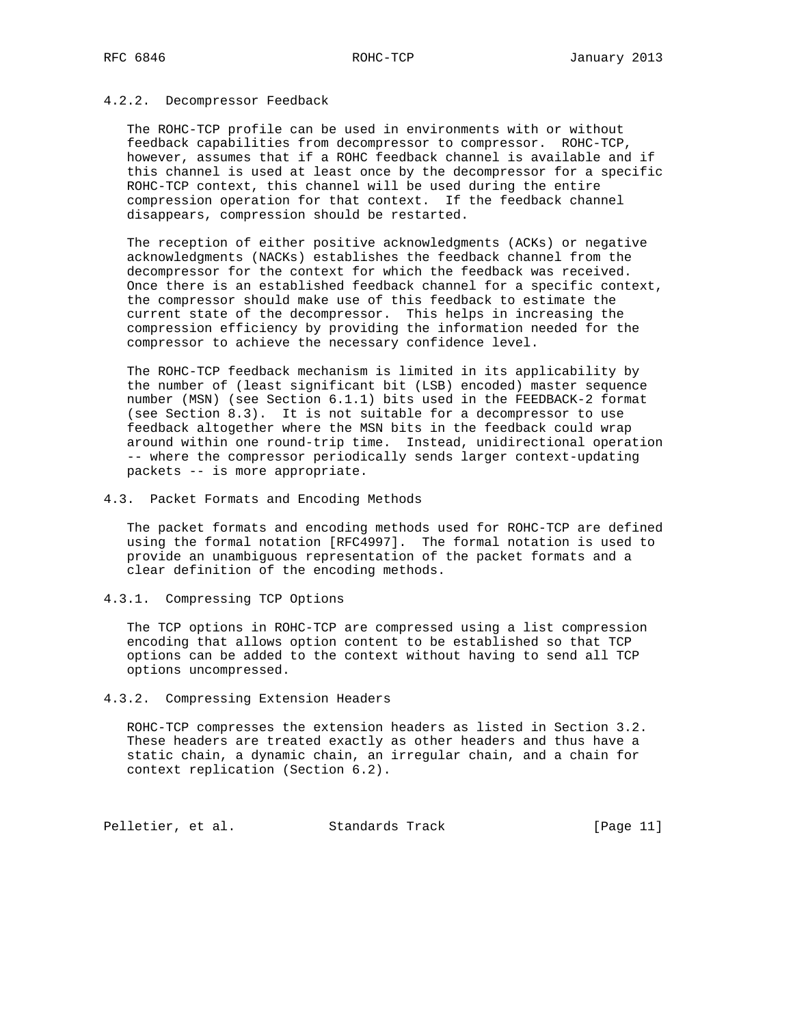### 4.2.2. Decompressor Feedback

 The ROHC-TCP profile can be used in environments with or without feedback capabilities from decompressor to compressor. ROHC-TCP, however, assumes that if a ROHC feedback channel is available and if this channel is used at least once by the decompressor for a specific ROHC-TCP context, this channel will be used during the entire compression operation for that context. If the feedback channel disappears, compression should be restarted.

 The reception of either positive acknowledgments (ACKs) or negative acknowledgments (NACKs) establishes the feedback channel from the decompressor for the context for which the feedback was received. Once there is an established feedback channel for a specific context, the compressor should make use of this feedback to estimate the current state of the decompressor. This helps in increasing the compression efficiency by providing the information needed for the compressor to achieve the necessary confidence level.

 The ROHC-TCP feedback mechanism is limited in its applicability by the number of (least significant bit (LSB) encoded) master sequence number (MSN) (see Section 6.1.1) bits used in the FEEDBACK-2 format (see Section 8.3). It is not suitable for a decompressor to use feedback altogether where the MSN bits in the feedback could wrap around within one round-trip time. Instead, unidirectional operation -- where the compressor periodically sends larger context-updating packets -- is more appropriate.

4.3. Packet Formats and Encoding Methods

 The packet formats and encoding methods used for ROHC-TCP are defined using the formal notation [RFC4997]. The formal notation is used to provide an unambiguous representation of the packet formats and a clear definition of the encoding methods.

4.3.1. Compressing TCP Options

 The TCP options in ROHC-TCP are compressed using a list compression encoding that allows option content to be established so that TCP options can be added to the context without having to send all TCP options uncompressed.

#### 4.3.2. Compressing Extension Headers

 ROHC-TCP compresses the extension headers as listed in Section 3.2. These headers are treated exactly as other headers and thus have a static chain, a dynamic chain, an irregular chain, and a chain for context replication (Section 6.2).

Pelletier, et al. Standards Track [Page 11]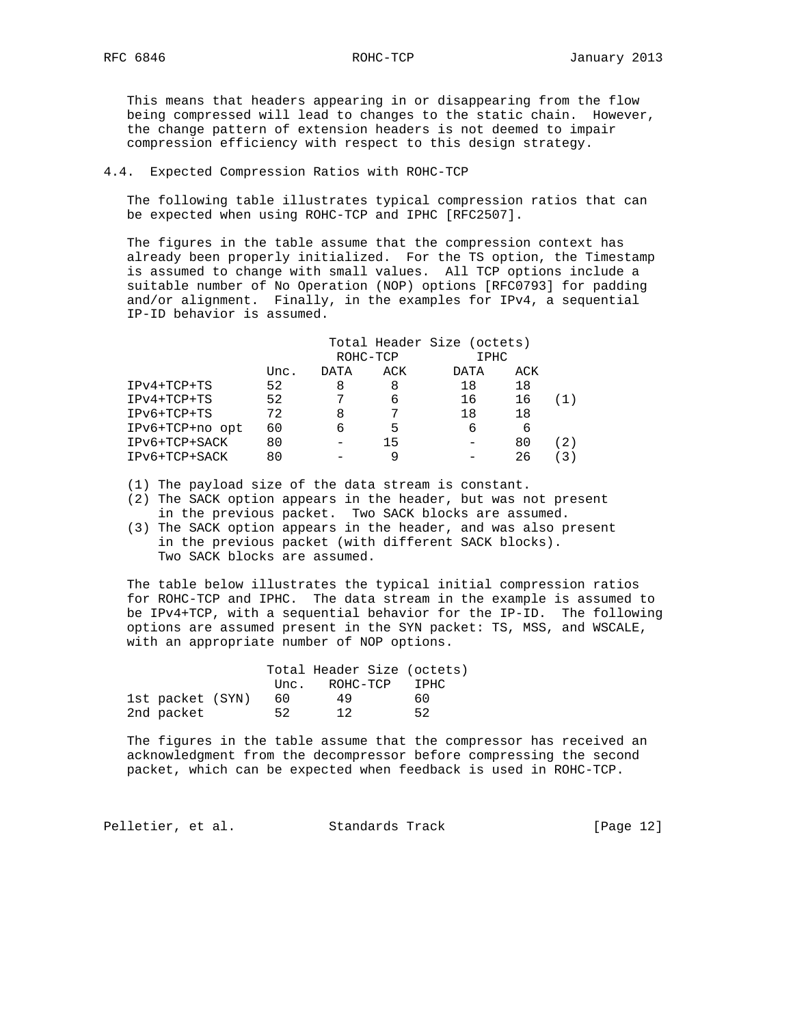This means that headers appearing in or disappearing from the flow being compressed will lead to changes to the static chain. However, the change pattern of extension headers is not deemed to impair compression efficiency with respect to this design strategy.

# 4.4. Expected Compression Ratios with ROHC-TCP

 The following table illustrates typical compression ratios that can be expected when using ROHC-TCP and IPHC [RFC2507].

 The figures in the table assume that the compression context has already been properly initialized. For the TS option, the Timestamp is assumed to change with small values. All TCP options include a suitable number of No Operation (NOP) options [RFC0793] for padding and/or alignment. Finally, in the examples for IPv4, a sequential IP-ID behavior is assumed.

|                 |      |      |          | Total Header Size (octets) |     |  |
|-----------------|------|------|----------|----------------------------|-----|--|
|                 |      |      | ROHC-TCP | IPHC                       |     |  |
|                 | Unc. | DATA | ACK      | DATA                       | ACK |  |
| $IPV4+TCP+TS$   | 52   | 8    | 8        | 18                         | 18  |  |
| $IPv4+TCP+TS$   | 52   |      | 6        | 16                         | 16  |  |
| IPv6+TCP+TS     | 72   | 8    |          | 18                         | 18  |  |
| IPv6+TCP+no opt | 60   | 6    | 5        | Б                          | 6   |  |
| IPv6+TCP+SACK   | 80   |      | 15       |                            | 80  |  |
| IPv6+TCP+SACK   | 80   |      |          |                            | 26  |  |

(1) The payload size of the data stream is constant.

- (2) The SACK option appears in the header, but was not present in the previous packet. Two SACK blocks are assumed.
- (3) The SACK option appears in the header, and was also present in the previous packet (with different SACK blocks). Two SACK blocks are assumed.

 The table below illustrates the typical initial compression ratios for ROHC-TCP and IPHC. The data stream in the example is assumed to be IPv4+TCP, with a sequential behavior for the IP-ID. The following options are assumed present in the SYN packet: TS, MSS, and WSCALE, with an appropriate number of NOP options.

|                  |      | Total Header Size (octets) |       |  |
|------------------|------|----------------------------|-------|--|
|                  | Unc. | ROHC-TCP                   | T PHC |  |
| 1st packet (SYN) | 60.  | 49                         | 60    |  |
| 2nd packet       | 52   | 12                         | 52    |  |

 The figures in the table assume that the compressor has received an acknowledgment from the decompressor before compressing the second packet, which can be expected when feedback is used in ROHC-TCP.

Pelletier, et al. Standards Track [Page 12]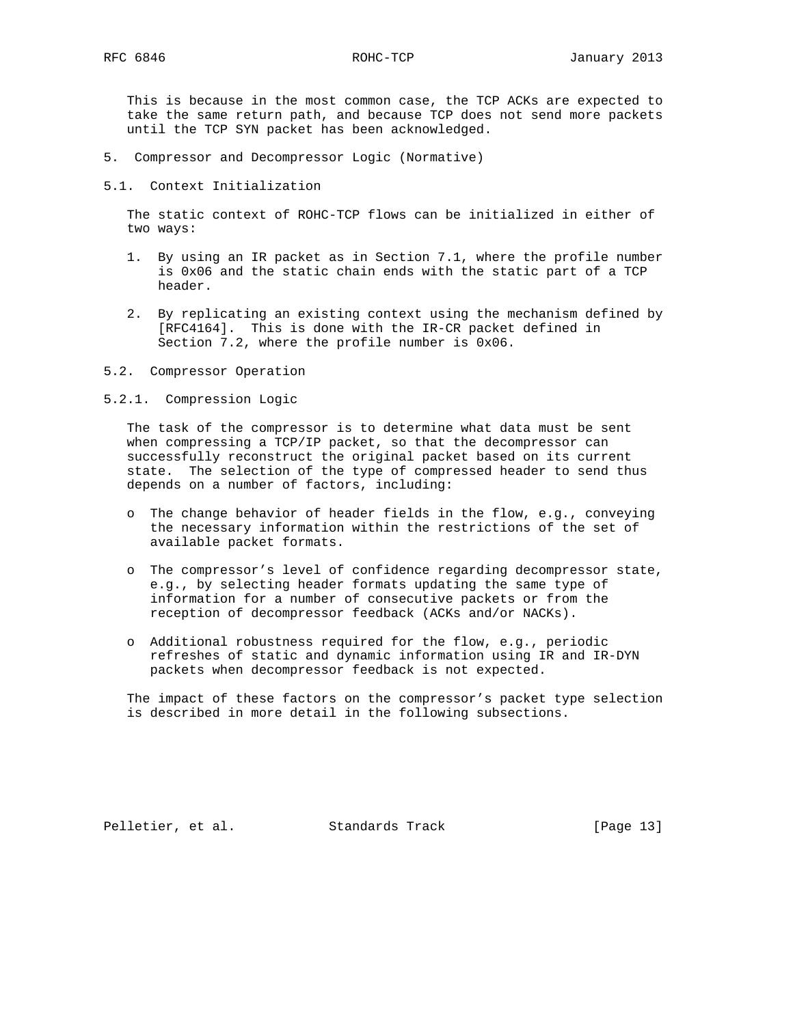This is because in the most common case, the TCP ACKs are expected to take the same return path, and because TCP does not send more packets until the TCP SYN packet has been acknowledged.

- 5. Compressor and Decompressor Logic (Normative)
- 5.1. Context Initialization

 The static context of ROHC-TCP flows can be initialized in either of two ways:

- 1. By using an IR packet as in Section 7.1, where the profile number is 0x06 and the static chain ends with the static part of a TCP header.
- 2. By replicating an existing context using the mechanism defined by [RFC4164]. This is done with the IR-CR packet defined in Section 7.2, where the profile number is 0x06.
- 5.2. Compressor Operation
- 5.2.1. Compression Logic

 The task of the compressor is to determine what data must be sent when compressing a TCP/IP packet, so that the decompressor can successfully reconstruct the original packet based on its current state. The selection of the type of compressed header to send thus depends on a number of factors, including:

- o The change behavior of header fields in the flow, e.g., conveying the necessary information within the restrictions of the set of available packet formats.
- o The compressor's level of confidence regarding decompressor state, e.g., by selecting header formats updating the same type of information for a number of consecutive packets or from the reception of decompressor feedback (ACKs and/or NACKs).
- o Additional robustness required for the flow, e.g., periodic refreshes of static and dynamic information using IR and IR-DYN packets when decompressor feedback is not expected.

 The impact of these factors on the compressor's packet type selection is described in more detail in the following subsections.

Pelletier, et al. Standards Track [Page 13]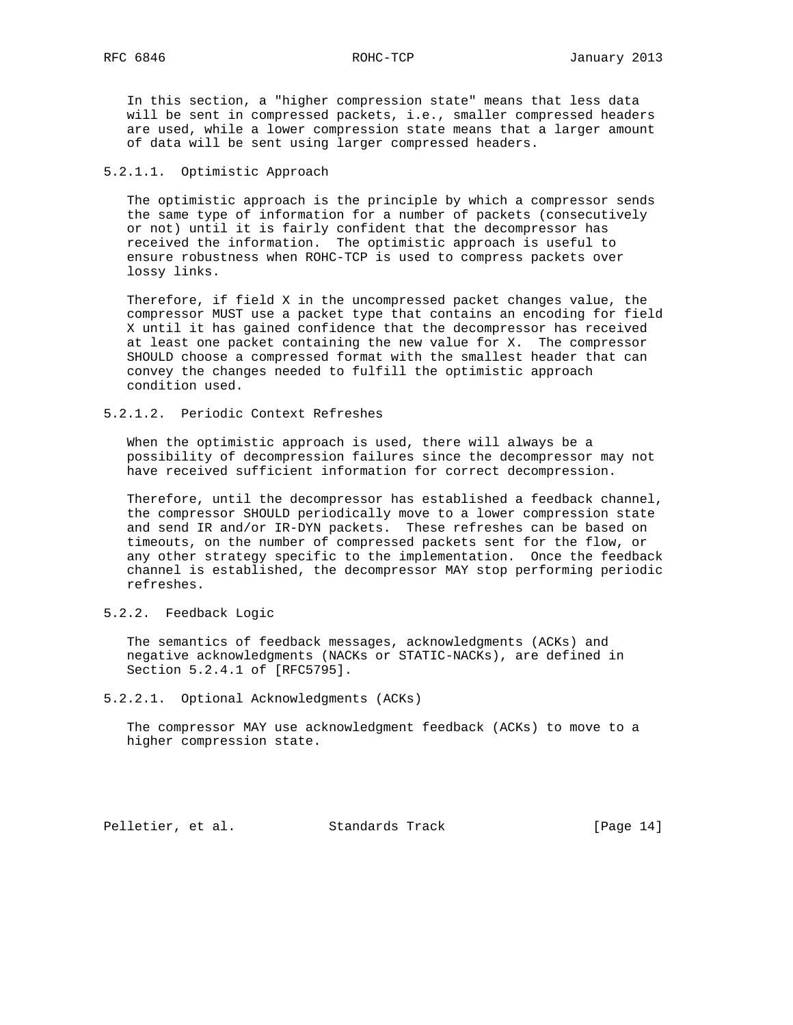In this section, a "higher compression state" means that less data will be sent in compressed packets, i.e., smaller compressed headers are used, while a lower compression state means that a larger amount of data will be sent using larger compressed headers.

# 5.2.1.1. Optimistic Approach

 The optimistic approach is the principle by which a compressor sends the same type of information for a number of packets (consecutively or not) until it is fairly confident that the decompressor has received the information. The optimistic approach is useful to ensure robustness when ROHC-TCP is used to compress packets over lossy links.

 Therefore, if field X in the uncompressed packet changes value, the compressor MUST use a packet type that contains an encoding for field X until it has gained confidence that the decompressor has received at least one packet containing the new value for X. The compressor SHOULD choose a compressed format with the smallest header that can convey the changes needed to fulfill the optimistic approach condition used.

# 5.2.1.2. Periodic Context Refreshes

 When the optimistic approach is used, there will always be a possibility of decompression failures since the decompressor may not have received sufficient information for correct decompression.

 Therefore, until the decompressor has established a feedback channel, the compressor SHOULD periodically move to a lower compression state and send IR and/or IR-DYN packets. These refreshes can be based on timeouts, on the number of compressed packets sent for the flow, or any other strategy specific to the implementation. Once the feedback channel is established, the decompressor MAY stop performing periodic refreshes.

# 5.2.2. Feedback Logic

 The semantics of feedback messages, acknowledgments (ACKs) and negative acknowledgments (NACKs or STATIC-NACKs), are defined in Section 5.2.4.1 of [RFC5795].

## 5.2.2.1. Optional Acknowledgments (ACKs)

 The compressor MAY use acknowledgment feedback (ACKs) to move to a higher compression state.

Pelletier, et al. Standards Track [Page 14]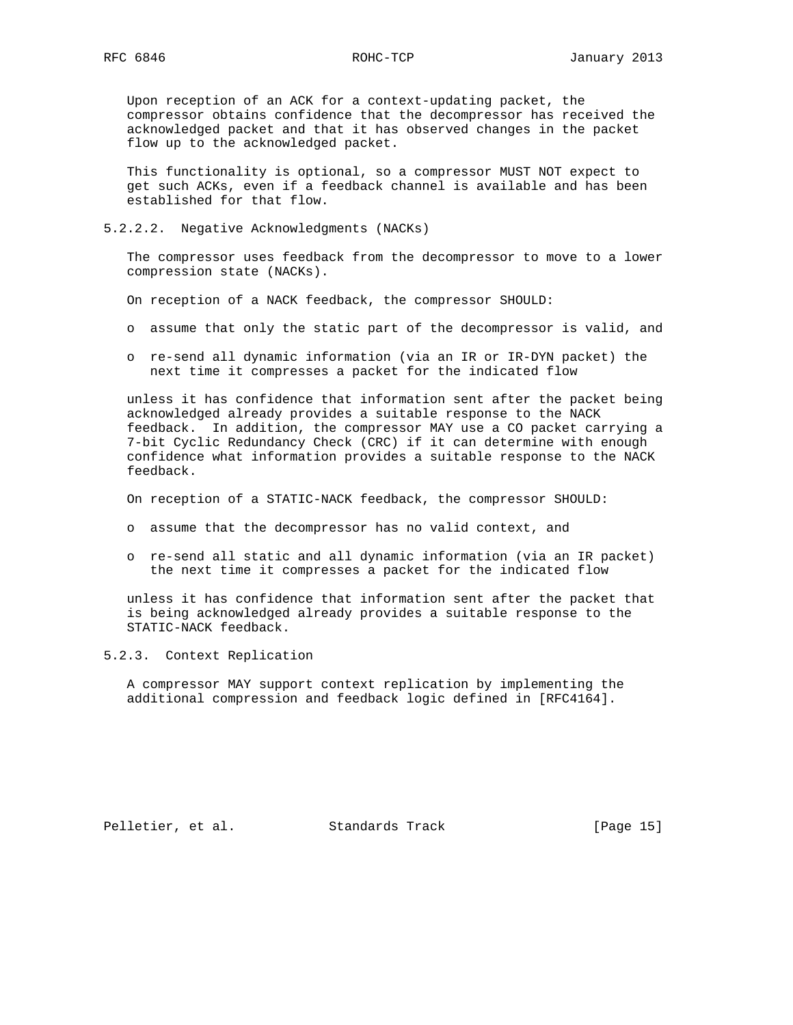Upon reception of an ACK for a context-updating packet, the compressor obtains confidence that the decompressor has received the acknowledged packet and that it has observed changes in the packet flow up to the acknowledged packet.

 This functionality is optional, so a compressor MUST NOT expect to get such ACKs, even if a feedback channel is available and has been established for that flow.

5.2.2.2. Negative Acknowledgments (NACKs)

 The compressor uses feedback from the decompressor to move to a lower compression state (NACKs).

- On reception of a NACK feedback, the compressor SHOULD:
- o assume that only the static part of the decompressor is valid, and
- o re-send all dynamic information (via an IR or IR-DYN packet) the next time it compresses a packet for the indicated flow

 unless it has confidence that information sent after the packet being acknowledged already provides a suitable response to the NACK feedback. In addition, the compressor MAY use a CO packet carrying a 7-bit Cyclic Redundancy Check (CRC) if it can determine with enough confidence what information provides a suitable response to the NACK feedback.

On reception of a STATIC-NACK feedback, the compressor SHOULD:

- o assume that the decompressor has no valid context, and
- o re-send all static and all dynamic information (via an IR packet) the next time it compresses a packet for the indicated flow

 unless it has confidence that information sent after the packet that is being acknowledged already provides a suitable response to the STATIC-NACK feedback.

5.2.3. Context Replication

 A compressor MAY support context replication by implementing the additional compression and feedback logic defined in [RFC4164].

Pelletier, et al. Standards Track [Page 15]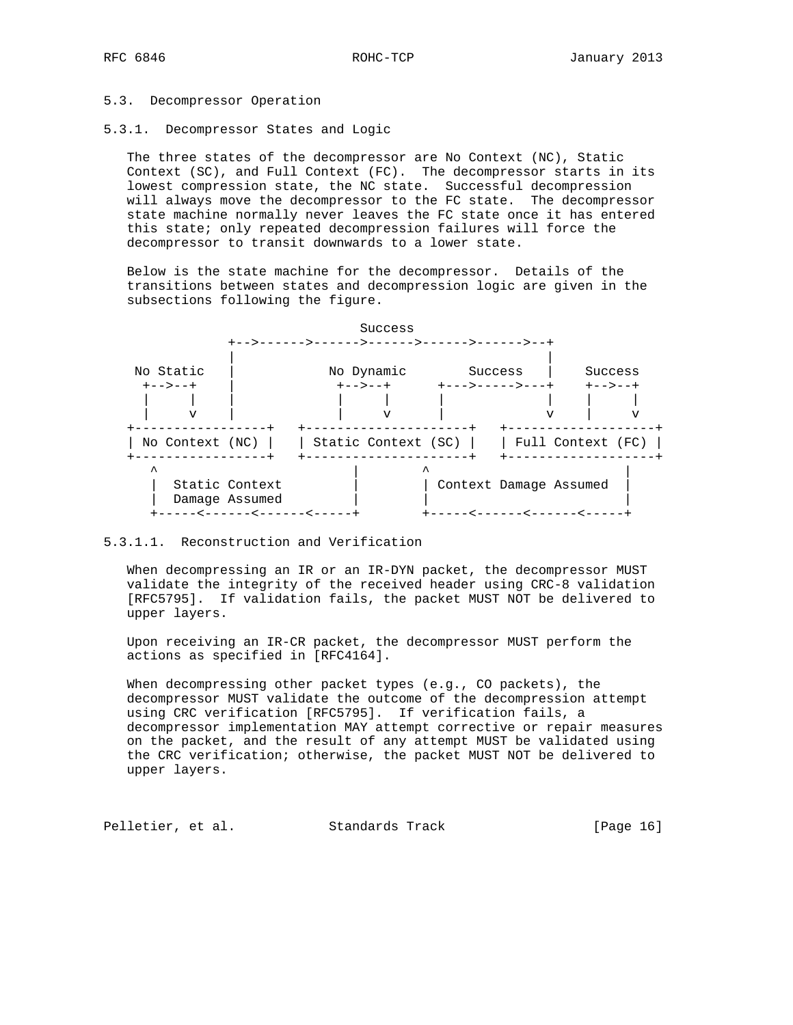# 5.3. Decompressor Operation

5.3.1. Decompressor States and Logic

 The three states of the decompressor are No Context (NC), Static Context (SC), and Full Context (FC). The decompressor starts in its lowest compression state, the NC state. Successful decompression will always move the decompressor to the FC state. The decompressor state machine normally never leaves the FC state once it has entered this state; only repeated decompression failures will force the decompressor to transit downwards to a lower state.

 Below is the state machine for the decompressor. Details of the transitions between states and decompression logic are given in the subsections following the figure.



# 5.3.1.1. Reconstruction and Verification

 When decompressing an IR or an IR-DYN packet, the decompressor MUST validate the integrity of the received header using CRC-8 validation [RFC5795]. If validation fails, the packet MUST NOT be delivered to upper layers.

 Upon receiving an IR-CR packet, the decompressor MUST perform the actions as specified in [RFC4164].

When decompressing other packet types (e.g., CO packets), the decompressor MUST validate the outcome of the decompression attempt using CRC verification [RFC5795]. If verification fails, a decompressor implementation MAY attempt corrective or repair measures on the packet, and the result of any attempt MUST be validated using the CRC verification; otherwise, the packet MUST NOT be delivered to upper layers.

Pelletier, et al. Standards Track [Page 16]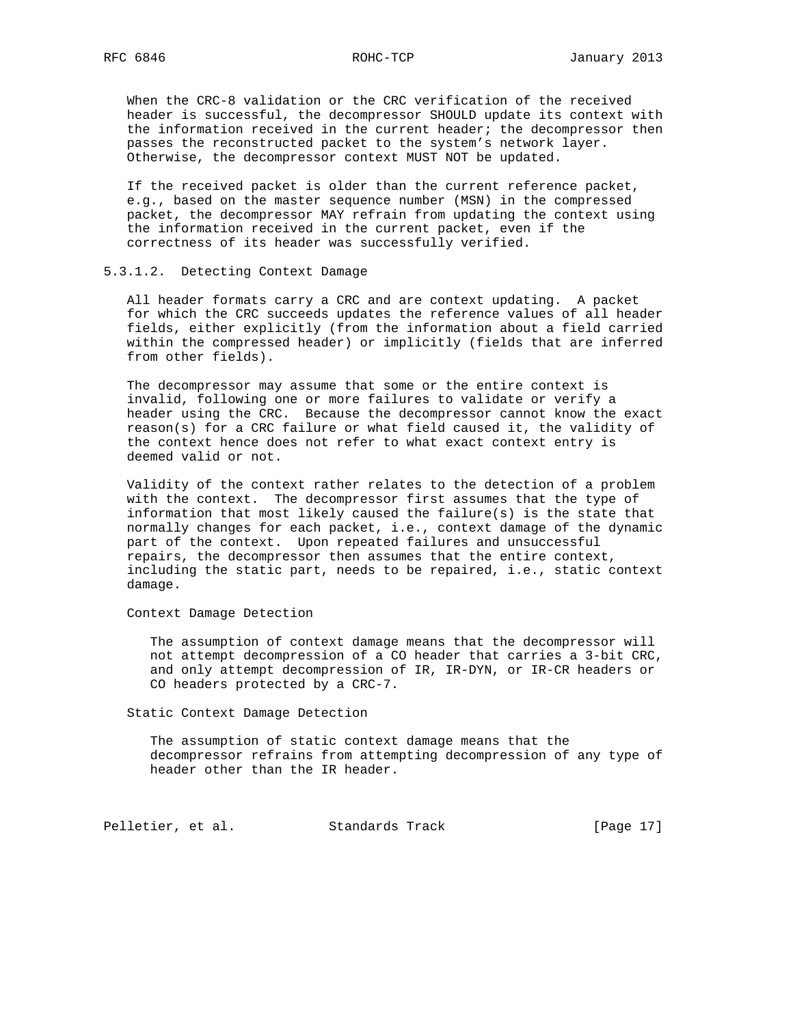When the CRC-8 validation or the CRC verification of the received header is successful, the decompressor SHOULD update its context with the information received in the current header; the decompressor then passes the reconstructed packet to the system's network layer. Otherwise, the decompressor context MUST NOT be updated.

 If the received packet is older than the current reference packet, e.g., based on the master sequence number (MSN) in the compressed packet, the decompressor MAY refrain from updating the context using the information received in the current packet, even if the correctness of its header was successfully verified.

## 5.3.1.2. Detecting Context Damage

 All header formats carry a CRC and are context updating. A packet for which the CRC succeeds updates the reference values of all header fields, either explicitly (from the information about a field carried within the compressed header) or implicitly (fields that are inferred from other fields).

 The decompressor may assume that some or the entire context is invalid, following one or more failures to validate or verify a header using the CRC. Because the decompressor cannot know the exact reason(s) for a CRC failure or what field caused it, the validity of the context hence does not refer to what exact context entry is deemed valid or not.

 Validity of the context rather relates to the detection of a problem with the context. The decompressor first assumes that the type of information that most likely caused the failure(s) is the state that normally changes for each packet, i.e., context damage of the dynamic part of the context. Upon repeated failures and unsuccessful repairs, the decompressor then assumes that the entire context, including the static part, needs to be repaired, i.e., static context damage.

Context Damage Detection

 The assumption of context damage means that the decompressor will not attempt decompression of a CO header that carries a 3-bit CRC, and only attempt decompression of IR, IR-DYN, or IR-CR headers or CO headers protected by a CRC-7.

Static Context Damage Detection

 The assumption of static context damage means that the decompressor refrains from attempting decompression of any type of header other than the IR header.

Pelletier, et al. Standards Track [Page 17]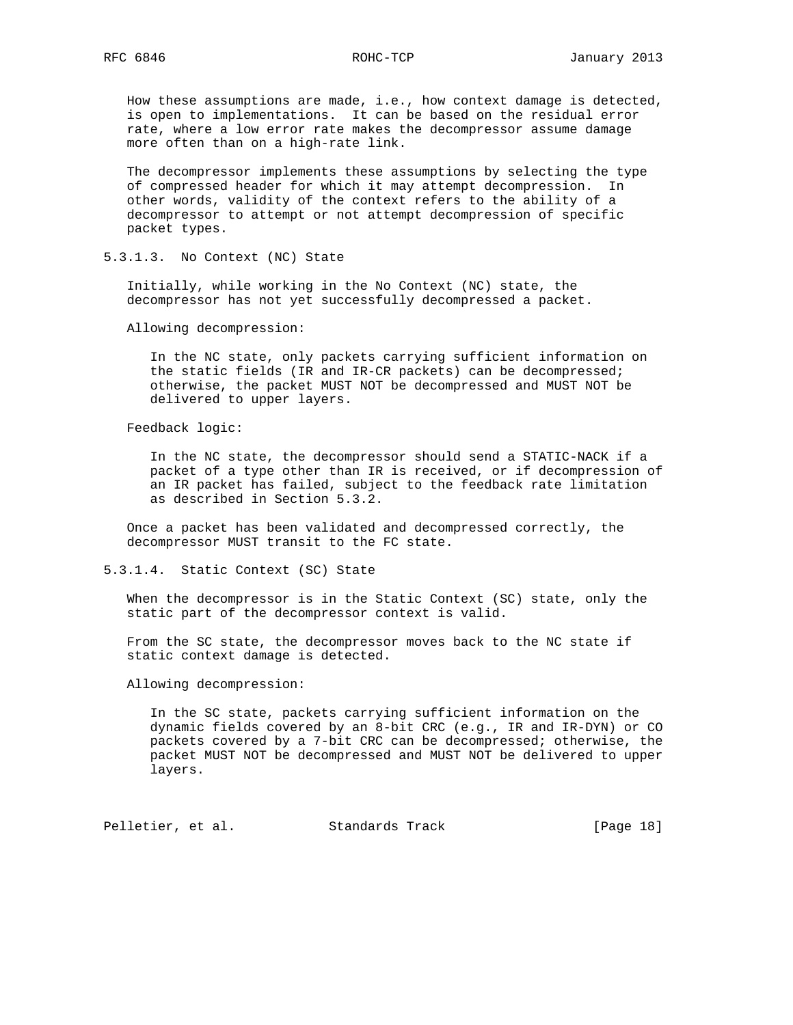How these assumptions are made, i.e., how context damage is detected, is open to implementations. It can be based on the residual error rate, where a low error rate makes the decompressor assume damage more often than on a high-rate link.

 The decompressor implements these assumptions by selecting the type of compressed header for which it may attempt decompression. In other words, validity of the context refers to the ability of a decompressor to attempt or not attempt decompression of specific packet types.

5.3.1.3. No Context (NC) State

 Initially, while working in the No Context (NC) state, the decompressor has not yet successfully decompressed a packet.

Allowing decompression:

 In the NC state, only packets carrying sufficient information on the static fields (IR and IR-CR packets) can be decompressed; otherwise, the packet MUST NOT be decompressed and MUST NOT be delivered to upper layers.

Feedback logic:

 In the NC state, the decompressor should send a STATIC-NACK if a packet of a type other than IR is received, or if decompression of an IR packet has failed, subject to the feedback rate limitation as described in Section 5.3.2.

 Once a packet has been validated and decompressed correctly, the decompressor MUST transit to the FC state.

5.3.1.4. Static Context (SC) State

 When the decompressor is in the Static Context (SC) state, only the static part of the decompressor context is valid.

 From the SC state, the decompressor moves back to the NC state if static context damage is detected.

Allowing decompression:

 In the SC state, packets carrying sufficient information on the dynamic fields covered by an 8-bit CRC (e.g., IR and IR-DYN) or CO packets covered by a 7-bit CRC can be decompressed; otherwise, the packet MUST NOT be decompressed and MUST NOT be delivered to upper layers.

Pelletier, et al. Standards Track [Page 18]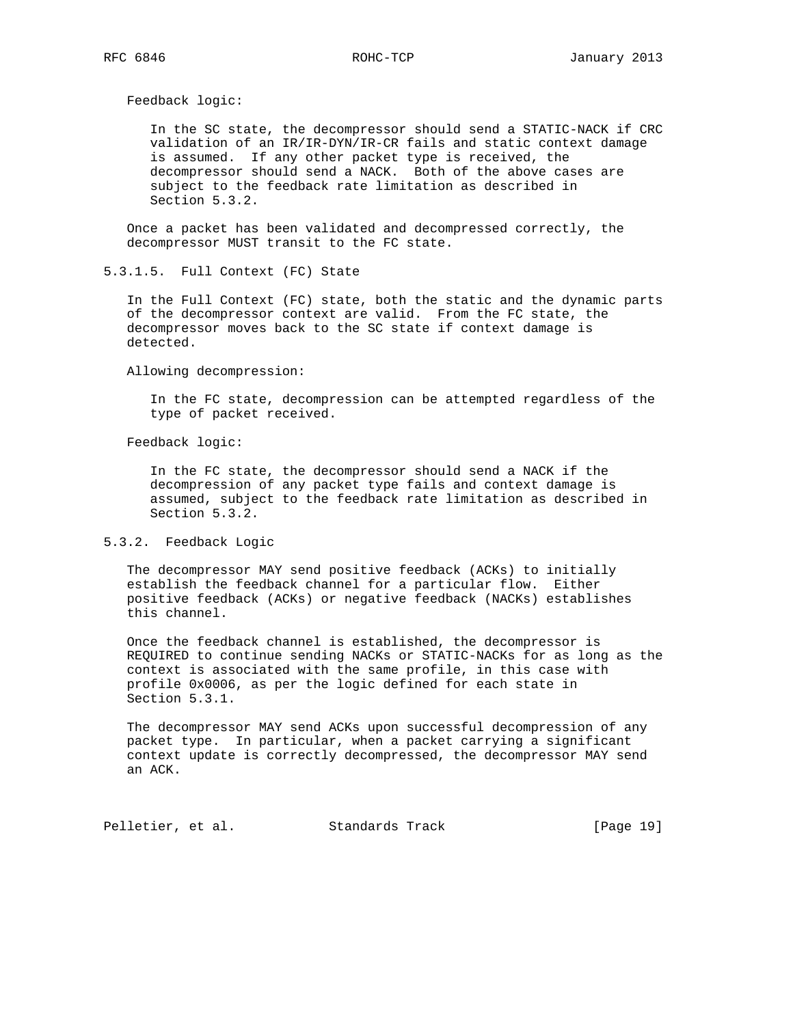Feedback logic:

 In the SC state, the decompressor should send a STATIC-NACK if CRC validation of an IR/IR-DYN/IR-CR fails and static context damage is assumed. If any other packet type is received, the decompressor should send a NACK. Both of the above cases are subject to the feedback rate limitation as described in Section 5.3.2.

 Once a packet has been validated and decompressed correctly, the decompressor MUST transit to the FC state.

5.3.1.5. Full Context (FC) State

 In the Full Context (FC) state, both the static and the dynamic parts of the decompressor context are valid. From the FC state, the decompressor moves back to the SC state if context damage is detected.

Allowing decompression:

 In the FC state, decompression can be attempted regardless of the type of packet received.

Feedback logic:

 In the FC state, the decompressor should send a NACK if the decompression of any packet type fails and context damage is assumed, subject to the feedback rate limitation as described in Section 5.3.2.

#### 5.3.2. Feedback Logic

 The decompressor MAY send positive feedback (ACKs) to initially establish the feedback channel for a particular flow. Either positive feedback (ACKs) or negative feedback (NACKs) establishes this channel.

 Once the feedback channel is established, the decompressor is REQUIRED to continue sending NACKs or STATIC-NACKs for as long as the context is associated with the same profile, in this case with profile 0x0006, as per the logic defined for each state in Section 5.3.1.

 The decompressor MAY send ACKs upon successful decompression of any packet type. In particular, when a packet carrying a significant context update is correctly decompressed, the decompressor MAY send an ACK.

Pelletier, et al. Standards Track [Page 19]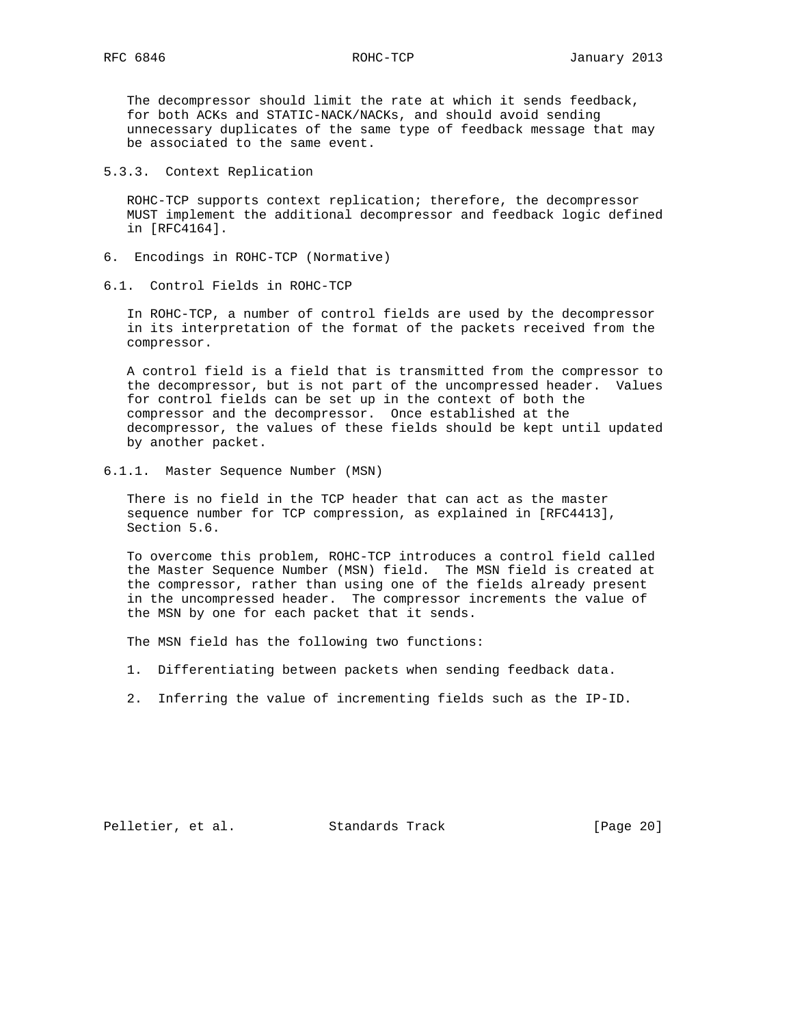The decompressor should limit the rate at which it sends feedback, for both ACKs and STATIC-NACK/NACKs, and should avoid sending unnecessary duplicates of the same type of feedback message that may be associated to the same event.

5.3.3. Context Replication

 ROHC-TCP supports context replication; therefore, the decompressor MUST implement the additional decompressor and feedback logic defined in [RFC4164].

- 6. Encodings in ROHC-TCP (Normative)
- 6.1. Control Fields in ROHC-TCP

 In ROHC-TCP, a number of control fields are used by the decompressor in its interpretation of the format of the packets received from the compressor.

 A control field is a field that is transmitted from the compressor to the decompressor, but is not part of the uncompressed header. Values for control fields can be set up in the context of both the compressor and the decompressor. Once established at the decompressor, the values of these fields should be kept until updated by another packet.

6.1.1. Master Sequence Number (MSN)

 There is no field in the TCP header that can act as the master sequence number for TCP compression, as explained in [RFC4413], Section 5.6.

 To overcome this problem, ROHC-TCP introduces a control field called the Master Sequence Number (MSN) field. The MSN field is created at the compressor, rather than using one of the fields already present in the uncompressed header. The compressor increments the value of the MSN by one for each packet that it sends.

The MSN field has the following two functions:

- 1. Differentiating between packets when sending feedback data.
- 2. Inferring the value of incrementing fields such as the IP-ID.

Pelletier, et al. Standards Track [Page 20]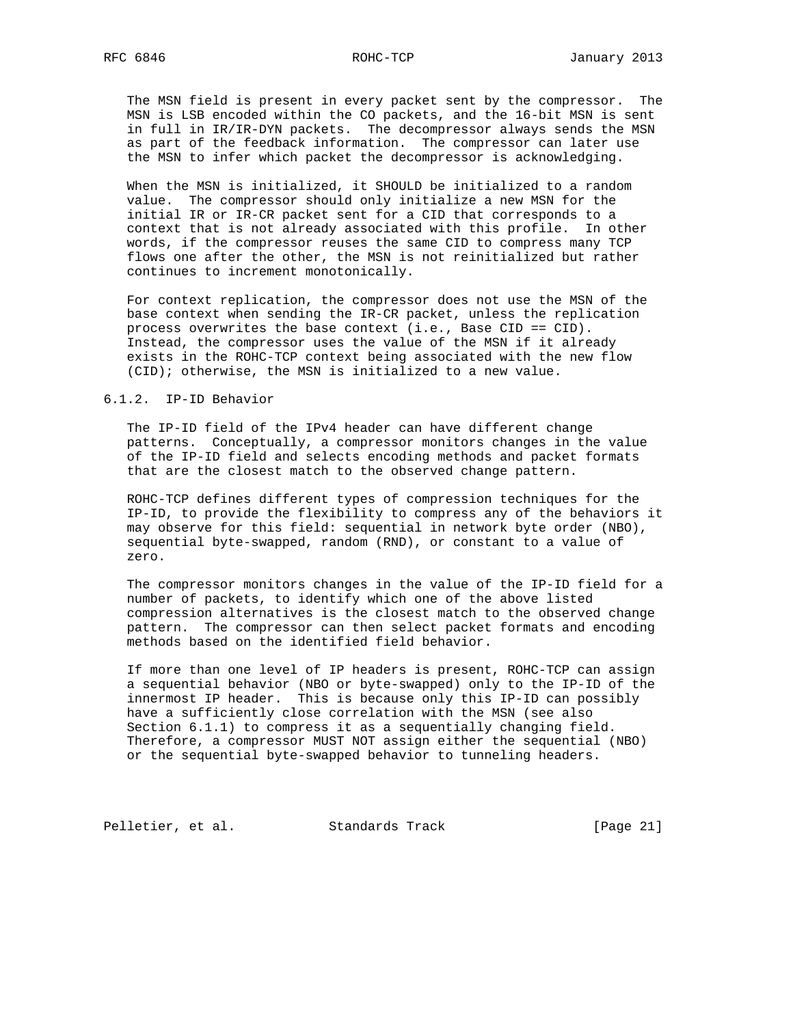The MSN field is present in every packet sent by the compressor. The MSN is LSB encoded within the CO packets, and the 16-bit MSN is sent in full in IR/IR-DYN packets. The decompressor always sends the MSN as part of the feedback information. The compressor can later use the MSN to infer which packet the decompressor is acknowledging.

 When the MSN is initialized, it SHOULD be initialized to a random value. The compressor should only initialize a new MSN for the initial IR or IR-CR packet sent for a CID that corresponds to a context that is not already associated with this profile. In other words, if the compressor reuses the same CID to compress many TCP flows one after the other, the MSN is not reinitialized but rather continues to increment monotonically.

 For context replication, the compressor does not use the MSN of the base context when sending the IR-CR packet, unless the replication process overwrites the base context (i.e., Base CID == CID). Instead, the compressor uses the value of the MSN if it already exists in the ROHC-TCP context being associated with the new flow (CID); otherwise, the MSN is initialized to a new value.

## 6.1.2. IP-ID Behavior

 The IP-ID field of the IPv4 header can have different change patterns. Conceptually, a compressor monitors changes in the value of the IP-ID field and selects encoding methods and packet formats that are the closest match to the observed change pattern.

 ROHC-TCP defines different types of compression techniques for the IP-ID, to provide the flexibility to compress any of the behaviors it may observe for this field: sequential in network byte order (NBO), sequential byte-swapped, random (RND), or constant to a value of zero.

 The compressor monitors changes in the value of the IP-ID field for a number of packets, to identify which one of the above listed compression alternatives is the closest match to the observed change pattern. The compressor can then select packet formats and encoding methods based on the identified field behavior.

 If more than one level of IP headers is present, ROHC-TCP can assign a sequential behavior (NBO or byte-swapped) only to the IP-ID of the innermost IP header. This is because only this IP-ID can possibly have a sufficiently close correlation with the MSN (see also Section 6.1.1) to compress it as a sequentially changing field. Therefore, a compressor MUST NOT assign either the sequential (NBO) or the sequential byte-swapped behavior to tunneling headers.

Pelletier, et al. Standards Track [Page 21]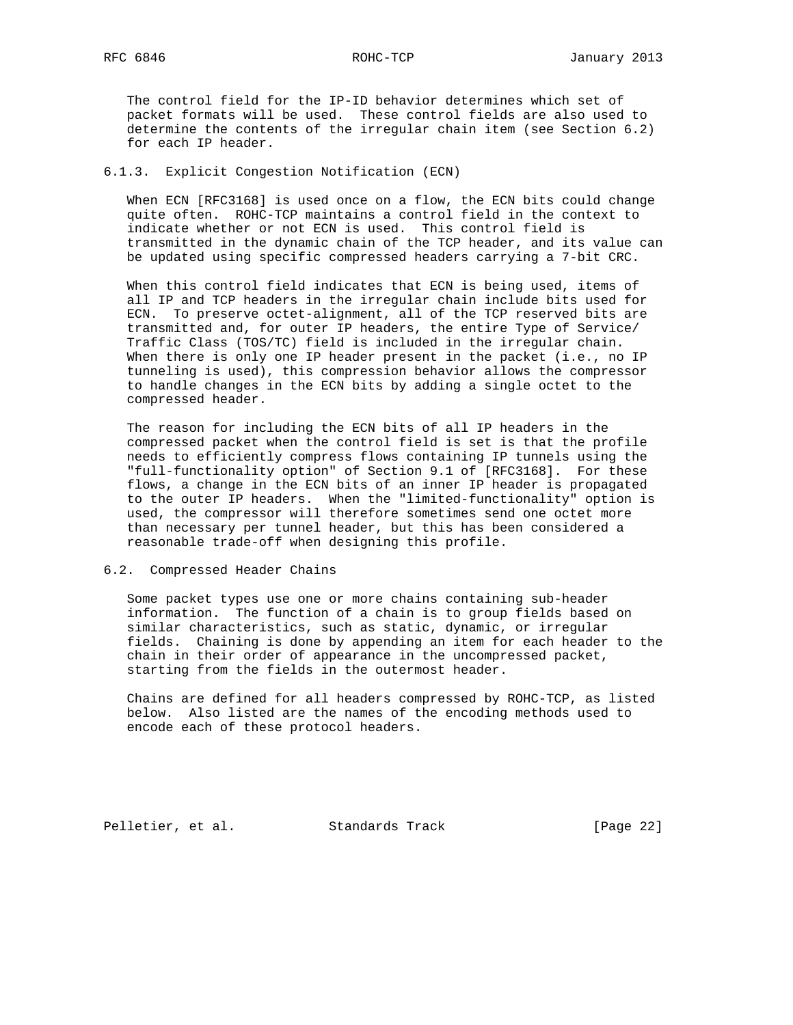RFC 6846 ROHC-TCP January 2013

 The control field for the IP-ID behavior determines which set of packet formats will be used. These control fields are also used to determine the contents of the irregular chain item (see Section 6.2) for each IP header.

## 6.1.3. Explicit Congestion Notification (ECN)

 When ECN [RFC3168] is used once on a flow, the ECN bits could change quite often. ROHC-TCP maintains a control field in the context to indicate whether or not ECN is used. This control field is transmitted in the dynamic chain of the TCP header, and its value can be updated using specific compressed headers carrying a 7-bit CRC.

 When this control field indicates that ECN is being used, items of all IP and TCP headers in the irregular chain include bits used for ECN. To preserve octet-alignment, all of the TCP reserved bits are transmitted and, for outer IP headers, the entire Type of Service/ Traffic Class (TOS/TC) field is included in the irregular chain. When there is only one IP header present in the packet (i.e., no IP tunneling is used), this compression behavior allows the compressor to handle changes in the ECN bits by adding a single octet to the compressed header.

 The reason for including the ECN bits of all IP headers in the compressed packet when the control field is set is that the profile needs to efficiently compress flows containing IP tunnels using the "full-functionality option" of Section 9.1 of [RFC3168]. For these flows, a change in the ECN bits of an inner IP header is propagated to the outer IP headers. When the "limited-functionality" option is used, the compressor will therefore sometimes send one octet more than necessary per tunnel header, but this has been considered a reasonable trade-off when designing this profile.

# 6.2. Compressed Header Chains

 Some packet types use one or more chains containing sub-header information. The function of a chain is to group fields based on similar characteristics, such as static, dynamic, or irregular fields. Chaining is done by appending an item for each header to the chain in their order of appearance in the uncompressed packet, starting from the fields in the outermost header.

 Chains are defined for all headers compressed by ROHC-TCP, as listed below. Also listed are the names of the encoding methods used to encode each of these protocol headers.

Pelletier, et al. Standards Track [Page 22]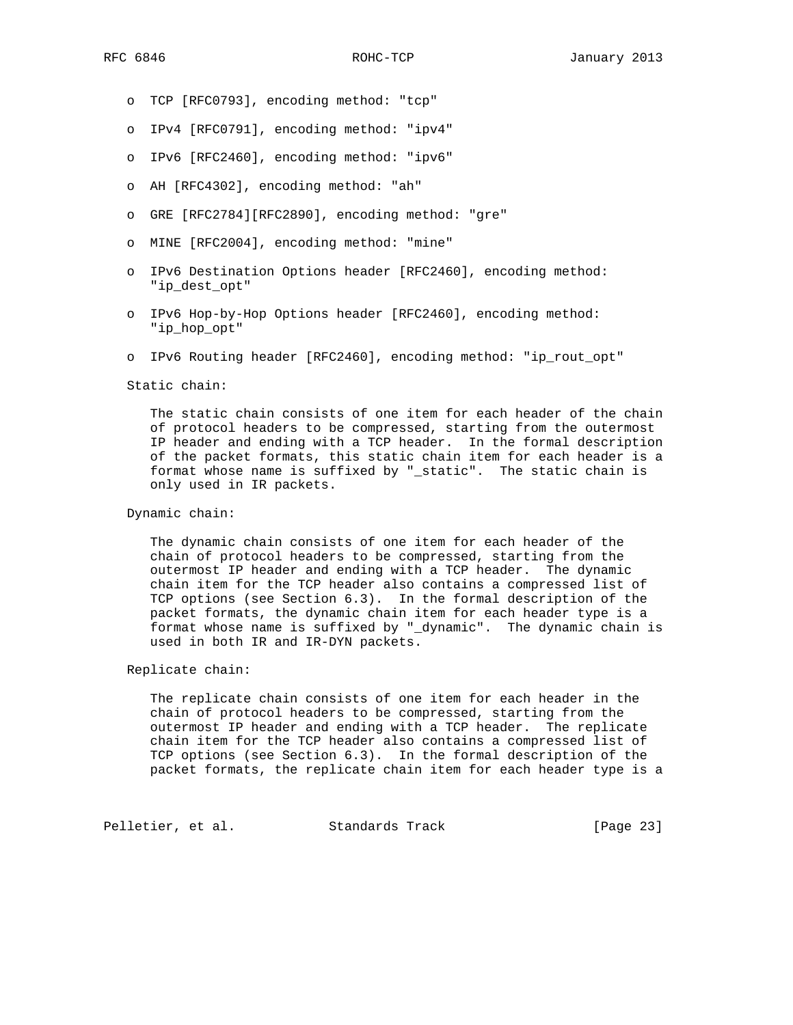- o TCP [RFC0793], encoding method: "tcp"
- o IPv4 [RFC0791], encoding method: "ipv4"
- o IPv6 [RFC2460], encoding method: "ipv6"
- o AH [RFC4302], encoding method: "ah"
- o GRE [RFC2784][RFC2890], encoding method: "gre"
- o MINE [RFC2004], encoding method: "mine"
- o IPv6 Destination Options header [RFC2460], encoding method: "ip\_dest\_opt"
- o IPv6 Hop-by-Hop Options header [RFC2460], encoding method: "ip\_hop\_opt"
- o IPv6 Routing header [RFC2460], encoding method: "ip\_rout\_opt"

Static chain:

 The static chain consists of one item for each header of the chain of protocol headers to be compressed, starting from the outermost IP header and ending with a TCP header. In the formal description of the packet formats, this static chain item for each header is a format whose name is suffixed by "\_static". The static chain is only used in IR packets.

#### Dynamic chain:

 The dynamic chain consists of one item for each header of the chain of protocol headers to be compressed, starting from the outermost IP header and ending with a TCP header. The dynamic chain item for the TCP header also contains a compressed list of TCP options (see Section 6.3). In the formal description of the packet formats, the dynamic chain item for each header type is a format whose name is suffixed by "\_dynamic". The dynamic chain is used in both IR and IR-DYN packets.

#### Replicate chain:

 The replicate chain consists of one item for each header in the chain of protocol headers to be compressed, starting from the outermost IP header and ending with a TCP header. The replicate chain item for the TCP header also contains a compressed list of TCP options (see Section 6.3). In the formal description of the packet formats, the replicate chain item for each header type is a

Pelletier, et al. Standards Track [Page 23]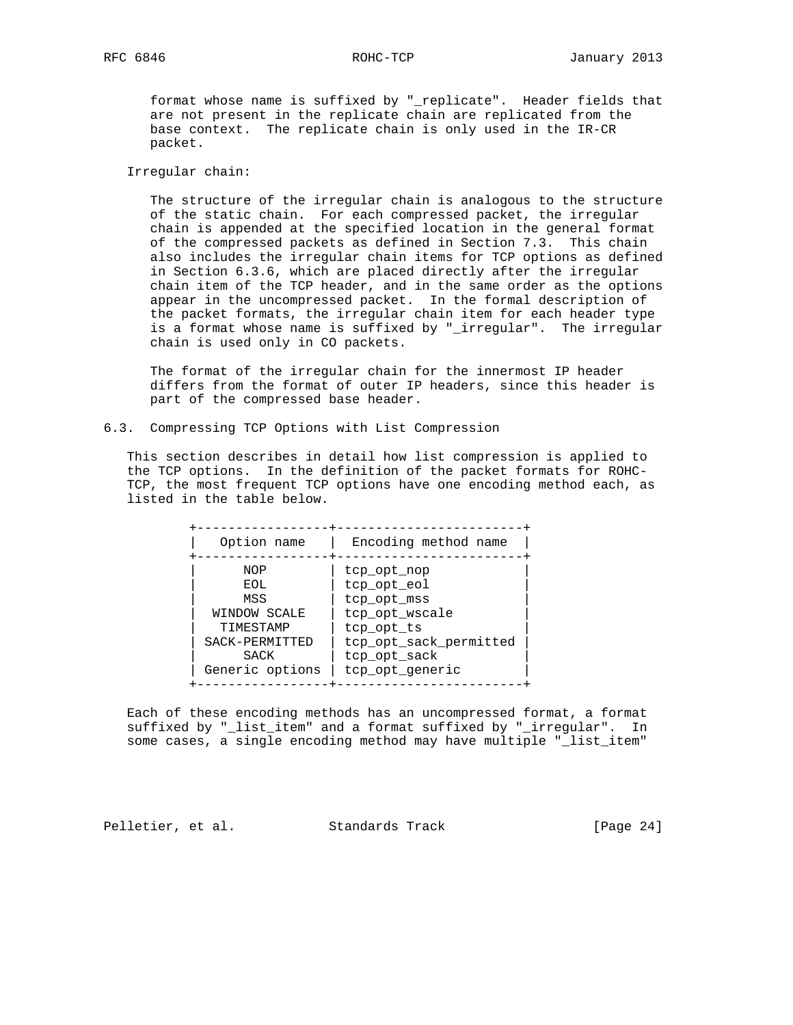format whose name is suffixed by "\_replicate". Header fields that are not present in the replicate chain are replicated from the base context. The replicate chain is only used in the IR-CR packet.

Irregular chain:

 The structure of the irregular chain is analogous to the structure of the static chain. For each compressed packet, the irregular chain is appended at the specified location in the general format of the compressed packets as defined in Section 7.3. This chain also includes the irregular chain items for TCP options as defined in Section 6.3.6, which are placed directly after the irregular chain item of the TCP header, and in the same order as the options appear in the uncompressed packet. In the formal description of the packet formats, the irregular chain item for each header type is a format whose name is suffixed by "\_irregular". The irregular chain is used only in CO packets.

 The format of the irregular chain for the innermost IP header differs from the format of outer IP headers, since this header is part of the compressed base header.

6.3. Compressing TCP Options with List Compression

 This section describes in detail how list compression is applied to the TCP options. In the definition of the packet formats for ROHC- TCP, the most frequent TCP options have one encoding method each, as listed in the table below.

| Option name     | Encoding method name   |
|-----------------|------------------------|
| NOP             | tcp opt nop            |
| EOL             | tcp opt eol            |
| MSS             | tcp opt mss            |
| WINDOW SCALE    | tcp opt wscale         |
| TIMESTAMP       | tcp opt ts             |
| SACK-PERMITTED  | tcp opt sack permitted |
| <b>SACK</b>     | tcp opt sack           |
| Generic options | tcp opt generic        |

 Each of these encoding methods has an uncompressed format, a format suffixed by "\_list\_item" and a format suffixed by "\_irregular". In some cases, a single encoding method may have multiple "\_list\_item"

Pelletier, et al. Standards Track [Page 24]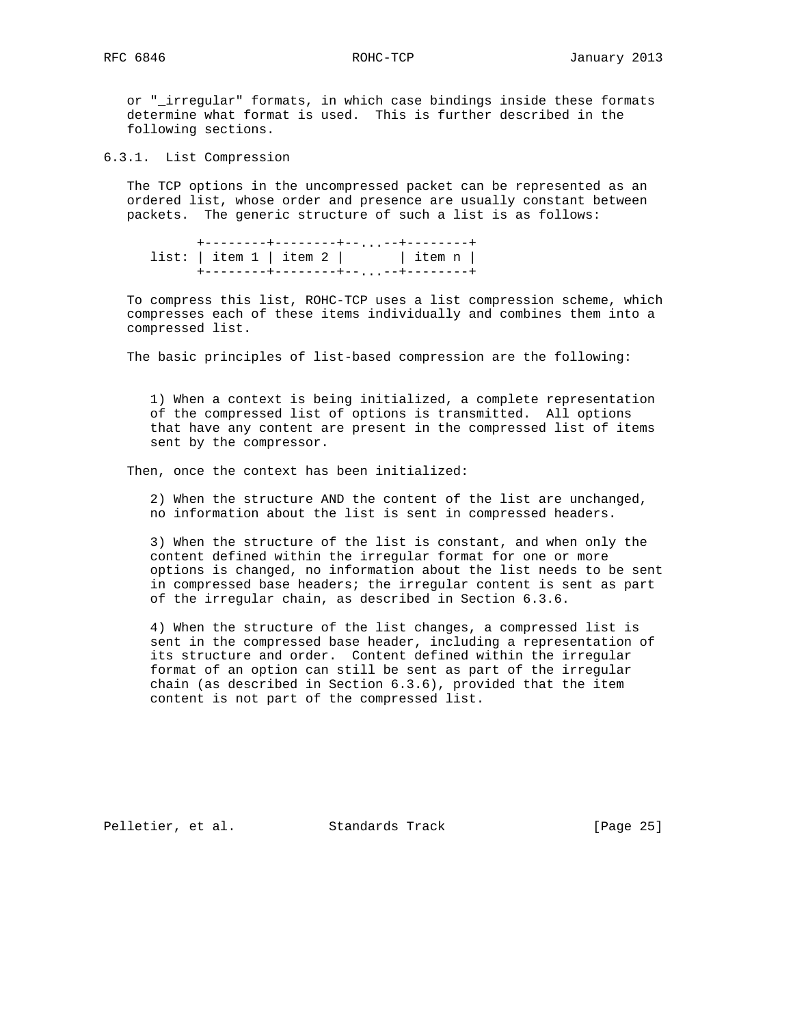or "\_irregular" formats, in which case bindings inside these formats determine what format is used. This is further described in the following sections.

6.3.1. List Compression

 The TCP options in the uncompressed packet can be represented as an ordered list, whose order and presence are usually constant between packets. The generic structure of such a list is as follows:

 +--------+--------+--...--+--------+ list:  $|$  item  $1$  | item  $2$  |  $|$  item  $n$  | +--------+--------+--...--+--------+

 To compress this list, ROHC-TCP uses a list compression scheme, which compresses each of these items individually and combines them into a compressed list.

The basic principles of list-based compression are the following:

 1) When a context is being initialized, a complete representation of the compressed list of options is transmitted. All options that have any content are present in the compressed list of items sent by the compressor.

Then, once the context has been initialized:

 2) When the structure AND the content of the list are unchanged, no information about the list is sent in compressed headers.

 3) When the structure of the list is constant, and when only the content defined within the irregular format for one or more options is changed, no information about the list needs to be sent in compressed base headers; the irregular content is sent as part of the irregular chain, as described in Section 6.3.6.

 4) When the structure of the list changes, a compressed list is sent in the compressed base header, including a representation of its structure and order. Content defined within the irregular format of an option can still be sent as part of the irregular chain (as described in Section 6.3.6), provided that the item content is not part of the compressed list.

Pelletier, et al. Standards Track [Page 25]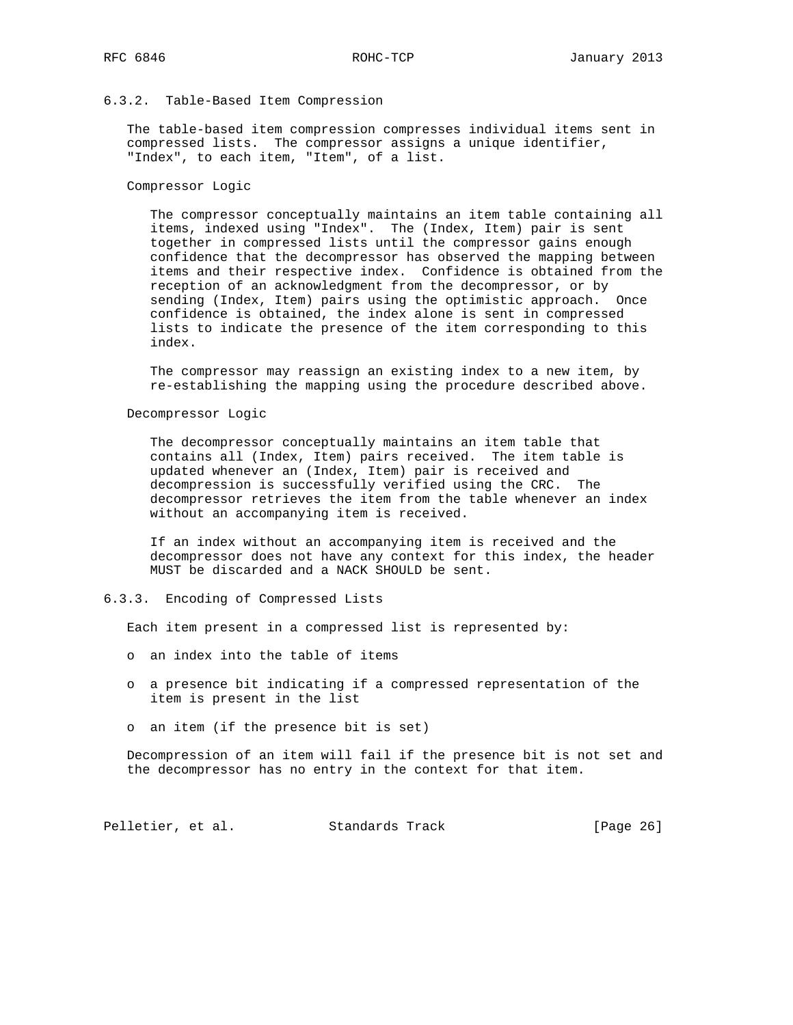# 6.3.2. Table-Based Item Compression

 The table-based item compression compresses individual items sent in compressed lists. The compressor assigns a unique identifier, "Index", to each item, "Item", of a list.

## Compressor Logic

 The compressor conceptually maintains an item table containing all items, indexed using "Index". The (Index, Item) pair is sent together in compressed lists until the compressor gains enough confidence that the decompressor has observed the mapping between items and their respective index. Confidence is obtained from the reception of an acknowledgment from the decompressor, or by sending (Index, Item) pairs using the optimistic approach. Once confidence is obtained, the index alone is sent in compressed lists to indicate the presence of the item corresponding to this index.

 The compressor may reassign an existing index to a new item, by re-establishing the mapping using the procedure described above.

## Decompressor Logic

 The decompressor conceptually maintains an item table that contains all (Index, Item) pairs received. The item table is updated whenever an (Index, Item) pair is received and decompression is successfully verified using the CRC. The decompressor retrieves the item from the table whenever an index without an accompanying item is received.

 If an index without an accompanying item is received and the decompressor does not have any context for this index, the header MUST be discarded and a NACK SHOULD be sent.

6.3.3. Encoding of Compressed Lists

Each item present in a compressed list is represented by:

- o an index into the table of items
- o a presence bit indicating if a compressed representation of the item is present in the list
- o an item (if the presence bit is set)

 Decompression of an item will fail if the presence bit is not set and the decompressor has no entry in the context for that item.

Pelletier, et al. Standards Track [Page 26]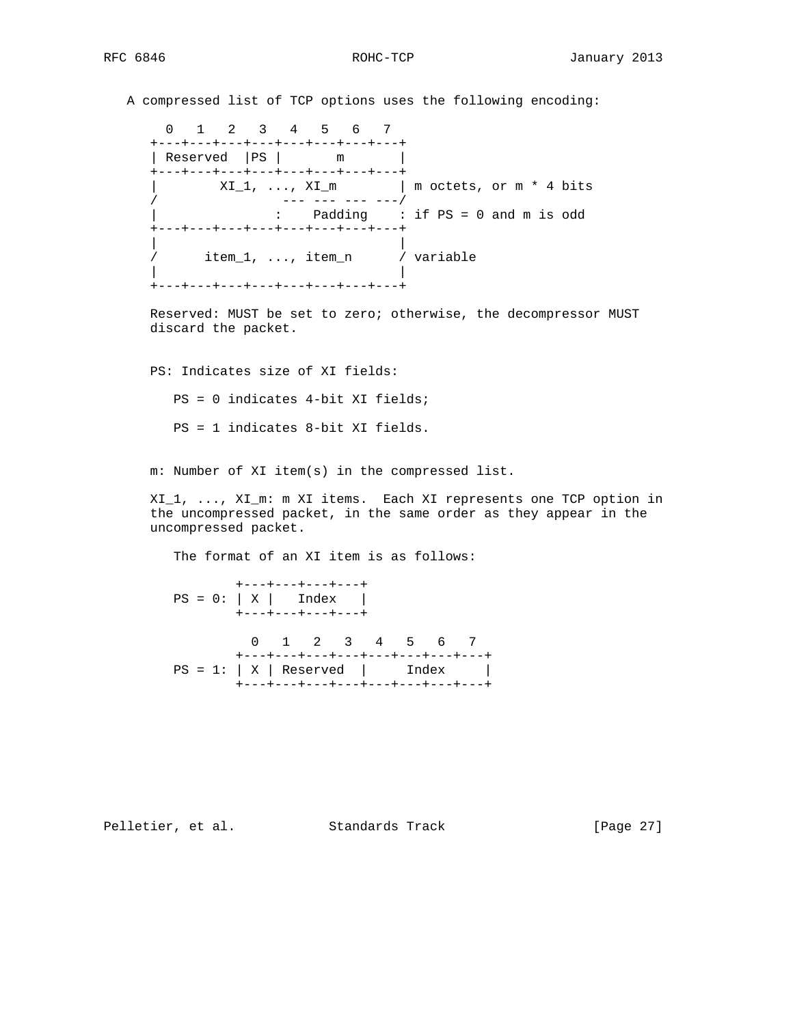A compressed list of TCP options uses the following encoding:

```
 0 1 2 3 4 5 6 7
    +---+---+---+---+---+---+---+---+
   | Reserved | PS | m |
    +---+---+---+---+---+---+---+---+
        XI_1, ..., XI_m | m octets, or m * 4 bits
/ --- --- --- ---/
| : Padding : if PS = 0 and m is odd
    +---+---+---+---+---+---+---+---+
| |
/ item_1, ..., item_n / variable
| |
    +---+---+---+---+---+---+---+---+
```
 Reserved: MUST be set to zero; otherwise, the decompressor MUST discard the packet.

 PS: Indicates size of XI fields: PS = 0 indicates 4-bit XI fields; PS = 1 indicates 8-bit XI fields.

m: Number of XI item(s) in the compressed list.

 XI\_1, ..., XI\_m: m XI items. Each XI represents one TCP option in the uncompressed packet, in the same order as they appear in the uncompressed packet.

The format of an XI item is as follows:

 +---+---+---+---+  $PS = 0: |X|$  Index | +---+---+---+---+ 0 1 2 3 4 5 6 7 +---+---+---+---+---+---+---+---+  $PS = 1: |X|$  Reserved | Index | +---+---+---+---+---+---+---+---+

Pelletier, et al. Standards Track [Page 27]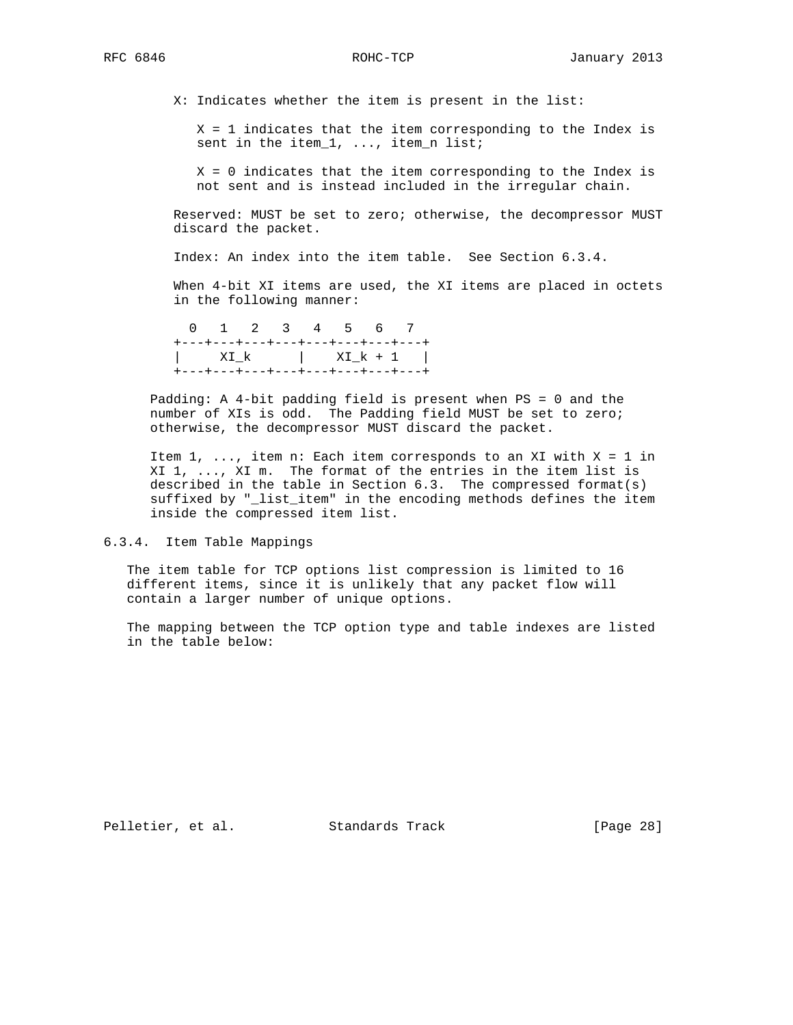X: Indicates whether the item is present in the list:

 X = 1 indicates that the item corresponding to the Index is sent in the item\_1, ..., item\_n list;

 X = 0 indicates that the item corresponding to the Index is not sent and is instead included in the irregular chain.

 Reserved: MUST be set to zero; otherwise, the decompressor MUST discard the packet.

Index: An index into the item table. See Section 6.3.4.

 When 4-bit XI items are used, the XI items are placed in octets in the following manner:

 0 1 2 3 4 5 6 7 +---+---+---+---+---+---+---+---+ | XI\_k | XI\_k + 1 | +---+---+---+---+---+---+---+---+

 Padding: A 4-bit padding field is present when PS = 0 and the number of XIs is odd. The Padding field MUST be set to zero; otherwise, the decompressor MUST discard the packet.

Item  $1, \ldots$ , item n: Each item corresponds to an XI with  $X = 1$  in XI 1, ..., XI m. The format of the entries in the item list is described in the table in Section 6.3. The compressed format(s) suffixed by "\_list\_item" in the encoding methods defines the item inside the compressed item list.

6.3.4. Item Table Mappings

 The item table for TCP options list compression is limited to 16 different items, since it is unlikely that any packet flow will contain a larger number of unique options.

 The mapping between the TCP option type and table indexes are listed in the table below:

Pelletier, et al. Standards Track [Page 28]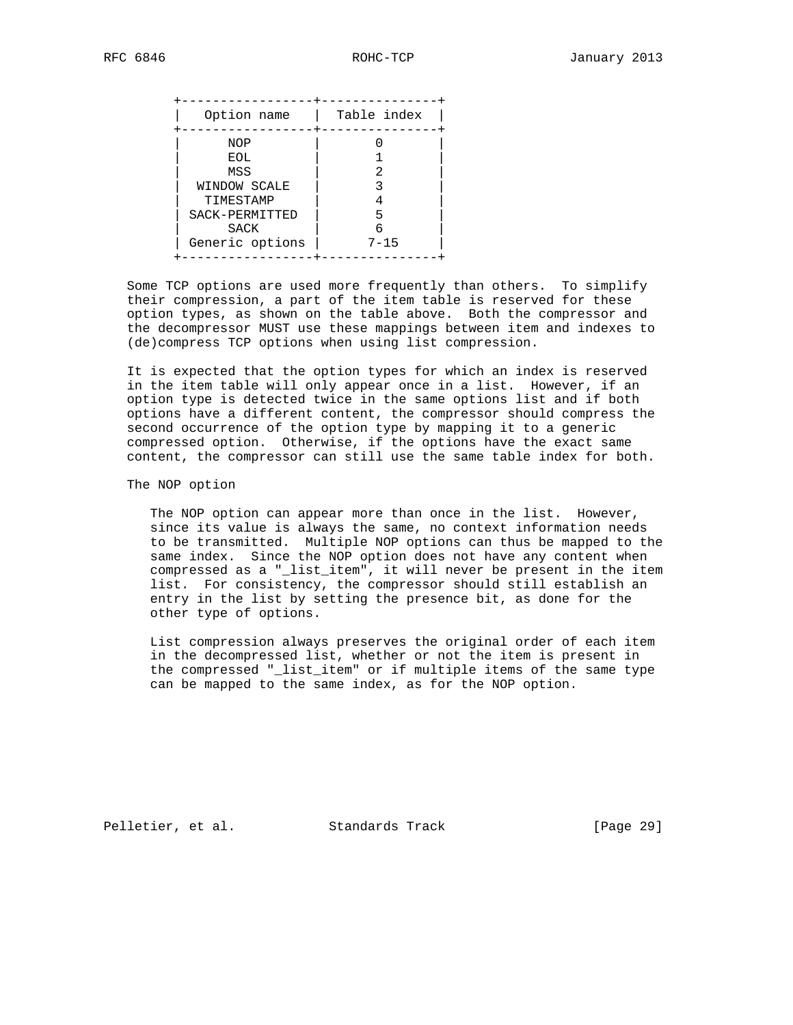| NOP<br>EOL<br>2<br>MSS<br>WINDOW SCALE<br>TIMESTAMP | Option name    | Table index |
|-----------------------------------------------------|----------------|-------------|
| <b>SACK</b><br>Generic options<br>$7 - 15$          | SACK-PERMITTED | 5           |

 Some TCP options are used more frequently than others. To simplify their compression, a part of the item table is reserved for these option types, as shown on the table above. Both the compressor and the decompressor MUST use these mappings between item and indexes to (de)compress TCP options when using list compression.

 It is expected that the option types for which an index is reserved in the item table will only appear once in a list. However, if an option type is detected twice in the same options list and if both options have a different content, the compressor should compress the second occurrence of the option type by mapping it to a generic compressed option. Otherwise, if the options have the exact same content, the compressor can still use the same table index for both.

The NOP option

The NOP option can appear more than once in the list. However, since its value is always the same, no context information needs to be transmitted. Multiple NOP options can thus be mapped to the same index. Since the NOP option does not have any content when compressed as a "\_list\_item", it will never be present in the item list. For consistency, the compressor should still establish an entry in the list by setting the presence bit, as done for the other type of options.

 List compression always preserves the original order of each item in the decompressed list, whether or not the item is present in the compressed "\_list\_item" or if multiple items of the same type can be mapped to the same index, as for the NOP option.

Pelletier, et al. Standards Track [Page 29]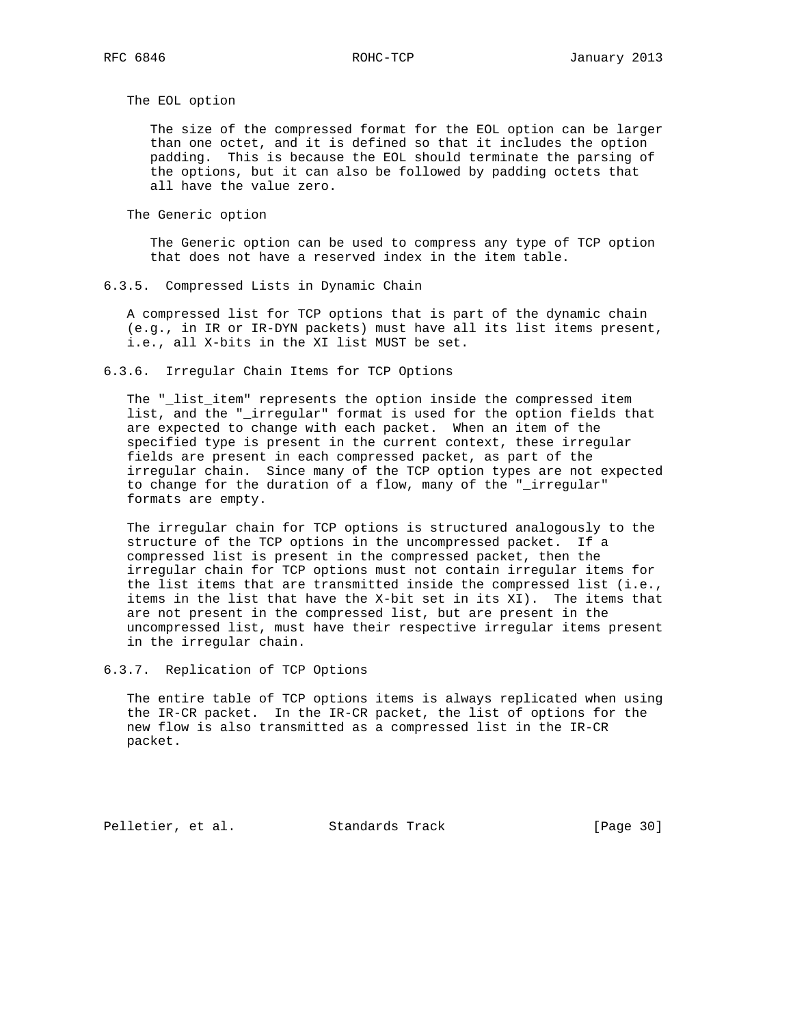The EOL option

 The size of the compressed format for the EOL option can be larger than one octet, and it is defined so that it includes the option padding. This is because the EOL should terminate the parsing of the options, but it can also be followed by padding octets that all have the value zero.

The Generic option

 The Generic option can be used to compress any type of TCP option that does not have a reserved index in the item table.

6.3.5. Compressed Lists in Dynamic Chain

 A compressed list for TCP options that is part of the dynamic chain (e.g., in IR or IR-DYN packets) must have all its list items present, i.e., all X-bits in the XI list MUST be set.

6.3.6. Irregular Chain Items for TCP Options

 The "\_list\_item" represents the option inside the compressed item list, and the "\_irregular" format is used for the option fields that are expected to change with each packet. When an item of the specified type is present in the current context, these irregular fields are present in each compressed packet, as part of the irregular chain. Since many of the TCP option types are not expected to change for the duration of a flow, many of the "\_irregular" formats are empty.

 The irregular chain for TCP options is structured analogously to the structure of the TCP options in the uncompressed packet. If a compressed list is present in the compressed packet, then the irregular chain for TCP options must not contain irregular items for the list items that are transmitted inside the compressed list (i.e., items in the list that have the X-bit set in its XI). The items that are not present in the compressed list, but are present in the uncompressed list, must have their respective irregular items present in the irregular chain.

6.3.7. Replication of TCP Options

 The entire table of TCP options items is always replicated when using the IR-CR packet. In the IR-CR packet, the list of options for the new flow is also transmitted as a compressed list in the IR-CR packet.

Pelletier, et al. Standards Track [Page 30]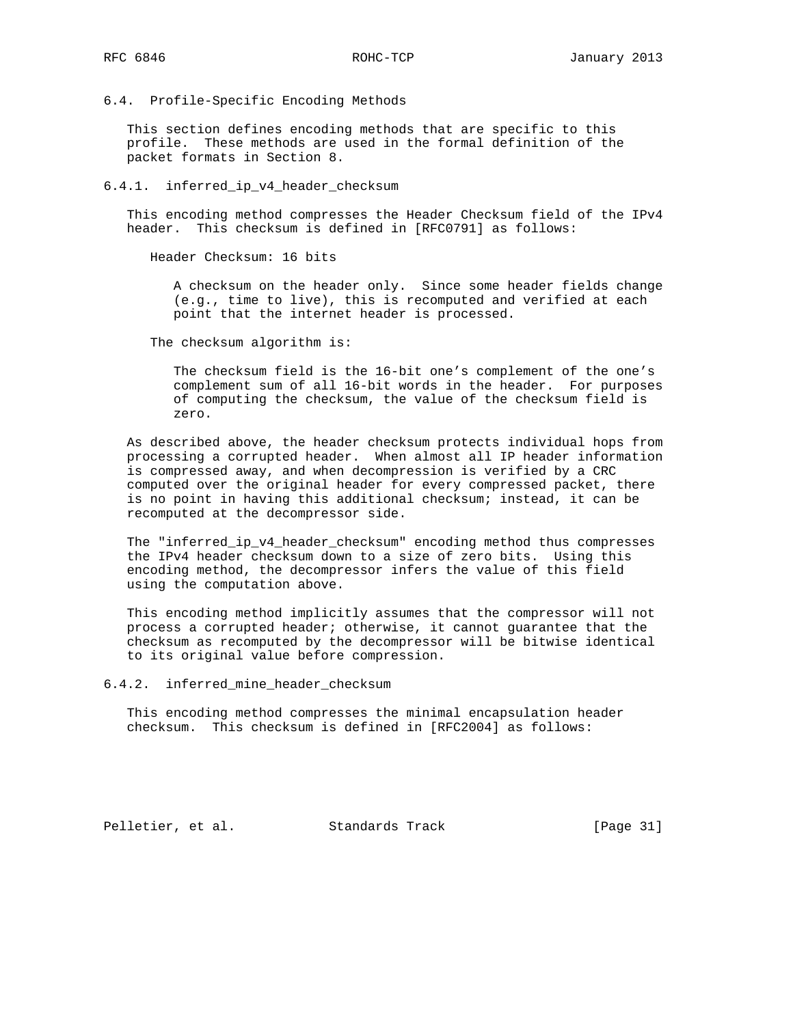6.4. Profile-Specific Encoding Methods

 This section defines encoding methods that are specific to this profile. These methods are used in the formal definition of the packet formats in Section 8.

6.4.1. inferred\_ip\_v4\_header\_checksum

 This encoding method compresses the Header Checksum field of the IPv4 header. This checksum is defined in [RFC0791] as follows:

Header Checksum: 16 bits

 A checksum on the header only. Since some header fields change (e.g., time to live), this is recomputed and verified at each point that the internet header is processed.

The checksum algorithm is:

 The checksum field is the 16-bit one's complement of the one's complement sum of all 16-bit words in the header. For purposes of computing the checksum, the value of the checksum field is zero.

 As described above, the header checksum protects individual hops from processing a corrupted header. When almost all IP header information is compressed away, and when decompression is verified by a CRC computed over the original header for every compressed packet, there is no point in having this additional checksum; instead, it can be recomputed at the decompressor side.

The "inferred\_ip\_v4\_header\_checksum" encoding method thus compresses the IPv4 header checksum down to a size of zero bits. Using this encoding method, the decompressor infers the value of this field using the computation above.

 This encoding method implicitly assumes that the compressor will not process a corrupted header; otherwise, it cannot guarantee that the checksum as recomputed by the decompressor will be bitwise identical to its original value before compression.

6.4.2. inferred\_mine\_header\_checksum

 This encoding method compresses the minimal encapsulation header checksum. This checksum is defined in [RFC2004] as follows:

Pelletier, et al. Standards Track [Page 31]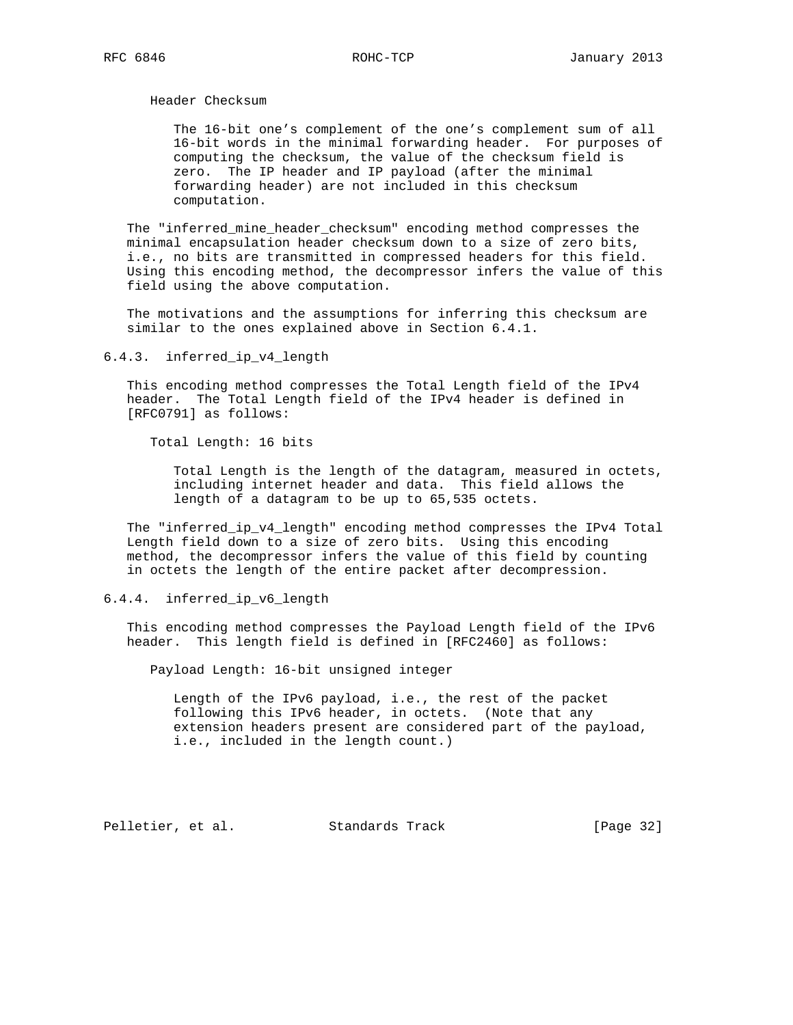Header Checksum

 The 16-bit one's complement of the one's complement sum of all 16-bit words in the minimal forwarding header. For purposes of computing the checksum, the value of the checksum field is zero. The IP header and IP payload (after the minimal forwarding header) are not included in this checksum computation.

 The "inferred\_mine\_header\_checksum" encoding method compresses the minimal encapsulation header checksum down to a size of zero bits, i.e., no bits are transmitted in compressed headers for this field. Using this encoding method, the decompressor infers the value of this field using the above computation.

 The motivations and the assumptions for inferring this checksum are similar to the ones explained above in Section 6.4.1.

6.4.3. inferred\_ip\_v4\_length

 This encoding method compresses the Total Length field of the IPv4 header. The Total Length field of the IPv4 header is defined in [RFC0791] as follows:

Total Length: 16 bits

 Total Length is the length of the datagram, measured in octets, including internet header and data. This field allows the length of a datagram to be up to 65,535 octets.

 The "inferred\_ip\_v4\_length" encoding method compresses the IPv4 Total Length field down to a size of zero bits. Using this encoding method, the decompressor infers the value of this field by counting in octets the length of the entire packet after decompression.

6.4.4. inferred\_ip\_v6\_length

 This encoding method compresses the Payload Length field of the IPv6 header. This length field is defined in [RFC2460] as follows:

Payload Length: 16-bit unsigned integer

 Length of the IPv6 payload, i.e., the rest of the packet following this IPv6 header, in octets. (Note that any extension headers present are considered part of the payload, i.e., included in the length count.)

Pelletier, et al. Standards Track [Page 32]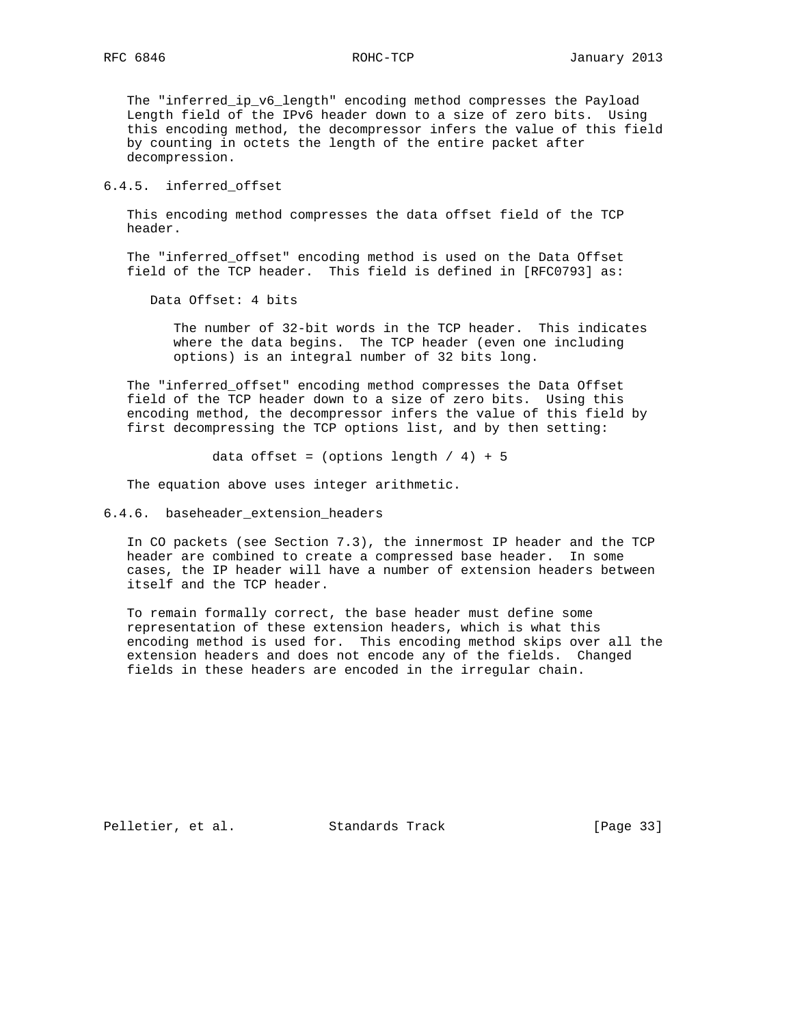The "inferred\_ip\_v6\_length" encoding method compresses the Payload Length field of the IPv6 header down to a size of zero bits. Using this encoding method, the decompressor infers the value of this field by counting in octets the length of the entire packet after decompression.

# 6.4.5. inferred\_offset

 This encoding method compresses the data offset field of the TCP header.

 The "inferred\_offset" encoding method is used on the Data Offset field of the TCP header. This field is defined in [RFC0793] as:

Data Offset: 4 bits

 The number of 32-bit words in the TCP header. This indicates where the data begins. The TCP header (even one including options) is an integral number of 32 bits long.

 The "inferred\_offset" encoding method compresses the Data Offset field of the TCP header down to a size of zero bits. Using this encoding method, the decompressor infers the value of this field by first decompressing the TCP options list, and by then setting:

data offset = (options length  $/$  4) + 5

The equation above uses integer arithmetic.

6.4.6. baseheader\_extension\_headers

 In CO packets (see Section 7.3), the innermost IP header and the TCP header are combined to create a compressed base header. In some cases, the IP header will have a number of extension headers between itself and the TCP header.

 To remain formally correct, the base header must define some representation of these extension headers, which is what this encoding method is used for. This encoding method skips over all the extension headers and does not encode any of the fields. Changed fields in these headers are encoded in the irregular chain.

Pelletier, et al. Standards Track [Page 33]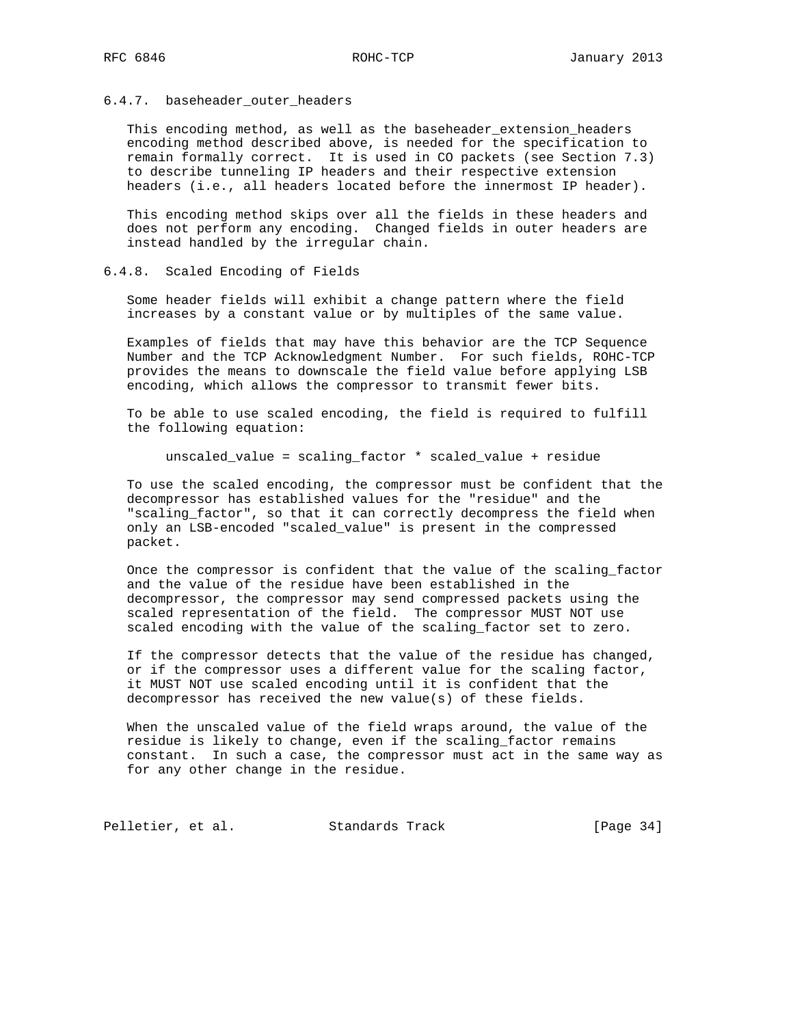# 6.4.7. baseheader\_outer\_headers

This encoding method, as well as the baseheader\_extension\_headers encoding method described above, is needed for the specification to remain formally correct. It is used in CO packets (see Section 7.3) to describe tunneling IP headers and their respective extension headers (i.e., all headers located before the innermost IP header).

 This encoding method skips over all the fields in these headers and does not perform any encoding. Changed fields in outer headers are instead handled by the irregular chain.

# 6.4.8. Scaled Encoding of Fields

 Some header fields will exhibit a change pattern where the field increases by a constant value or by multiples of the same value.

 Examples of fields that may have this behavior are the TCP Sequence Number and the TCP Acknowledgment Number. For such fields, ROHC-TCP provides the means to downscale the field value before applying LSB encoding, which allows the compressor to transmit fewer bits.

 To be able to use scaled encoding, the field is required to fulfill the following equation:

unscaled\_value = scaling\_factor \* scaled\_value + residue

 To use the scaled encoding, the compressor must be confident that the decompressor has established values for the "residue" and the "scaling\_factor", so that it can correctly decompress the field when only an LSB-encoded "scaled\_value" is present in the compressed packet.

 Once the compressor is confident that the value of the scaling\_factor and the value of the residue have been established in the decompressor, the compressor may send compressed packets using the scaled representation of the field. The compressor MUST NOT use scaled encoding with the value of the scaling\_factor set to zero.

 If the compressor detects that the value of the residue has changed, or if the compressor uses a different value for the scaling factor, it MUST NOT use scaled encoding until it is confident that the decompressor has received the new value(s) of these fields.

 When the unscaled value of the field wraps around, the value of the residue is likely to change, even if the scaling\_factor remains constant. In such a case, the compressor must act in the same way as for any other change in the residue.

Pelletier, et al. Standards Track [Page 34]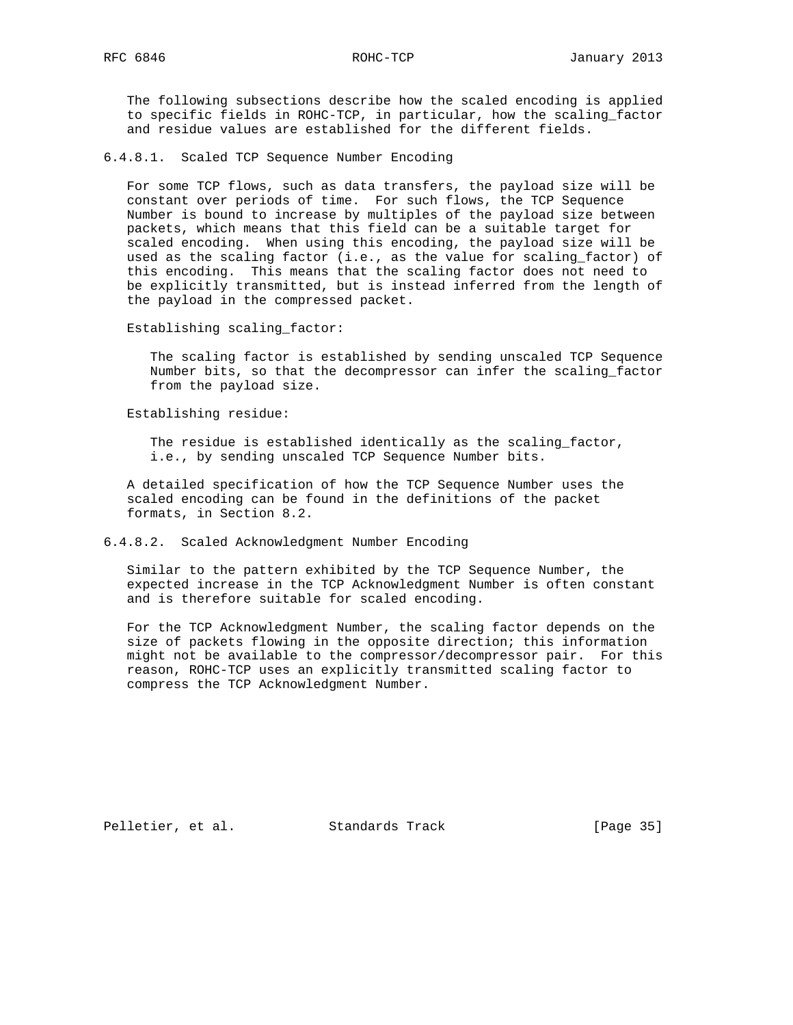RFC 6846 ROHC-TCP January 2013

 The following subsections describe how the scaled encoding is applied to specific fields in ROHC-TCP, in particular, how the scaling\_factor and residue values are established for the different fields.

6.4.8.1. Scaled TCP Sequence Number Encoding

 For some TCP flows, such as data transfers, the payload size will be constant over periods of time. For such flows, the TCP Sequence Number is bound to increase by multiples of the payload size between packets, which means that this field can be a suitable target for scaled encoding. When using this encoding, the payload size will be used as the scaling factor (i.e., as the value for scaling\_factor) of this encoding. This means that the scaling factor does not need to be explicitly transmitted, but is instead inferred from the length of the payload in the compressed packet.

Establishing scaling\_factor:

 The scaling factor is established by sending unscaled TCP Sequence Number bits, so that the decompressor can infer the scaling\_factor from the payload size.

Establishing residue:

 The residue is established identically as the scaling\_factor, i.e., by sending unscaled TCP Sequence Number bits.

 A detailed specification of how the TCP Sequence Number uses the scaled encoding can be found in the definitions of the packet formats, in Section 8.2.

# 6.4.8.2. Scaled Acknowledgment Number Encoding

 Similar to the pattern exhibited by the TCP Sequence Number, the expected increase in the TCP Acknowledgment Number is often constant and is therefore suitable for scaled encoding.

 For the TCP Acknowledgment Number, the scaling factor depends on the size of packets flowing in the opposite direction; this information might not be available to the compressor/decompressor pair. For this reason, ROHC-TCP uses an explicitly transmitted scaling factor to compress the TCP Acknowledgment Number.

Pelletier, et al. Standards Track [Page 35]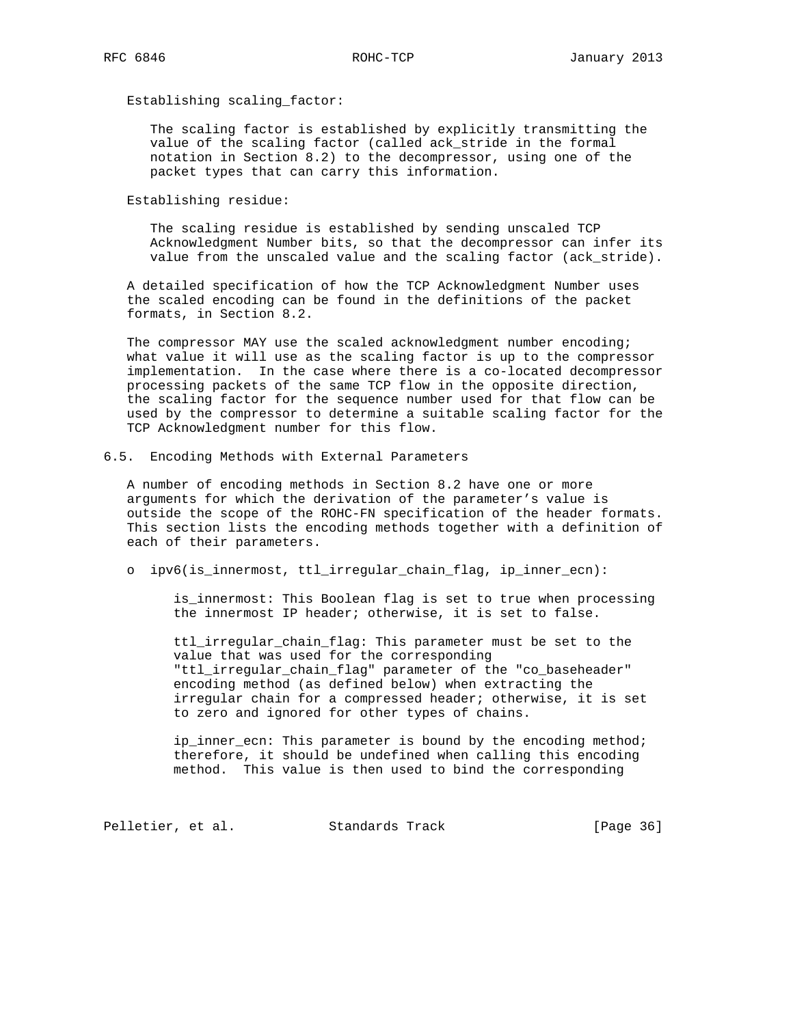Establishing scaling\_factor:

 The scaling factor is established by explicitly transmitting the value of the scaling factor (called ack\_stride in the formal notation in Section 8.2) to the decompressor, using one of the packet types that can carry this information.

Establishing residue:

 The scaling residue is established by sending unscaled TCP Acknowledgment Number bits, so that the decompressor can infer its value from the unscaled value and the scaling factor (ack\_stride).

 A detailed specification of how the TCP Acknowledgment Number uses the scaled encoding can be found in the definitions of the packet formats, in Section 8.2.

 The compressor MAY use the scaled acknowledgment number encoding; what value it will use as the scaling factor is up to the compressor implementation. In the case where there is a co-located decompressor processing packets of the same TCP flow in the opposite direction, the scaling factor for the sequence number used for that flow can be used by the compressor to determine a suitable scaling factor for the TCP Acknowledgment number for this flow.

6.5. Encoding Methods with External Parameters

 A number of encoding methods in Section 8.2 have one or more arguments for which the derivation of the parameter's value is outside the scope of the ROHC-FN specification of the header formats. This section lists the encoding methods together with a definition of each of their parameters.

o ipv6(is\_innermost, ttl\_irregular\_chain\_flag, ip\_inner\_ecn):

 is\_innermost: This Boolean flag is set to true when processing the innermost IP header; otherwise, it is set to false.

 ttl\_irregular\_chain\_flag: This parameter must be set to the value that was used for the corresponding "ttl\_irregular\_chain\_flag" parameter of the "co\_baseheader" encoding method (as defined below) when extracting the irregular chain for a compressed header; otherwise, it is set to zero and ignored for other types of chains.

 ip\_inner\_ecn: This parameter is bound by the encoding method; therefore, it should be undefined when calling this encoding method. This value is then used to bind the corresponding

Pelletier, et al. Standards Track [Page 36]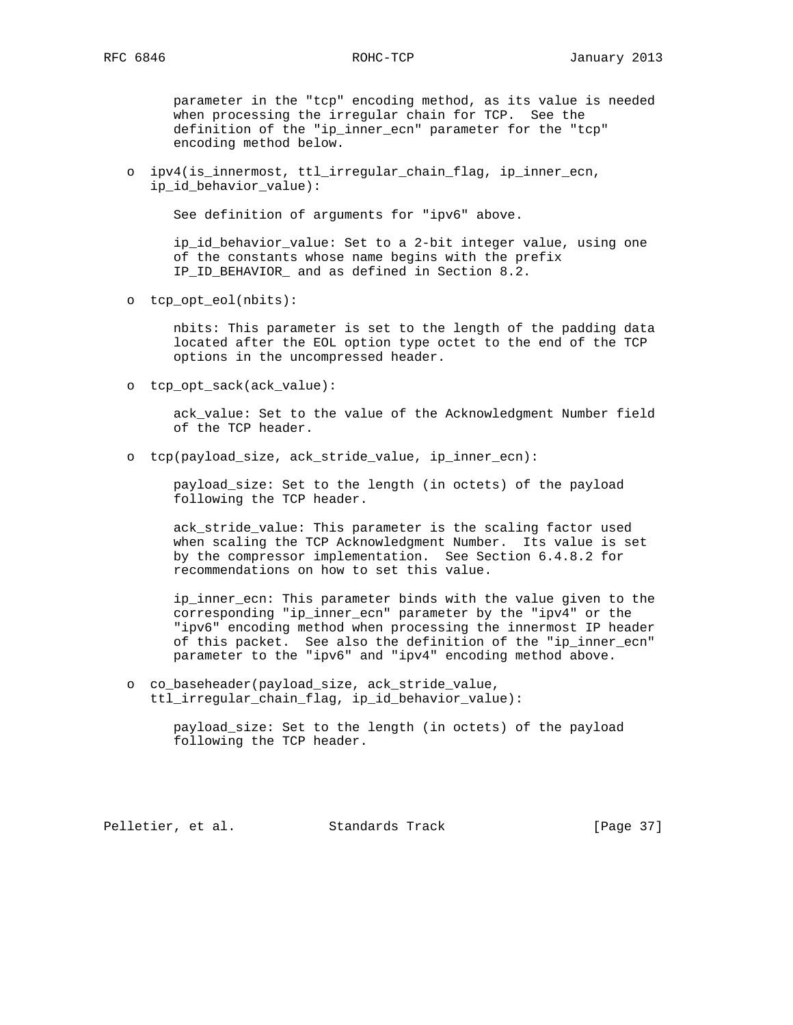parameter in the "tcp" encoding method, as its value is needed when processing the irregular chain for TCP. See the definition of the "ip\_inner\_ecn" parameter for the "tcp" encoding method below.

 o ipv4(is\_innermost, ttl\_irregular\_chain\_flag, ip\_inner\_ecn, ip\_id\_behavior\_value):

See definition of arguments for "ipv6" above.

 ip\_id\_behavior\_value: Set to a 2-bit integer value, using one of the constants whose name begins with the prefix IP\_ID\_BEHAVIOR\_ and as defined in Section 8.2.

o tcp\_opt\_eol(nbits):

 nbits: This parameter is set to the length of the padding data located after the EOL option type octet to the end of the TCP options in the uncompressed header.

o tcp\_opt\_sack(ack\_value):

 ack\_value: Set to the value of the Acknowledgment Number field of the TCP header.

o tcp(payload\_size, ack\_stride\_value, ip\_inner\_ecn):

 payload\_size: Set to the length (in octets) of the payload following the TCP header.

 ack\_stride\_value: This parameter is the scaling factor used when scaling the TCP Acknowledgment Number. Its value is set by the compressor implementation. See Section 6.4.8.2 for recommendations on how to set this value.

 ip\_inner\_ecn: This parameter binds with the value given to the corresponding "ip\_inner\_ecn" parameter by the "ipv4" or the "ipv6" encoding method when processing the innermost IP header of this packet. See also the definition of the "ip\_inner ecn" parameter to the "ipv6" and "ipv4" encoding method above.

 o co\_baseheader(payload\_size, ack\_stride\_value, ttl\_irregular\_chain\_flag, ip\_id\_behavior\_value):

> payload\_size: Set to the length (in octets) of the payload following the TCP header.

Pelletier, et al. Standards Track [Page 37]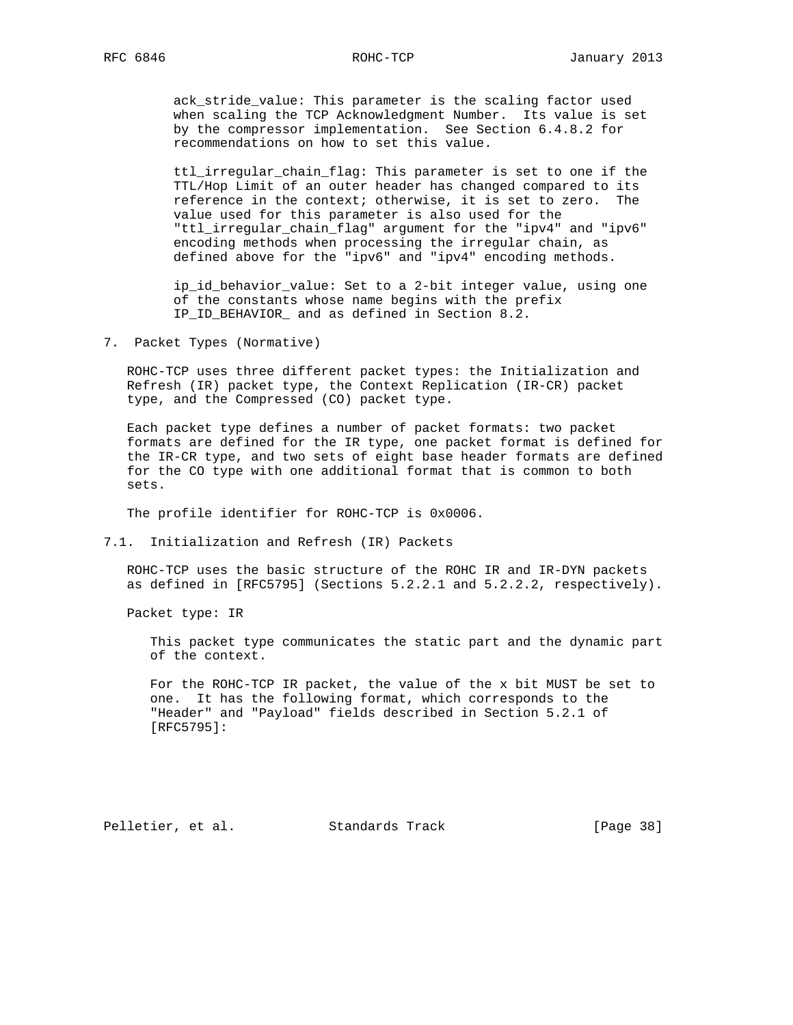ack\_stride\_value: This parameter is the scaling factor used when scaling the TCP Acknowledgment Number. Its value is set by the compressor implementation. See Section 6.4.8.2 for recommendations on how to set this value.

 ttl\_irregular\_chain\_flag: This parameter is set to one if the TTL/Hop Limit of an outer header has changed compared to its reference in the context; otherwise, it is set to zero. The value used for this parameter is also used for the "ttl irregular chain flag" argument for the "ipv4" and "ipv6" encoding methods when processing the irregular chain, as defined above for the "ipv6" and "ipv4" encoding methods.

 ip\_id\_behavior\_value: Set to a 2-bit integer value, using one of the constants whose name begins with the prefix IP\_ID\_BEHAVIOR\_ and as defined in Section 8.2.

7. Packet Types (Normative)

 ROHC-TCP uses three different packet types: the Initialization and Refresh (IR) packet type, the Context Replication (IR-CR) packet type, and the Compressed (CO) packet type.

 Each packet type defines a number of packet formats: two packet formats are defined for the IR type, one packet format is defined for the IR-CR type, and two sets of eight base header formats are defined for the CO type with one additional format that is common to both sets.

The profile identifier for ROHC-TCP is 0x0006.

7.1. Initialization and Refresh (IR) Packets

 ROHC-TCP uses the basic structure of the ROHC IR and IR-DYN packets as defined in [RFC5795] (Sections 5.2.2.1 and 5.2.2.2, respectively).

Packet type: IR

 This packet type communicates the static part and the dynamic part of the context.

 For the ROHC-TCP IR packet, the value of the x bit MUST be set to one. It has the following format, which corresponds to the "Header" and "Payload" fields described in Section 5.2.1 of [RFC5795]:

Pelletier, et al. Standards Track [Page 38]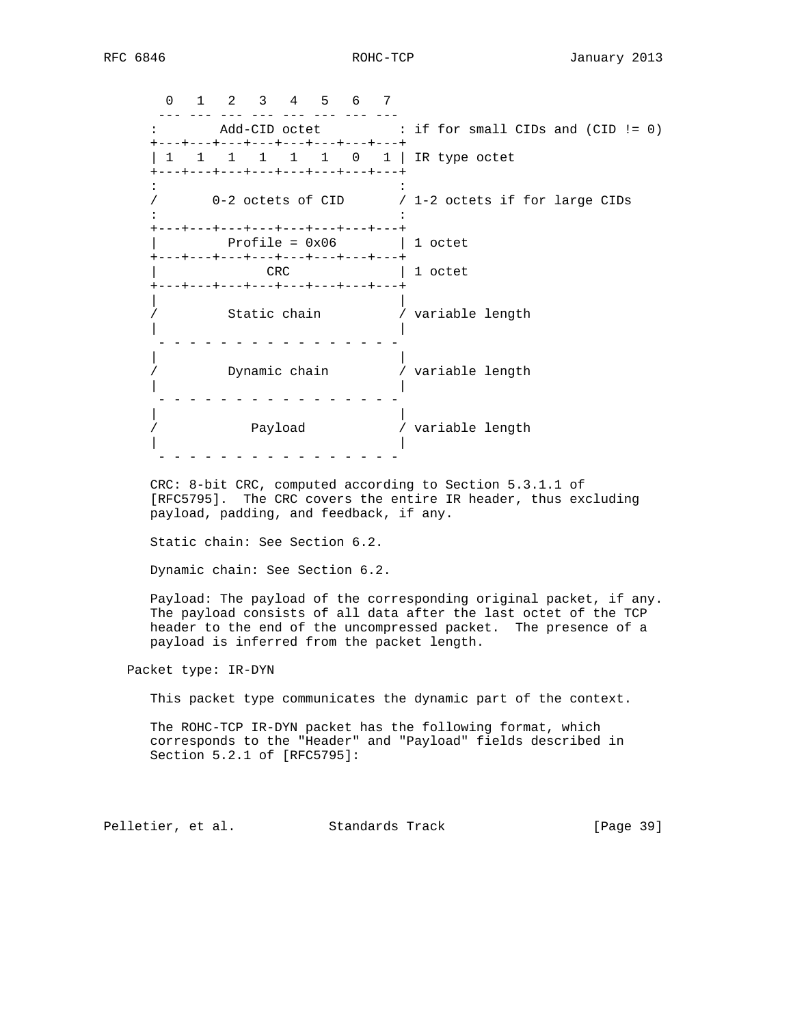0 1 2 3 4 5 6 7 --- --- --- --- --- --- --- --- --- : Add-CID octet : if for small CIDs and (CID != 0) +---+---+---+---+---+---+---+---+ | 1 1 1 1 1 0 1 | IR type octet +---+---+---+---+---+---+---+---+  $\mathcal{L}^{\mathcal{L}}(\mathcal{L}^{\mathcal{L}}(\mathcal{L}^{\mathcal{L}}(\mathcal{L}^{\mathcal{L}}(\mathcal{L}^{\mathcal{L}}(\mathcal{L}^{\mathcal{L}}(\mathcal{L}^{\mathcal{L}}(\mathcal{L}^{\mathcal{L}}(\mathcal{L}^{\mathcal{L}}(\mathcal{L}^{\mathcal{L}}(\mathcal{L}^{\mathcal{L}}(\mathcal{L}^{\mathcal{L}}(\mathcal{L}^{\mathcal{L}}(\mathcal{L}^{\mathcal{L}}(\mathcal{L}^{\mathcal{L}}(\mathcal{L}^{\mathcal{L}}(\mathcal{L}^{\mathcal{L$  / 0-2 octets of CID / 1-2 octets if for large CIDs the state of the state of the state of the state of the state of the state of the +---+---+---+---+---+---+---+---+  $Profit = 0x06$  | 1 octet +---+---+---+---+---+---+---+---+ | 1 octet +---+---+---+---+---+---+---+---+ | | / Static chain / variable length | | - - - - - - - - - - - - - - - - | | / Dynamic chain / variable length | | - - - - - - - - - - - - - - - - | | / Payload / variable length | | - - - - - - - - - - - - - - - -

 CRC: 8-bit CRC, computed according to Section 5.3.1.1 of [RFC5795]. The CRC covers the entire IR header, thus excluding payload, padding, and feedback, if any.

Static chain: See Section 6.2.

Dynamic chain: See Section 6.2.

 Payload: The payload of the corresponding original packet, if any. The payload consists of all data after the last octet of the TCP header to the end of the uncompressed packet. The presence of a payload is inferred from the packet length.

Packet type: IR-DYN

This packet type communicates the dynamic part of the context.

 The ROHC-TCP IR-DYN packet has the following format, which corresponds to the "Header" and "Payload" fields described in Section 5.2.1 of [RFC5795]:

Pelletier, et al. Standards Track [Page 39]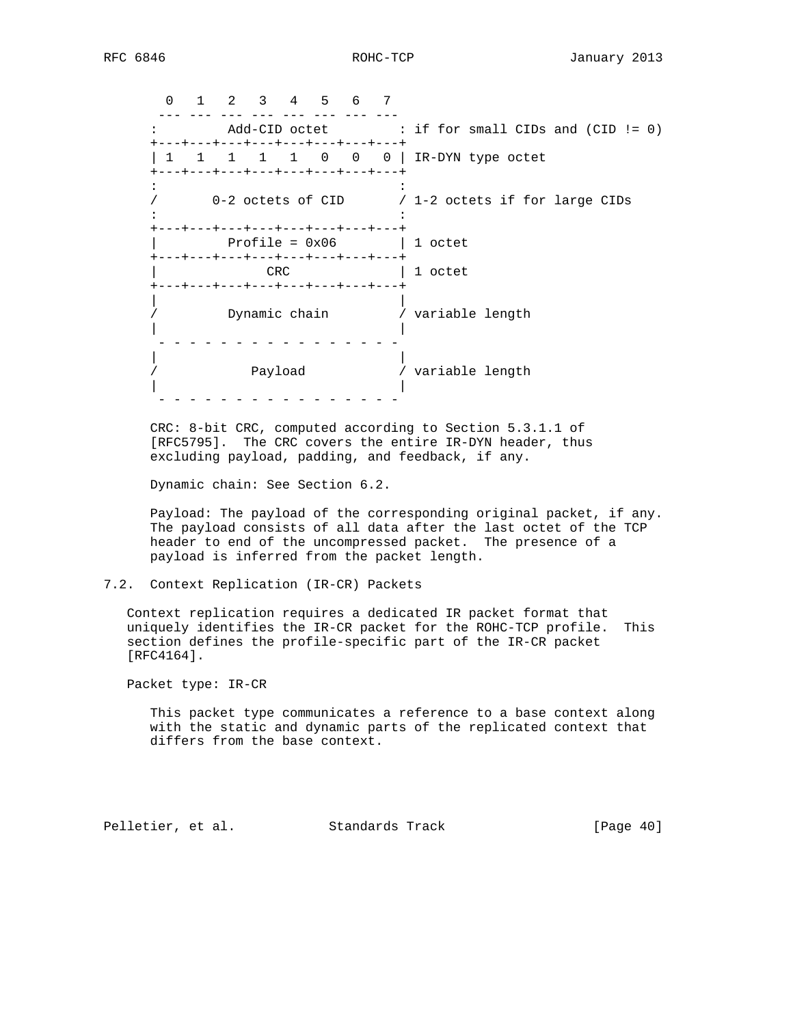0 1 2 3 4 5 6 7 --- --- --- --- --- --- --- --- --- : Add-CID octet : if for small CIDs and (CID != 0) +---+---+---+---+---+---+---+---+ | 1 1 1 1 1 0 0 0 | IR-DYN type octet +---+---+---+---+---+---+---+---+  $\mathcal{L}^{\mathcal{L}}(\mathcal{L}^{\mathcal{L}}(\mathcal{L}^{\mathcal{L}}(\mathcal{L}^{\mathcal{L}}(\mathcal{L}^{\mathcal{L}}(\mathcal{L}^{\mathcal{L}}(\mathcal{L}^{\mathcal{L}}(\mathcal{L}^{\mathcal{L}}(\mathcal{L}^{\mathcal{L}}(\mathcal{L}^{\mathcal{L}}(\mathcal{L}^{\mathcal{L}}(\mathcal{L}^{\mathcal{L}}(\mathcal{L}^{\mathcal{L}}(\mathcal{L}^{\mathcal{L}}(\mathcal{L}^{\mathcal{L}}(\mathcal{L}^{\mathcal{L}}(\mathcal{L}^{\mathcal{L$  / 0-2 octets of CID / 1-2 octets if for large CIDs the state of the state of the state of the state of the state of the state of the +---+---+---+---+---+---+---+---+  $Profit = 0x06$  | 1 octet +---+---+---+---+---+---+---+---+ CRC | 1 octet +---+---+---+---+---+---+---+---+ | | / Dynamic chain / variable length | | - - - - - - - - - - - - - - - - | | / Payload / variable length | | - - - - - - - - - - - - - - - -

 CRC: 8-bit CRC, computed according to Section 5.3.1.1 of [RFC5795]. The CRC covers the entire IR-DYN header, thus excluding payload, padding, and feedback, if any.

Dynamic chain: See Section 6.2.

 Payload: The payload of the corresponding original packet, if any. The payload consists of all data after the last octet of the TCP header to end of the uncompressed packet. The presence of a payload is inferred from the packet length.

# 7.2. Context Replication (IR-CR) Packets

 Context replication requires a dedicated IR packet format that uniquely identifies the IR-CR packet for the ROHC-TCP profile. This section defines the profile-specific part of the IR-CR packet [RFC4164].

Packet type: IR-CR

 This packet type communicates a reference to a base context along with the static and dynamic parts of the replicated context that differs from the base context.

Pelletier, et al. Standards Track [Page 40]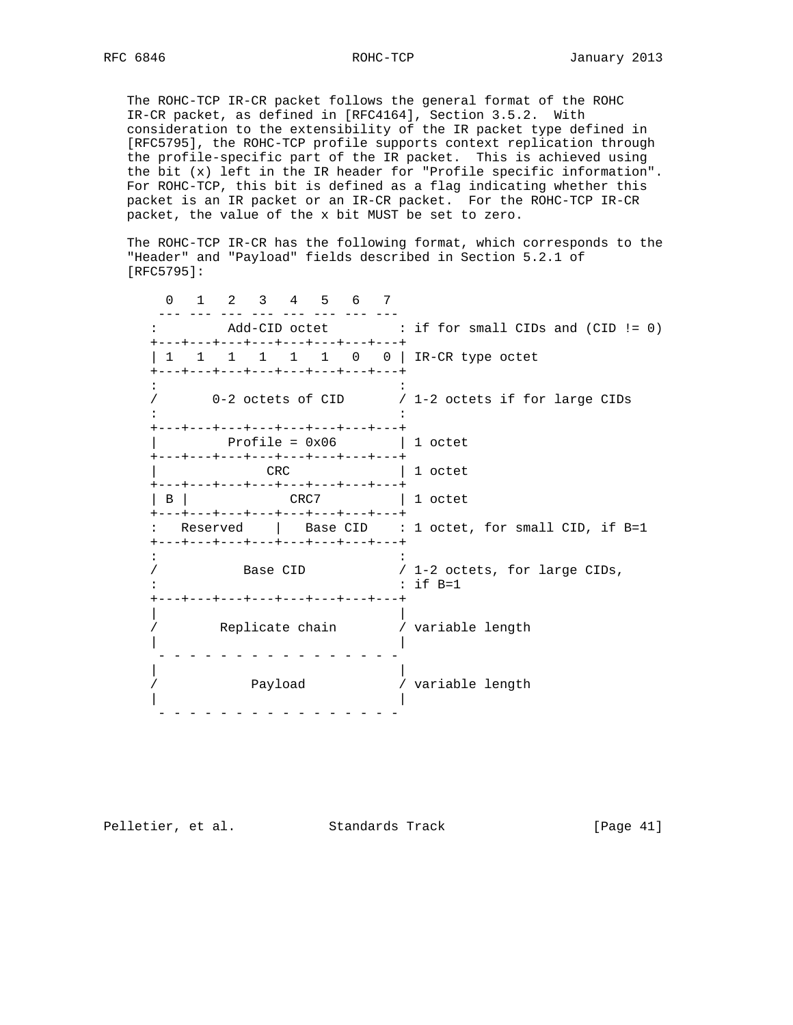The ROHC-TCP IR-CR packet follows the general format of the ROHC IR-CR packet, as defined in [RFC4164], Section 3.5.2. With consideration to the extensibility of the IR packet type defined in [RFC5795], the ROHC-TCP profile supports context replication through the profile-specific part of the IR packet. This is achieved using the bit (x) left in the IR header for "Profile specific information". For ROHC-TCP, this bit is defined as a flag indicating whether this packet is an IR packet or an IR-CR packet. For the ROHC-TCP IR-CR packet, the value of the x bit MUST be set to zero.

 The ROHC-TCP IR-CR has the following format, which corresponds to the "Header" and "Payload" fields described in Section 5.2.1 of [RFC5795]:

 0 1 2 3 4 5 6 7 --- --- --- --- --- --- --- --- : Add-CID octet : if for small CIDs and (CID != 0) +---+---+---+---+---+---+---+---+ | 1 1 1 1 1 0 0 | IR-CR type octet +---+---+---+---+---+---+---+---+ the state of the state of the state of the state of the state of the state of the / 0-2 octets of CID / 1-2 octets if for large CIDs  $\mathcal{L}^{\mathcal{L}}(\mathcal{L}^{\mathcal{L}}(\mathcal{L}^{\mathcal{L}}(\mathcal{L}^{\mathcal{L}}(\mathcal{L}^{\mathcal{L}}(\mathcal{L}^{\mathcal{L}}(\mathcal{L}^{\mathcal{L}}(\mathcal{L}^{\mathcal{L}}(\mathcal{L}^{\mathcal{L}}(\mathcal{L}^{\mathcal{L}}(\mathcal{L}^{\mathcal{L}}(\mathcal{L}^{\mathcal{L}}(\mathcal{L}^{\mathcal{L}}(\mathcal{L}^{\mathcal{L}}(\mathcal{L}^{\mathcal{L}}(\mathcal{L}^{\mathcal{L}}(\mathcal{L}^{\mathcal{L$  +---+---+---+---+---+---+---+---+ | Profile = 0x06 | 1 octet +---+---+---+---+---+---+---+---+ CRC | 1 octet +---+---+---+---+---+---+---+---+ | B | CRC7 | 1 octet +---+---+---+---+---+---+---+---+ : Reserved | Base CID : 1 octet, for small CID, if B=1 +---+---+---+---+---+---+---+---+ the state of the state of the state of the state of the state of the state of the / Base CID / 1-2 octets, for large CIDs, : : if B=1 +---+---+---+---+---+---+---+---+ | | / Replicate chain / variable length | | - - - - - - - - - - - - - - - - | | / Payload / variable length | | - - - - - - - - - - - - - - - -

Pelletier, et al. Standards Track [Page 41]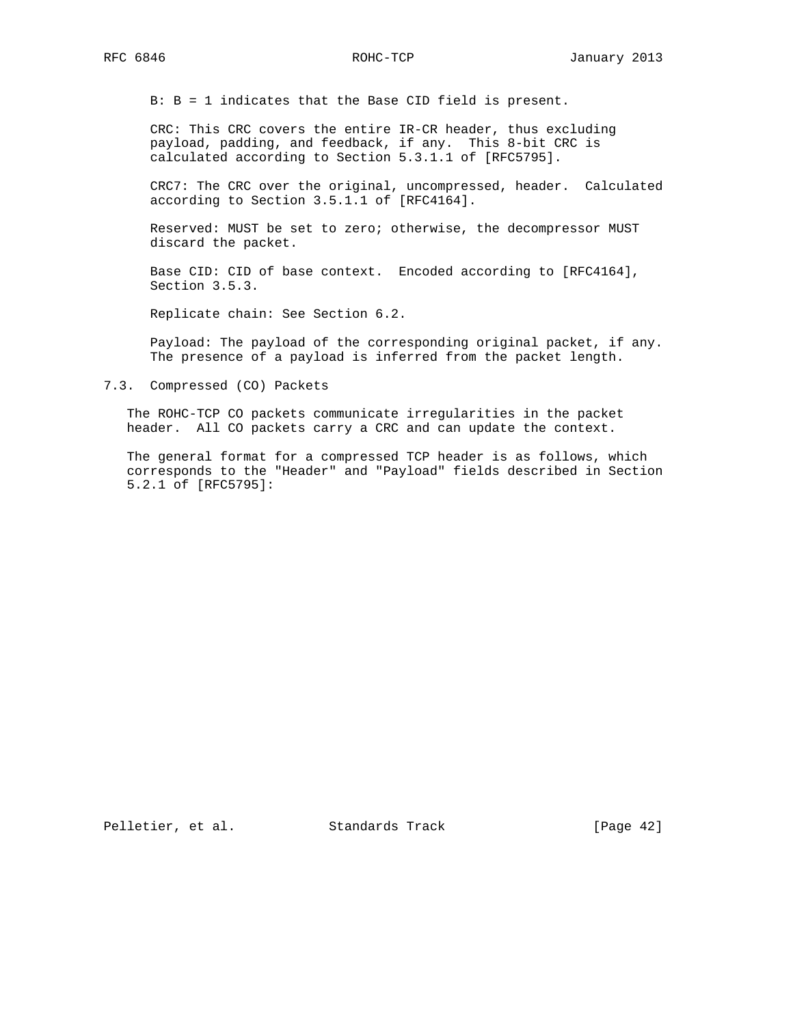B: B = 1 indicates that the Base CID field is present.

 CRC: This CRC covers the entire IR-CR header, thus excluding payload, padding, and feedback, if any. This 8-bit CRC is calculated according to Section 5.3.1.1 of [RFC5795].

 CRC7: The CRC over the original, uncompressed, header. Calculated according to Section 3.5.1.1 of [RFC4164].

 Reserved: MUST be set to zero; otherwise, the decompressor MUST discard the packet.

 Base CID: CID of base context. Encoded according to [RFC4164], Section 3.5.3.

Replicate chain: See Section 6.2.

 Payload: The payload of the corresponding original packet, if any. The presence of a payload is inferred from the packet length.

7.3. Compressed (CO) Packets

 The ROHC-TCP CO packets communicate irregularities in the packet header. All CO packets carry a CRC and can update the context.

 The general format for a compressed TCP header is as follows, which corresponds to the "Header" and "Payload" fields described in Section 5.2.1 of [RFC5795]:

Pelletier, et al. Standards Track [Page 42]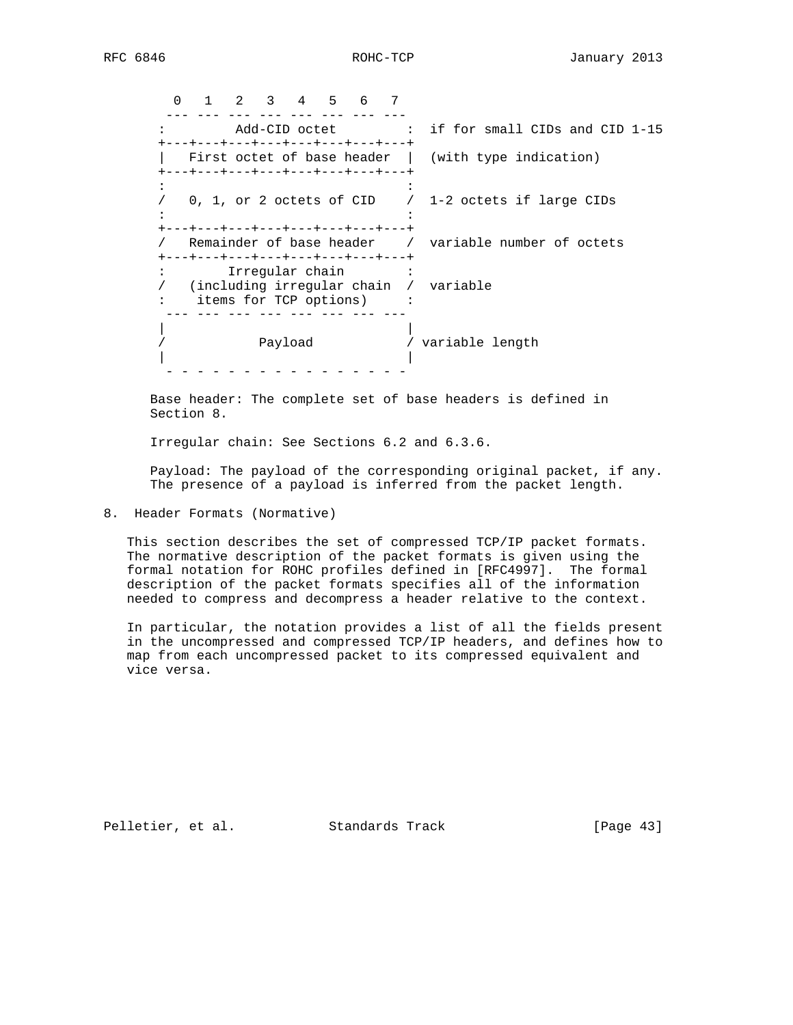0 1 2 3 4 5 6 7 --- --- --- --- --- --- --- --- : Add-CID octet : if for small CIDs and CID 1-15 +---+---+---+---+---+---+---+---+ | First octet of base header | (with type indication) +---+---+---+---+---+---+---+---+  $\mathcal{L}^{\mathcal{L}}(\mathcal{L}^{\mathcal{L}}(\mathcal{L}^{\mathcal{L}}(\mathcal{L}^{\mathcal{L}}(\mathcal{L}^{\mathcal{L}}(\mathcal{L}^{\mathcal{L}}(\mathcal{L}^{\mathcal{L}}(\mathcal{L}^{\mathcal{L}}(\mathcal{L}^{\mathcal{L}}(\mathcal{L}^{\mathcal{L}}(\mathcal{L}^{\mathcal{L}}(\mathcal{L}^{\mathcal{L}}(\mathcal{L}^{\mathcal{L}}(\mathcal{L}^{\mathcal{L}}(\mathcal{L}^{\mathcal{L}}(\mathcal{L}^{\mathcal{L}}(\mathcal{L}^{\mathcal{L$  / 0, 1, or 2 octets of CID / 1-2 octets if large CIDs the state of the state of the state of the state of the state of the state of the +---+---+---+---+---+---+---+---+ / Remainder of base header / variable number of octets +---+---+---+---+---+---+---+---+<br>: Trreqular chain : : Irregular chain : / (including irregular chain / variable : items for TCP options) : --- --- --- --- --- --- --- --- | | / Payload / variable length | | - - - - - - - - - - - - - - - -

 Base header: The complete set of base headers is defined in Section 8.

Irregular chain: See Sections 6.2 and 6.3.6.

 Payload: The payload of the corresponding original packet, if any. The presence of a payload is inferred from the packet length.

8. Header Formats (Normative)

 This section describes the set of compressed TCP/IP packet formats. The normative description of the packet formats is given using the formal notation for ROHC profiles defined in [RFC4997]. The formal description of the packet formats specifies all of the information needed to compress and decompress a header relative to the context.

 In particular, the notation provides a list of all the fields present in the uncompressed and compressed TCP/IP headers, and defines how to map from each uncompressed packet to its compressed equivalent and vice versa.

Pelletier, et al. Standards Track [Page 43]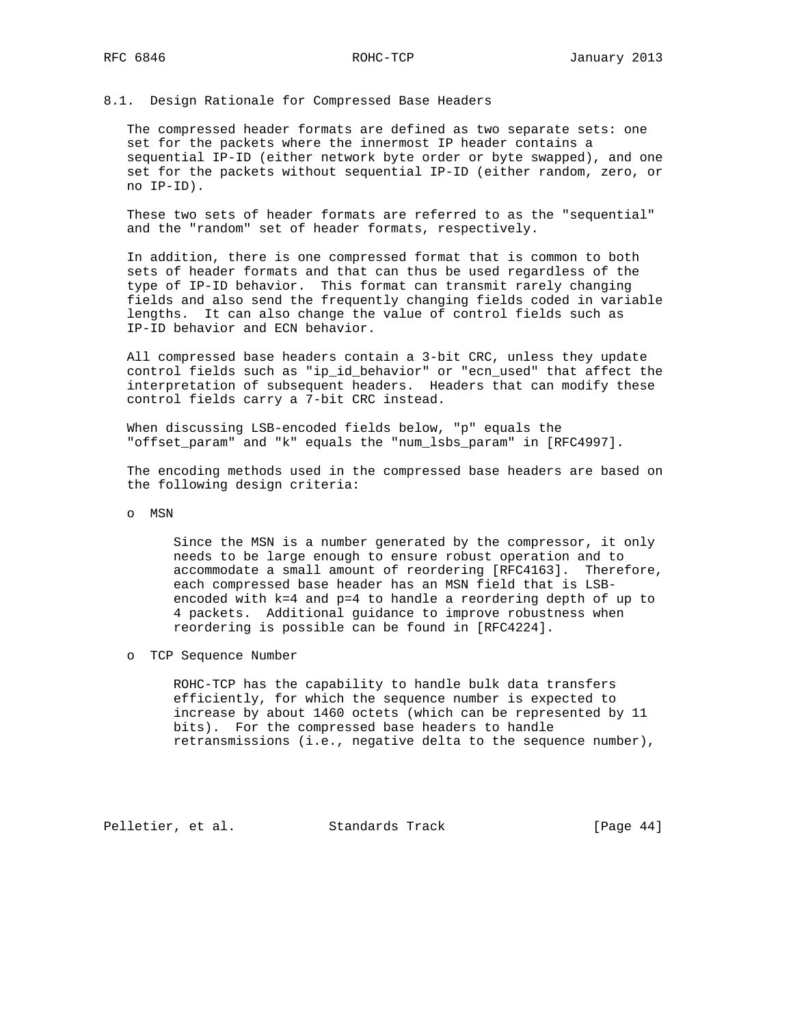### 8.1. Design Rationale for Compressed Base Headers

 The compressed header formats are defined as two separate sets: one set for the packets where the innermost IP header contains a sequential IP-ID (either network byte order or byte swapped), and one set for the packets without sequential IP-ID (either random, zero, or no IP-ID).

 These two sets of header formats are referred to as the "sequential" and the "random" set of header formats, respectively.

 In addition, there is one compressed format that is common to both sets of header formats and that can thus be used regardless of the type of IP-ID behavior. This format can transmit rarely changing fields and also send the frequently changing fields coded in variable lengths. It can also change the value of control fields such as IP-ID behavior and ECN behavior.

 All compressed base headers contain a 3-bit CRC, unless they update control fields such as "ip\_id\_behavior" or "ecn\_used" that affect the interpretation of subsequent headers. Headers that can modify these control fields carry a 7-bit CRC instead.

 When discussing LSB-encoded fields below, "p" equals the "offset\_param" and "k" equals the "num\_lsbs\_param" in [RFC4997].

 The encoding methods used in the compressed base headers are based on the following design criteria:

o MSN

 Since the MSN is a number generated by the compressor, it only needs to be large enough to ensure robust operation and to accommodate a small amount of reordering [RFC4163]. Therefore, each compressed base header has an MSN field that is LSB encoded with k=4 and p=4 to handle a reordering depth of up to 4 packets. Additional guidance to improve robustness when reordering is possible can be found in [RFC4224].

o TCP Sequence Number

 ROHC-TCP has the capability to handle bulk data transfers efficiently, for which the sequence number is expected to increase by about 1460 octets (which can be represented by 11 bits). For the compressed base headers to handle retransmissions (i.e., negative delta to the sequence number),

Pelletier, et al. Standards Track [Page 44]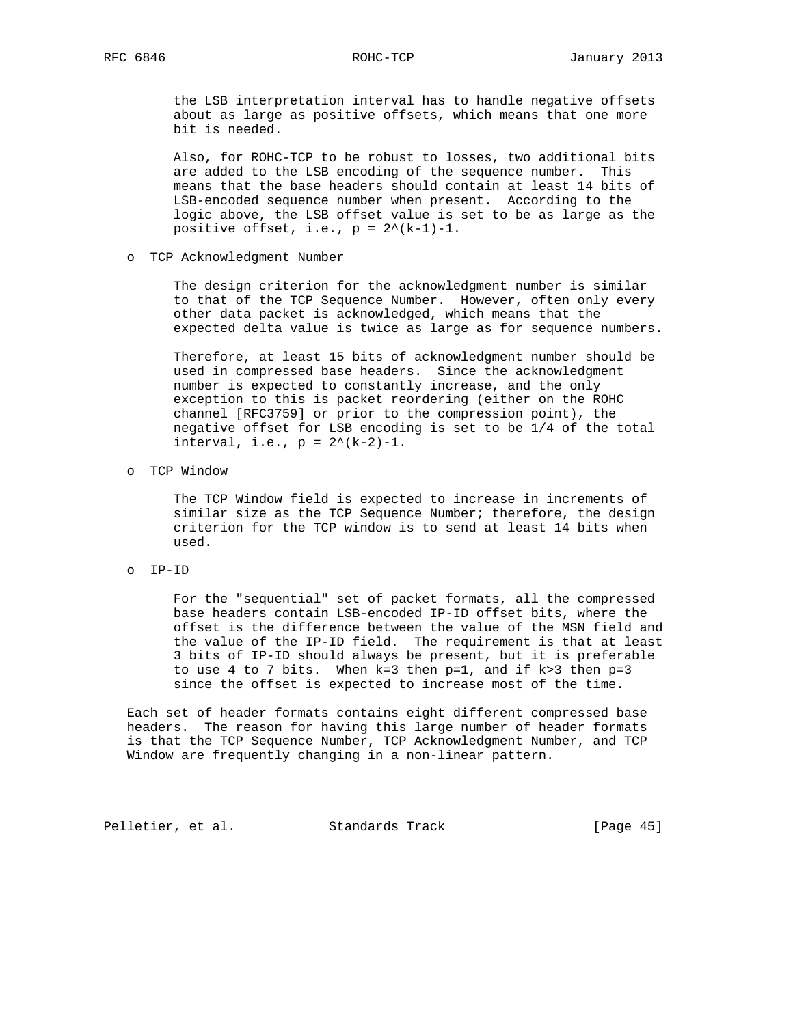the LSB interpretation interval has to handle negative offsets about as large as positive offsets, which means that one more bit is needed.

 Also, for ROHC-TCP to be robust to losses, two additional bits are added to the LSB encoding of the sequence number. This means that the base headers should contain at least 14 bits of LSB-encoded sequence number when present. According to the logic above, the LSB offset value is set to be as large as the positive offset, i.e.,  $p = 2^*(k-1)-1$ .

o TCP Acknowledgment Number

 The design criterion for the acknowledgment number is similar to that of the TCP Sequence Number. However, often only every other data packet is acknowledged, which means that the expected delta value is twice as large as for sequence numbers.

 Therefore, at least 15 bits of acknowledgment number should be used in compressed base headers. Since the acknowledgment number is expected to constantly increase, and the only exception to this is packet reordering (either on the ROHC channel [RFC3759] or prior to the compression point), the negative offset for LSB encoding is set to be 1/4 of the total interval, i.e.,  $p = 2^*(k-2)-1$ .

o TCP Window

 The TCP Window field is expected to increase in increments of similar size as the TCP Sequence Number; therefore, the design criterion for the TCP window is to send at least 14 bits when used.

o IP-ID

 For the "sequential" set of packet formats, all the compressed base headers contain LSB-encoded IP-ID offset bits, where the offset is the difference between the value of the MSN field and the value of the IP-ID field. The requirement is that at least 3 bits of IP-ID should always be present, but it is preferable to use 4 to 7 bits. When k=3 then p=1, and if k>3 then p=3 since the offset is expected to increase most of the time.

 Each set of header formats contains eight different compressed base headers. The reason for having this large number of header formats is that the TCP Sequence Number, TCP Acknowledgment Number, and TCP Window are frequently changing in a non-linear pattern.

Pelletier, et al. Standards Track [Page 45]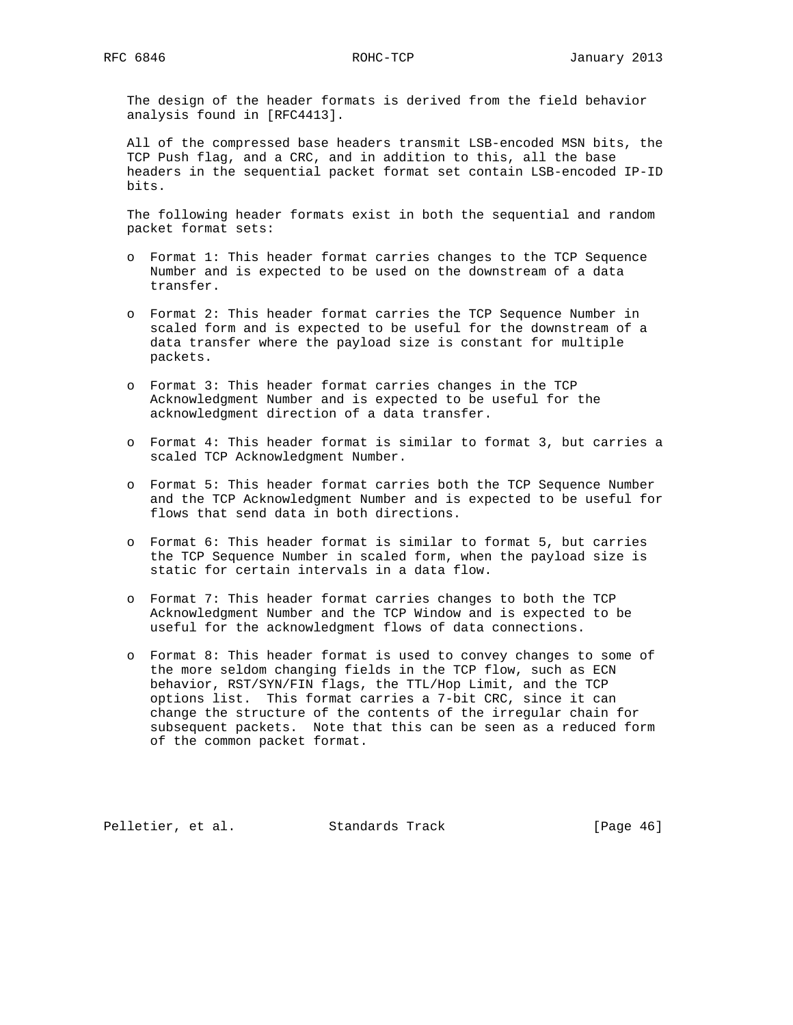The design of the header formats is derived from the field behavior analysis found in [RFC4413].

 All of the compressed base headers transmit LSB-encoded MSN bits, the TCP Push flag, and a CRC, and in addition to this, all the base headers in the sequential packet format set contain LSB-encoded IP-ID bits.

 The following header formats exist in both the sequential and random packet format sets:

- o Format 1: This header format carries changes to the TCP Sequence Number and is expected to be used on the downstream of a data transfer.
- o Format 2: This header format carries the TCP Sequence Number in scaled form and is expected to be useful for the downstream of a data transfer where the payload size is constant for multiple packets.
- o Format 3: This header format carries changes in the TCP Acknowledgment Number and is expected to be useful for the acknowledgment direction of a data transfer.
- o Format 4: This header format is similar to format 3, but carries a scaled TCP Acknowledgment Number.
- o Format 5: This header format carries both the TCP Sequence Number and the TCP Acknowledgment Number and is expected to be useful for flows that send data in both directions.
- o Format 6: This header format is similar to format 5, but carries the TCP Sequence Number in scaled form, when the payload size is static for certain intervals in a data flow.
- o Format 7: This header format carries changes to both the TCP Acknowledgment Number and the TCP Window and is expected to be useful for the acknowledgment flows of data connections.
- o Format 8: This header format is used to convey changes to some of the more seldom changing fields in the TCP flow, such as ECN behavior, RST/SYN/FIN flags, the TTL/Hop Limit, and the TCP options list. This format carries a 7-bit CRC, since it can change the structure of the contents of the irregular chain for subsequent packets. Note that this can be seen as a reduced form of the common packet format.

Pelletier, et al. Standards Track [Page 46]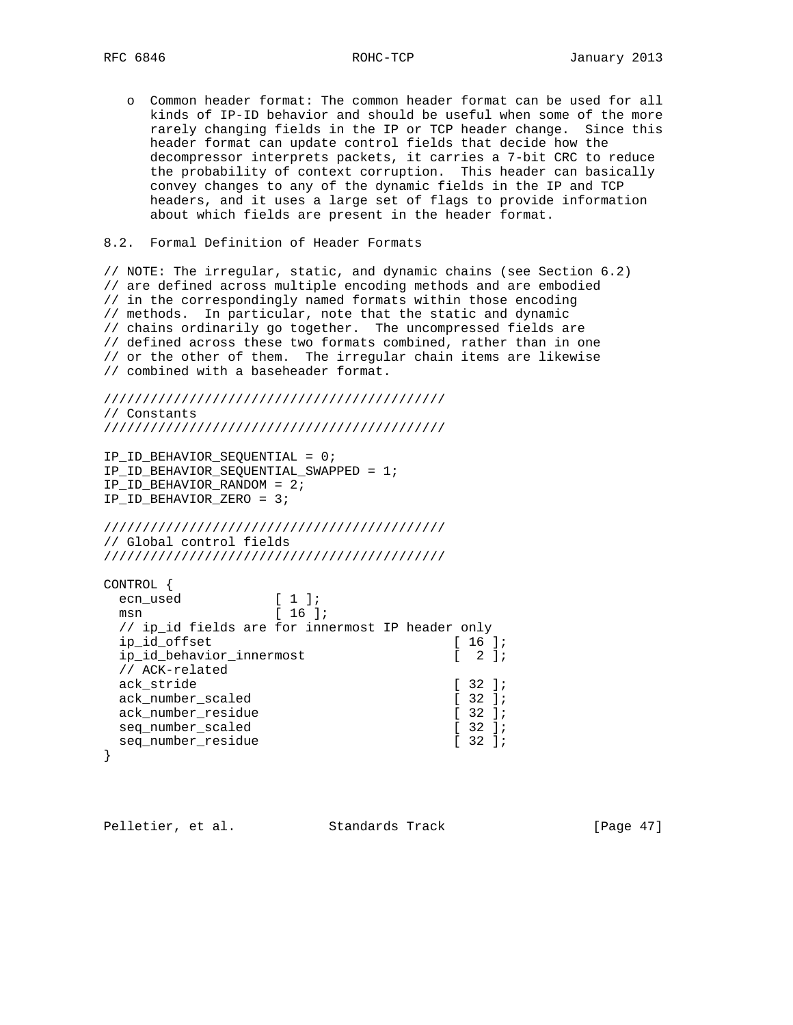o Common header format: The common header format can be used for all kinds of IP-ID behavior and should be useful when some of the more rarely changing fields in the IP or TCP header change. Since this header format can update control fields that decide how the decompressor interprets packets, it carries a 7-bit CRC to reduce the probability of context corruption. This header can basically convey changes to any of the dynamic fields in the IP and TCP headers, and it uses a large set of flags to provide information about which fields are present in the header format.

## 8.2. Formal Definition of Header Formats

// NOTE: The irregular, static, and dynamic chains (see Section 6.2) // are defined across multiple encoding methods and are embodied // in the correspondingly named formats within those encoding // methods. In particular, note that the static and dynamic // chains ordinarily go together. The uncompressed fields are // defined across these two formats combined, rather than in one // or the other of them. The irregular chain items are likewise // combined with a baseheader format.

//////////////////////////////////////////// // Constants ////////////////////////////////////////////

IP\_ID\_BEHAVIOR\_SEQUENTIAL = 0; IP\_ID\_BEHAVIOR\_SEQUENTIAL\_SWAPPED = 1; IP\_ID\_BEHAVIOR\_RANDOM = 2; IP\_ID\_BEHAVIOR\_ZERO = 3;

//////////////////////////////////////////// // Global control fields ////////////////////////////////////////////

| CONTROL                                          |                               |                                                  |
|--------------------------------------------------|-------------------------------|--------------------------------------------------|
| ecn used                                         | $\lceil 1 \rceil$             |                                                  |
| msn                                              | $16$ $\overline{\phantom{0}}$ |                                                  |
| // ip id fields are for innermost IP header only |                               |                                                  |
| ip id offset                                     |                               | $16$ $\overline{\phantom{0}}$                    |
| ip id behavior innermost                         |                               | $\begin{bmatrix} 2 & 1 \\ 2 & 1 \end{bmatrix}$   |
| // ACK-related                                   |                               |                                                  |
| ack stride                                       |                               | $132$ $11$                                       |
| ack number scaled                                |                               | $\begin{bmatrix} 32 \end{bmatrix}$               |
| ack number residue                               |                               | $\left[ \begin{array}{c} 32 \end{array} \right]$ |
| seg number scaled                                |                               | $\left[ \begin{array}{c} 32 \end{array} \right]$ |
| seg number residue                               |                               | $\left[ \begin{array}{c} 32 \end{array} \right]$ |
|                                                  |                               |                                                  |

Pelletier, et al. Standards Track [Page 47]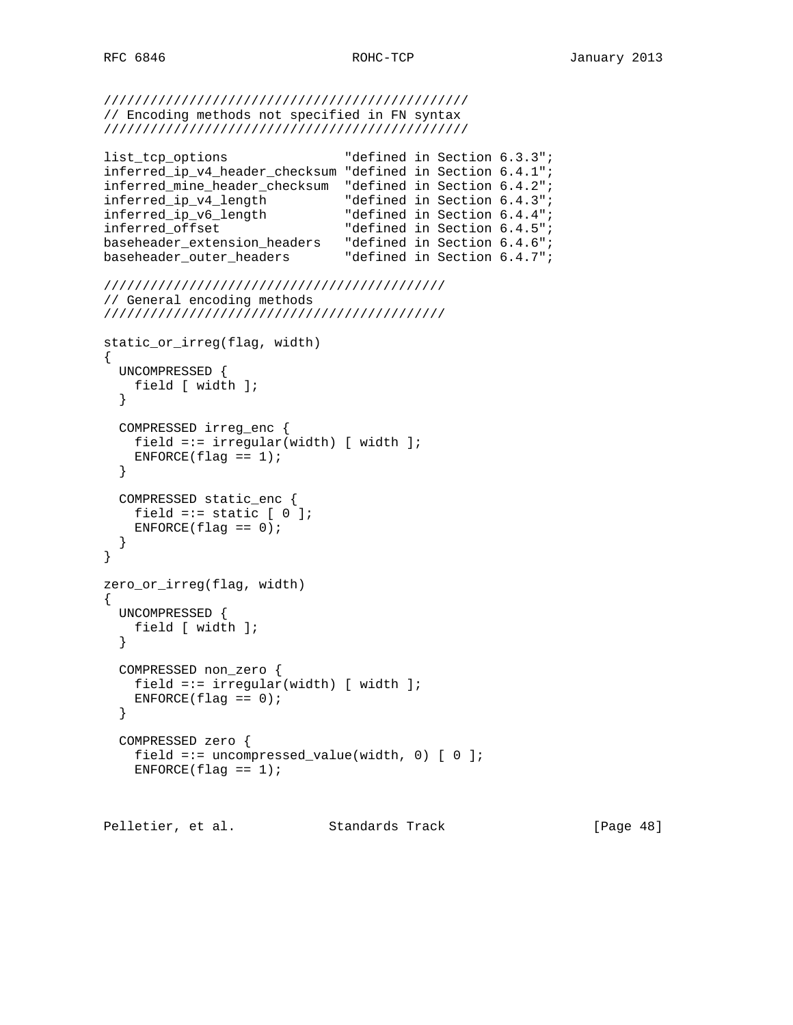```
///////////////////////////////////////////////
// Encoding methods not specified in FN syntax
///////////////////////////////////////////////
```

```
list_tcp_options "defined in Section 6.3.3";
inferred_ip_v4_header_checksum "defined in Section 6.4.1";
inferred_mine_header_checksum "defined in Section 6.4.2";
inferred_ip_v4_length "defined in Section 6.4.3";
inferred_ip_v6_length "defined in Section 6.4.4";
inferred_offset "defined in Section 6.4.5";
baseheader_extension_headers "defined in Section 6.4.6";
baseheader_outer_headers "defined in Section 6.4.7";
////////////////////////////////////////////
// General encoding methods
////////////////////////////////////////////
static_or_irreg(flag, width)
{
  UNCOMPRESSED {
    field [ width ];
  }
  COMPRESSED irreg_enc {
    field =:= irregular(width) [ width ];
   ENFORCE(flag == 1); }
  COMPRESSED static_enc {
   field =:= static [ 0 ];
   ENFORCE(flag == 0); }
}
zero_or_irreg(flag, width)
{
  UNCOMPRESSED {
    field [ width ];
  }
  COMPRESSED non_zero {
    field =:= irregular(width) [ width ];
   ENTER(flag == 0); }
  COMPRESSED zero {
    field =:= uncompressed_value(width, 0) [ 0 ];
   ENTER(flag == 1);
```
Pelletier, et al. Standards Track [Page 48]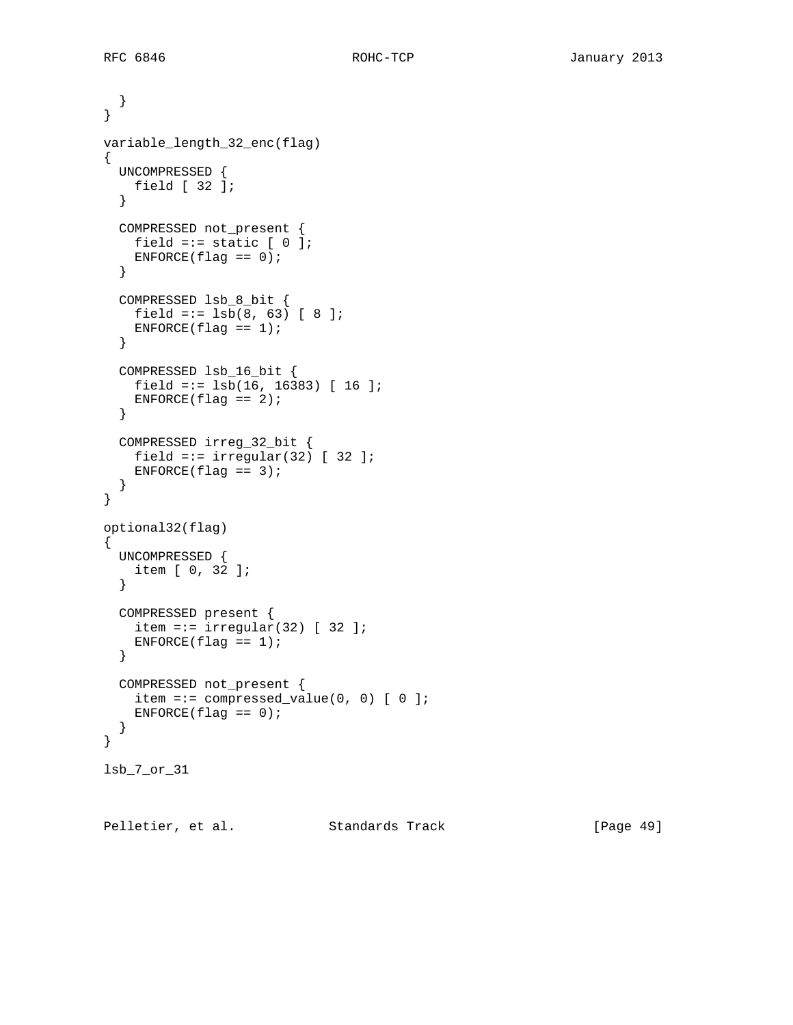```
 }
}
variable_length_32_enc(flag)
{
  UNCOMPRESSED {
   field [ 32 ];
   }
  COMPRESSED not_present {
   field =:= static [ 0 ];
   ENFORCE(flag == 0); }
   COMPRESSED lsb_8_bit {
   field =:= 1sb(8, 63) [ 8 ];
   ENFORCE(flag == 1); }
   COMPRESSED lsb_16_bit {
   field =:= 1sb(16, 16383) [ 16 ];
   ENFORCE(flag == 2); }
  COMPRESSED irreg_32_bit {
    field =:= irregular(32) [ 32 ];
   ENFORCE(flag == 3); }
}
optional32(flag)
{
  UNCOMPRESSED {
   item [ 0, 32 ];
   }
  COMPRESSED present {
   item =:= irregular(32) [ 32 ];
    ENTER(flag == 1); }
  COMPRESSED not_present {
    item =:= compressed_value(0, 0) [ 0 ];
   ENFORCE(flag == 0); }
}
lsb_7_or_31
```
Pelletier, et al. Standards Track [Page 49]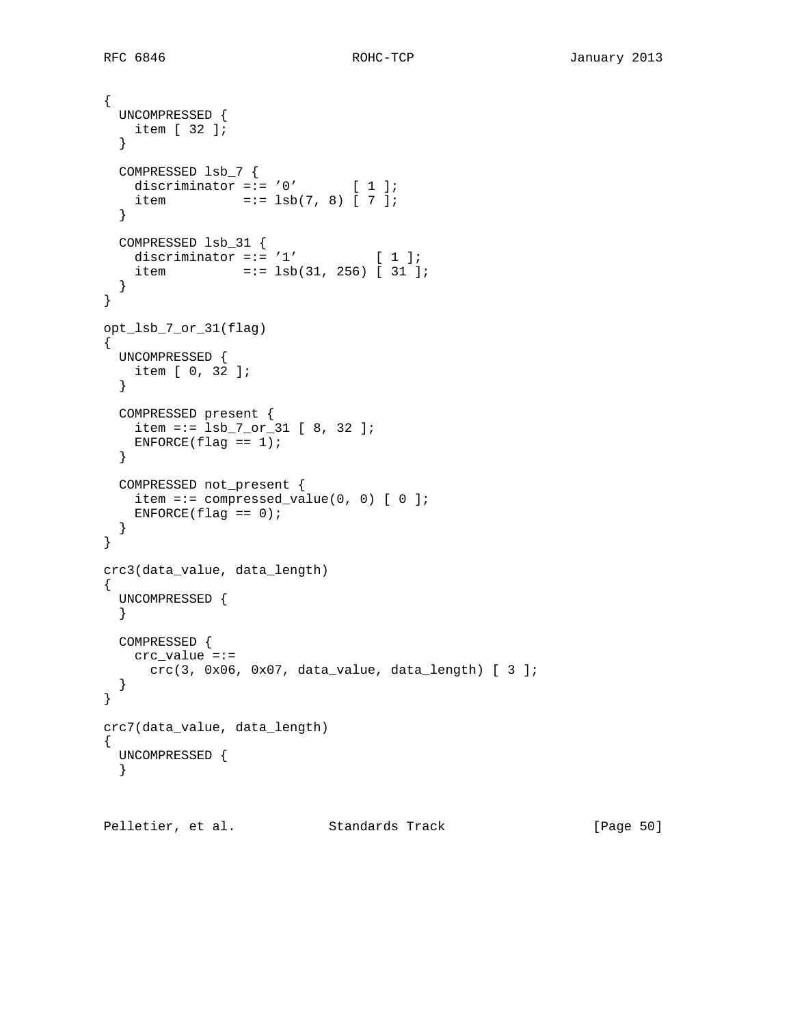```
{
  UNCOMPRESSED {
   item [ 32 ];
   }
  COMPRESSED lsb_7 {
  discriminator =:= '0' [ 1 ];
   item = := 1sb(7, 8) [7]; }
  COMPRESSED lsb_31 {
  discriminator =:= '1' [1];
   item = := 1sb(31, 256) [31];
  }
}
opt_lsb_7_or_31(flag)
{
  UNCOMPRESSED {
   item [ 0, 32 ];
   }
  COMPRESSED present {
   item =:= 1sb_7_or_31 [ 8, 32 ];
  ENFCRCE(flag == 1); }
  COMPRESSED not_present {
  item =:= compressed_value(0, 0) [ 0 ];
   ENFORCE(flag == 0); }
}
crc3(data_value, data_length)
{
  UNCOMPRESSED {
  }
  COMPRESSED {
   crc_value =:=
     crc(3, 0x06, 0x07, data_value, data_length) [ 3 ];
  }
}
crc7(data_value, data_length)
{
  UNCOMPRESSED {
   }
```
Pelletier, et al. Standards Track [Page 50]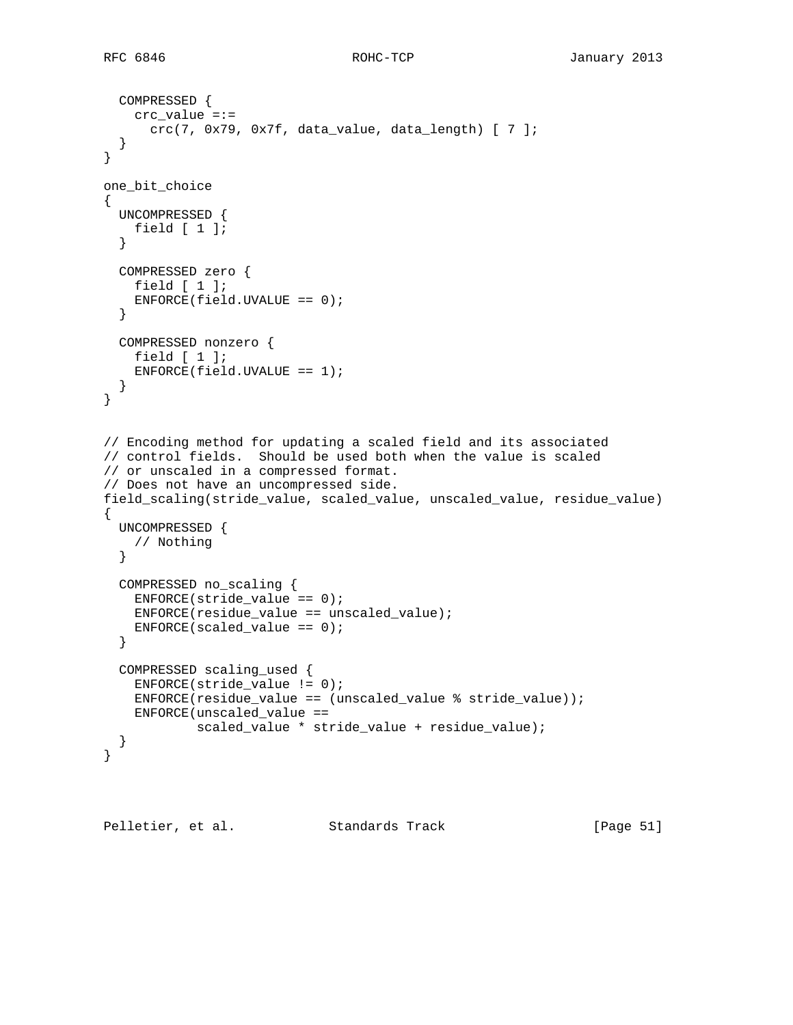```
 COMPRESSED {
     crc_value =:=
       crc(7, 0x79, 0x7f, data_value, data_length) [ 7 ];
   }
}
one_bit_choice
{
  UNCOMPRESSED {
   field [ 1 ];
   }
   COMPRESSED zero {
    field [ 1 ];
    ENFORCE(field.UVALUE == 0); }
  COMPRESSED nonzero {
    field [ 1 ];
   ENFORCE(field.UVALUE == 1); }
}
// Encoding method for updating a scaled field and its associated
// control fields. Should be used both when the value is scaled
// or unscaled in a compressed format.
// Does not have an uncompressed side.
field_scaling(stride_value, scaled_value, unscaled_value, residue_value)
{
  UNCOMPRESSED {
    // Nothing
   }
  COMPRESSED no_scaling {
    ENFORCE(\text{stride_value} == 0); ENFORCE(residue_value == unscaled_value);
    ENFORCE(scaled_value == 0);
   }
  COMPRESSED scaling_used {
    ENFORCE(stride_value != 0);
    ENFORCE(residue_value == (unscaled_value % stride_value));
    ENFORCE(unscaled_value ==
             scaled_value * stride_value + residue_value);
   }
}
```
Pelletier, et al. Standards Track [Page 51]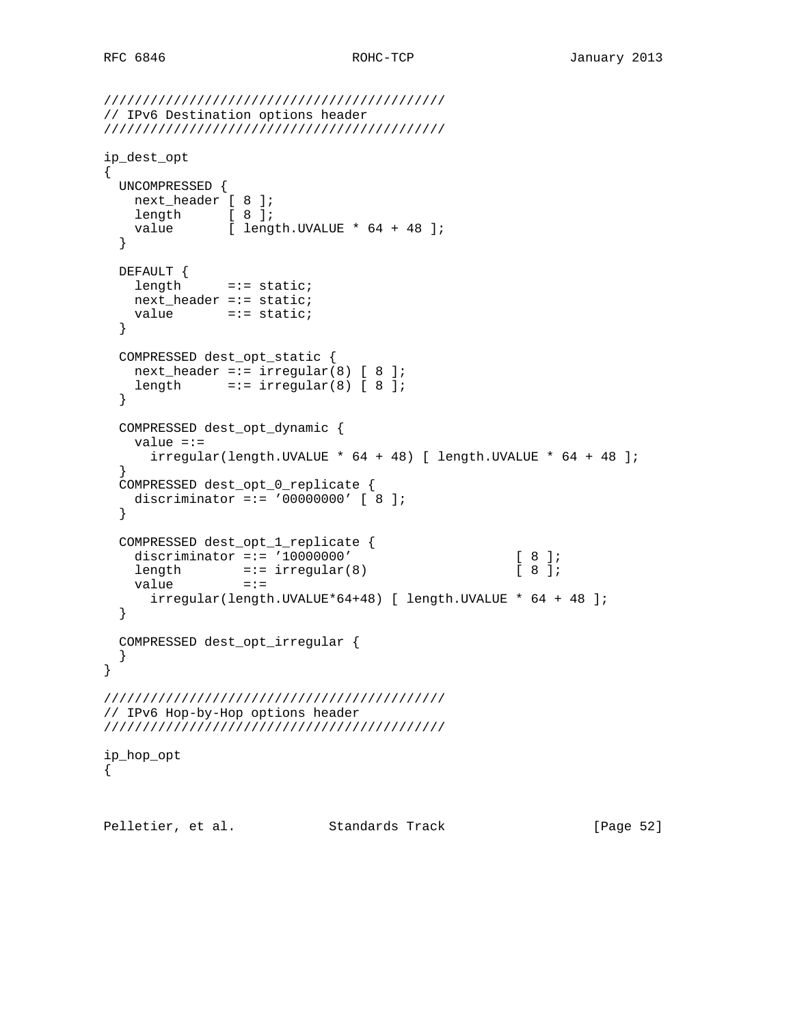```
////////////////////////////////////////////
// IPv6 Destination options header
////////////////////////////////////////////
ip_dest_opt
{
  UNCOMPRESSED {
   next_header [ 8 ];
  length [ 8 ];
   value [ length.UVALUE * 64 + 48 ];
  }
  DEFAULT {
   length =:= static;
    next_header =:= static;
   value =:= static;
  }
  COMPRESSED dest_opt_static {
  next\_header == irregular(8) [ 8 ];
   length =:- irregular(8) [ 8 ];
  }
  COMPRESSED dest_opt_dynamic {
    value =:=
     irregular(length.UVALLY * 64 + 48) [ length.UVALUE * 64 + 48 ];
  }
  COMPRESSED dest_opt_0_replicate {
   discriminator =:= '00000000' [ 8 ];
   }
  COMPRESSED dest_opt_1_replicate {
   discriminator =:= '10000000' [ 8 ];
length =:- \text{ irregular}(8) [ 8 ];
value =:=
      irregular(length.UVALUE*64+48) [ length.UVALUE * 64 + 48 ];
  }
  COMPRESSED dest_opt_irregular {
  }
}
////////////////////////////////////////////
// IPv6 Hop-by-Hop options header
////////////////////////////////////////////
ip_hop_opt
{
Pelletier, et al. Standards Track [Page 52]
```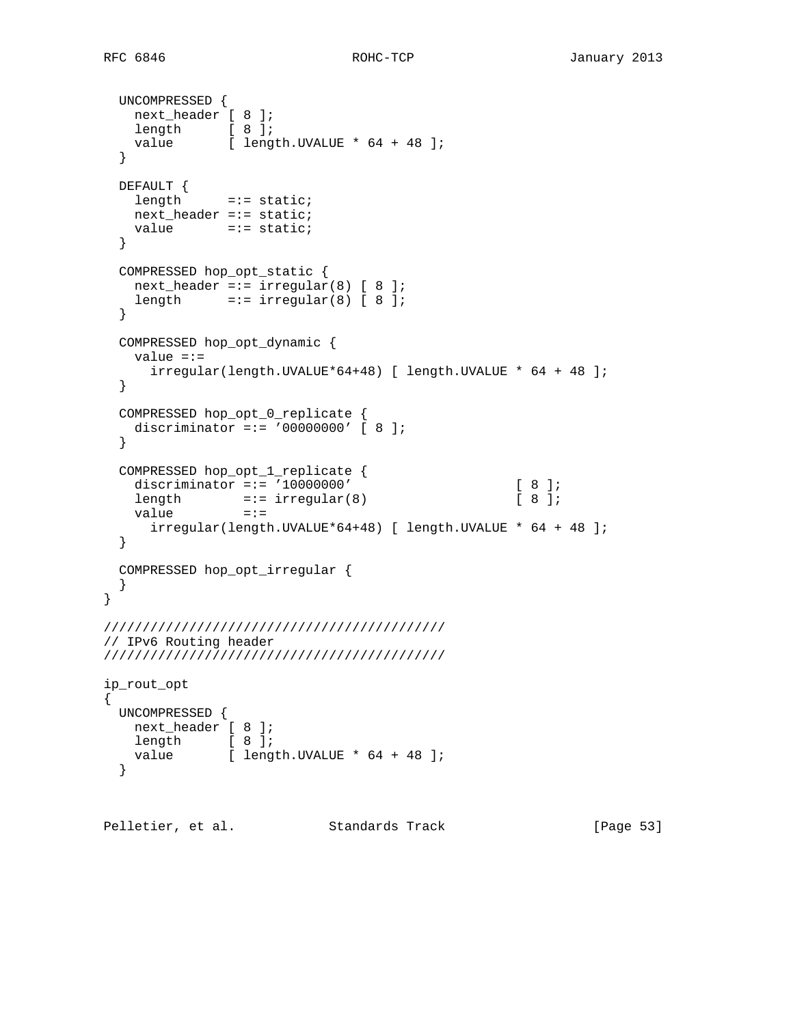```
 UNCOMPRESSED {
    next_header [ 8 ];
length [ 8 ];
value [ length.UVALUE * 64 + 48 ];
   }
  DEFAULT {
   length =:= static;
    next_header =:= static;
   value =:= static;
   }
   COMPRESSED hop_opt_static {
   next_header =:= irregular(8) [ 8 ];
   length =:- irregular(8) [ 8 ];
   }
  COMPRESSED hop_opt_dynamic {
    value =:=
      irregular(length.UVALUE*64+48) [ length.UVALUE * 64 + 48 ];
   }
   COMPRESSED hop_opt_0_replicate {
    discriminator =:= '00000000' [ 8 ];
   }
   COMPRESSED hop_opt_1_replicate {
   discriminator =:= '10000000' [ 8 ];<br>
length =:= irregular(8) [ 8 ];
   length =:- \text{ irregular}(8)value =:=
      irregular(length.UVALUE*64+48) [ length.UVALUE * 64 + 48 ];
   }
  COMPRESSED hop_opt_irregular {
   }
}
////////////////////////////////////////////
// IPv6 Routing header
////////////////////////////////////////////
ip_rout_opt
{
  UNCOMPRESSED {
   next_header [ 8 ];
   length [ 8 ];
   value [ length.UVALUE * 64 + 48 ];
   }
Pelletier, et al. Standards Track [Page 53]
```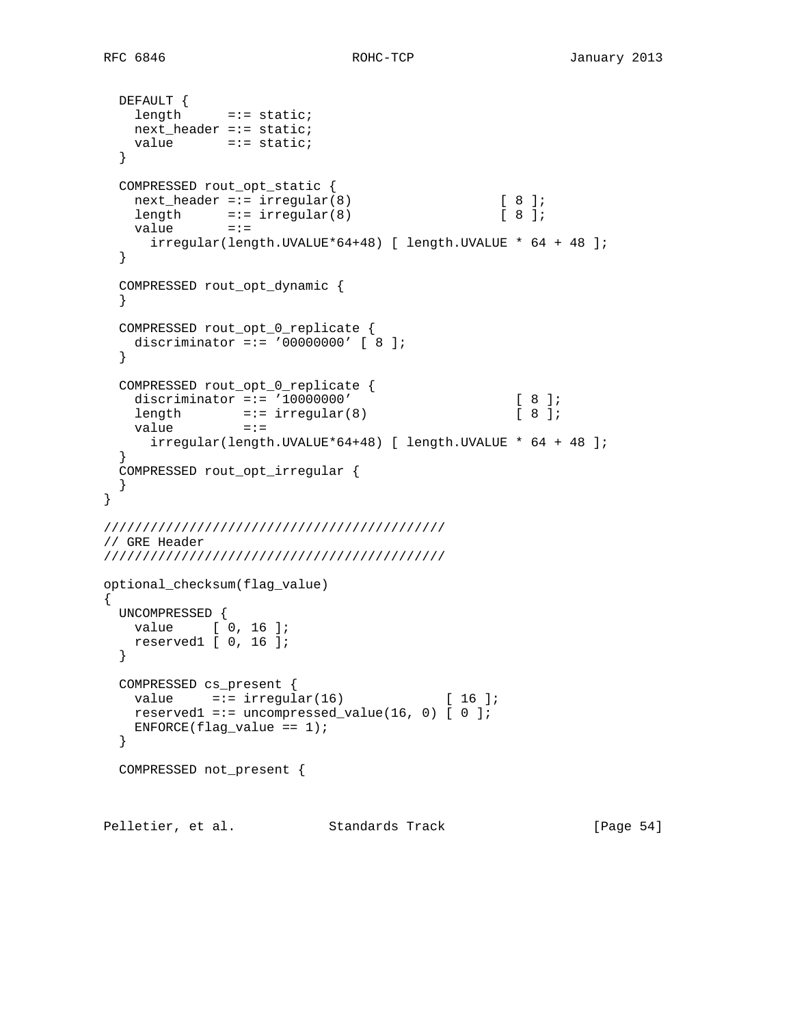```
 DEFAULT {
   length =:= static;
    next_header =:= static;
   value =:= static;
  }
  COMPRESSED rout_opt_static {
  next\_header := irregular(8) [ 8 ];
length =:= irregular(8) [8];
value =:=
     irregular(length.UVALUE*64+48) [ length.UVALUE * 64 + 48 ];
  }
  COMPRESSED rout_opt_dynamic {
  }
  COMPRESSED rout_opt_0_replicate {
   discriminator =:= '00000000' [ 8 ];
  }
  COMPRESSED rout_opt_0_replicate {
    discriminator =:= '10000000' [ 8 ];
length =:- \text{ irregular}(8) [ 8 ];
value =:=
     irregular(length.UVALUE*64+48) [ length.UVALUE * 64 + 48 ];
 }
  COMPRESSED rout_opt_irregular {
  }
}
////////////////////////////////////////////
// GRE Header
////////////////////////////////////////////
optional_checksum(flag_value)
{
  UNCOMPRESSED {
  value [ 0, 16 ];
    reserved1 [ 0, 16 ];
  }
  COMPRESSED cs_present {
  value =:- \text{ irregular}(16) [ 16 ];
  reserved1 =:= uncompressed_value(16, 0) [0];
   ENFORCE(flag_value == 1); }
  COMPRESSED not_present {
Pelletier, et al. Standards Track [Page 54]
```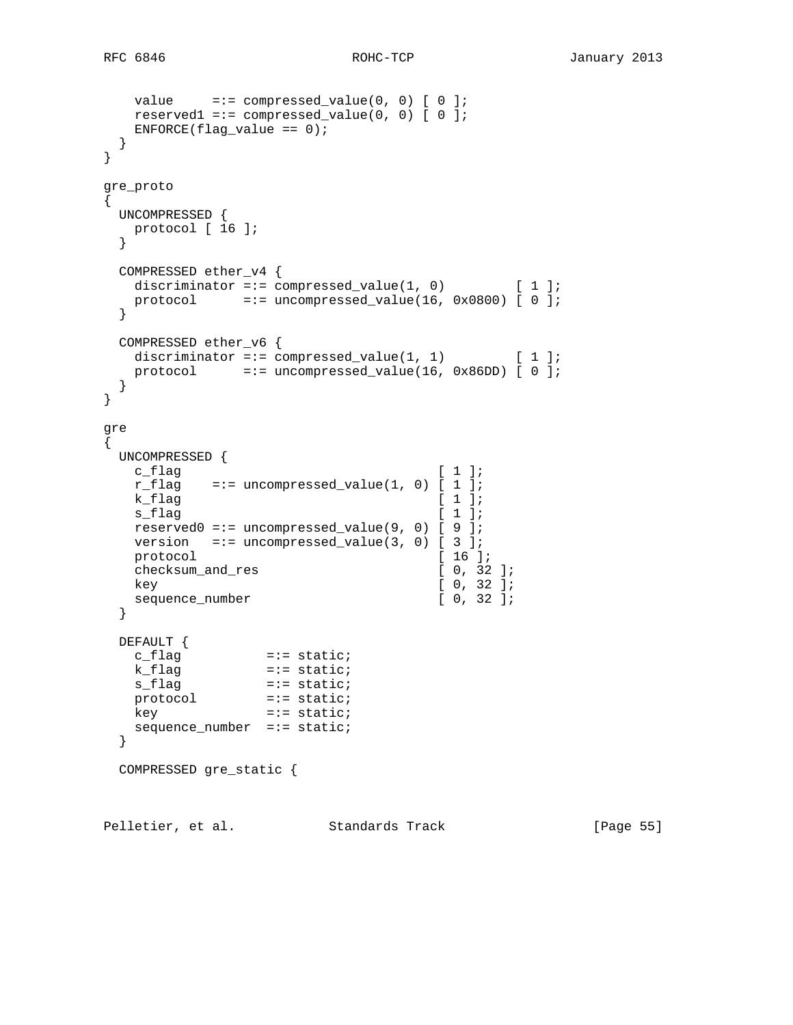```
value =:- compressed_value(0, 0) [ 0 ];
   reserved1 =:= compressed_value(0, 0) [ 0 ];
  ENTER(flag_value == 0); }
}
gre_proto
{
  UNCOMPRESSED {
  protocol [ 16 ];
  }
  COMPRESSED ether_v4 {
  discriminator =:= compressed_value(1, 0) [1];
   protocol =:= uncompressed_value(16, 0x0800) [ 0 ];
  }
  COMPRESSED ether_v6 {
  discriminator =:= compressed_value(1, 1) [1];
   protocol =:= uncompressed_value(16, 0x86DD) [ 0 ];
  }
}
gre
{
  UNCOMPRESSED {
c_flag [1];
r_flag =:= uncompressed_value(1, 0) [ 1 ];
  k_flag [ 1 ];
  s_f and s_f is the set of \lceil 1 \rceil;
    reserved0 =:= uncompressed_value(9, 0) [ 9 ];
  version =:- uncompressed_value(3, 0) [ 3 ];
  protocol [ 16 ];
  checksum_and_res [ 0, 32 ];
  key [ 0, 32 ];<br>sequence_number [ 0, 32 ];
  sequence_number
  }
  DEFAULT {
c_flag \qquad \qquad \qquad \exists i = \text{static}; k_flag =:= static;
 s_flag =:= static;
protocol =:= static;
key =:- static;
   sequence_number =:= static;
  }
  COMPRESSED gre_static {
Pelletier, et al. Standards Track [Page 55]
```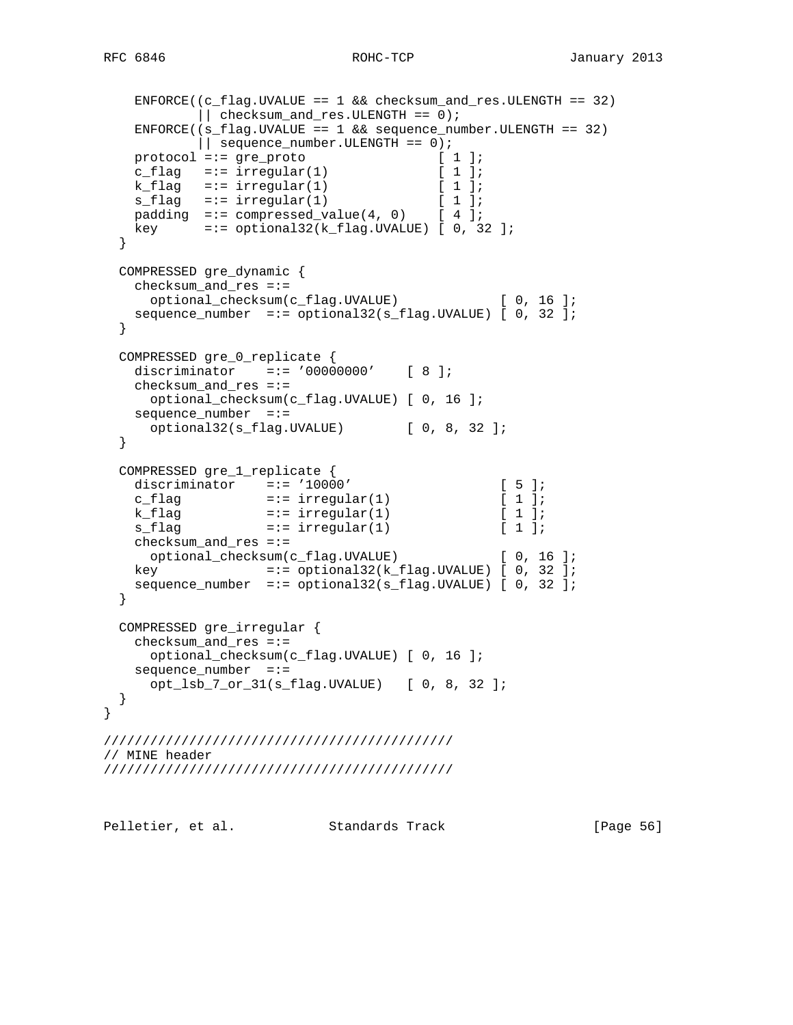```
 ENFORCE((c_flag.UVALUE == 1 && checksum_and_res.ULENGTH == 32)
         || checksum_and_res.ULENGTH == 0);
   ENFORCE((s_flag.UVALUE == 1 && sequence_number.ULENGTH == 32)
           || sequence_number.ULENGTH == 0);
protocol =:= gre_proto [1];
c_flag =:= irregular(1) [ 1 ];
k_flag =:= irregular(1) [ 1 ];
s_flag =:= irregular(1) [ 1 ];
padding == compressed_value(4, 0) [ 4 ];
   key =:= optional32(k_flag.UVALUE) [ 0, 32 ];
  }
  COMPRESSED gre_dynamic {
    checksum_and_res =:=
     optional_checksum(c_flag.UVALUE) [ 0, 16 ];
   sequence number =:= optional32(s flag.UVALUE) [ 0, 32 ];
  }
  COMPRESSED gre_0_replicate {
    discriminator =:= '00000000' [ 8 ];
    checksum_and_res =:=
     optional_checksum(c_flag.UVALUE) [ 0, 16 ];
    sequence_number =:=
     optional32(s_flag.UVALUE) [ 0, 8, 32 ];
  }
  COMPRESSED gre_1_replicate {
   discriminator =:= '10000' [ 5 ];<br>
c_flag =:- \text{ irregular}(1) [ 1 ];
k_flag =:- irregular(1) [ 1 ];
s_flag s = irregular(1) [ 1 ];
    checksum_and_res =:=
    optional_checksum(c_flag.UVALUE) [ 0, 16 ];
   key =:= optional32(k flag.UVALUE) [ 0, 32 ];
   sequence_number =:= optional32(s_flag.UVALUE) [ 0, 32 ];
  }
  COMPRESSED gre_irregular {
    checksum_and_res =:=
     optional_checksum(c_flag.UVALUE) [ 0, 16 ];
   sequence_number =:=
     opt_lsb_7_or_31(s_flag.UVALUE) [ 0, 8, 32 ];
  }
/////////////////////////////////////////////
// MINE header
/////////////////////////////////////////////
```
Pelletier, et al. Standards Track [Page 56]

}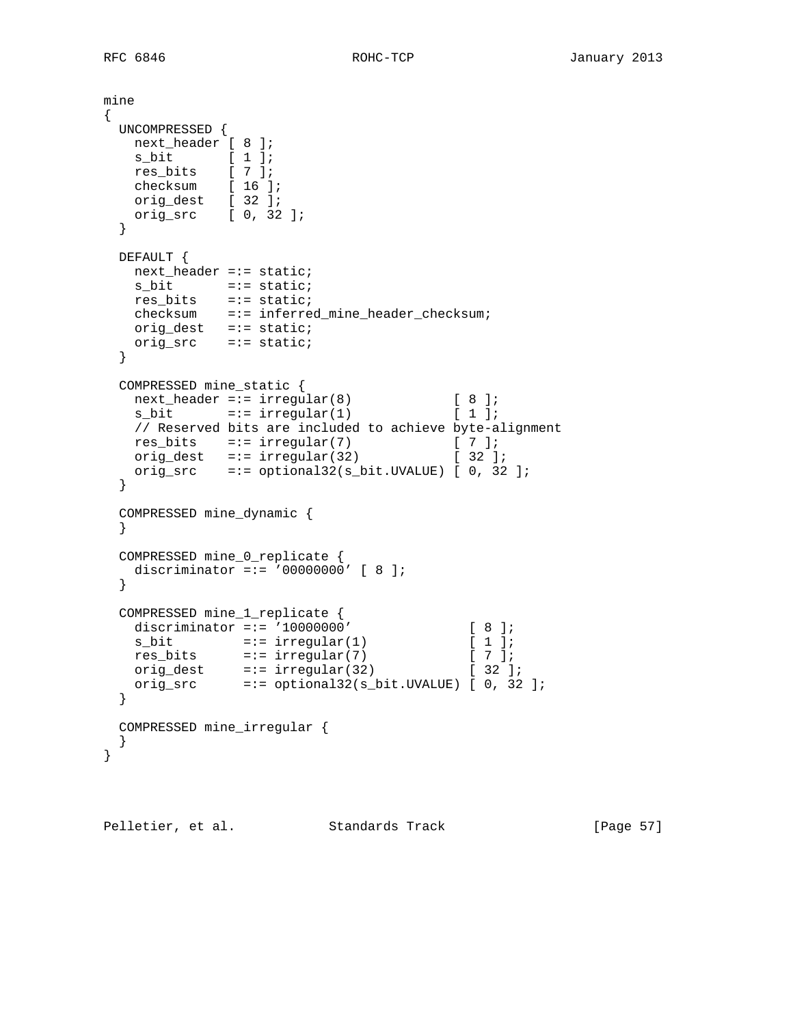```
mine
{
  UNCOMPRESSED {
   next_header [ 8 ];
 s_bit [ 1 ];
 res_bits [ 7 ];
   checksum [ 16 ];
   orig_dest [ 32 ];
   orig_src [ 0, 32 ];
  }
  DEFAULT {
  next header =:- static;
   s<sub>bit</sub> = := static;
 res_bits =:= static;
 checksum =:= inferred_mine_header_checksum;
   orig_dest =:= static;
    orig_src =:= static;
  }
  COMPRESSED mine_static {
 next_header =:= irregular(8) [ 8 ];
s_bit =:- irregular(1) [1];
   // Reserved bits are included to achieve byte-alignment
res_bits =:= irregular(7) [ 7 ];
orig_dest =:= irregular(32) [32];
   orig_src =:= optional32(s_bit.UVALUE) [ 0, 32 ];
  }
  COMPRESSED mine_dynamic {
  }
  COMPRESSED mine_0_replicate {
    discriminator =:= '00000000' [ 8 ];
  }
 COMPRESSED mine_1_replicate {<br>discriminator =:= '10000000'
discriminator =:= '10000000' [ 8 ];
s\_bit =:= irregular(1) [ 1 ];
res_bits =:= irregular(7) [ 7 ];
orig_dest =:- irregular(32) [ 32 ];
 orig_src =:= optional32(s_bit.UVALUE) [ 0, 32 ];
  }
  COMPRESSED mine_irregular {
  }
}
```
Pelletier, et al. Standards Track [Page 57]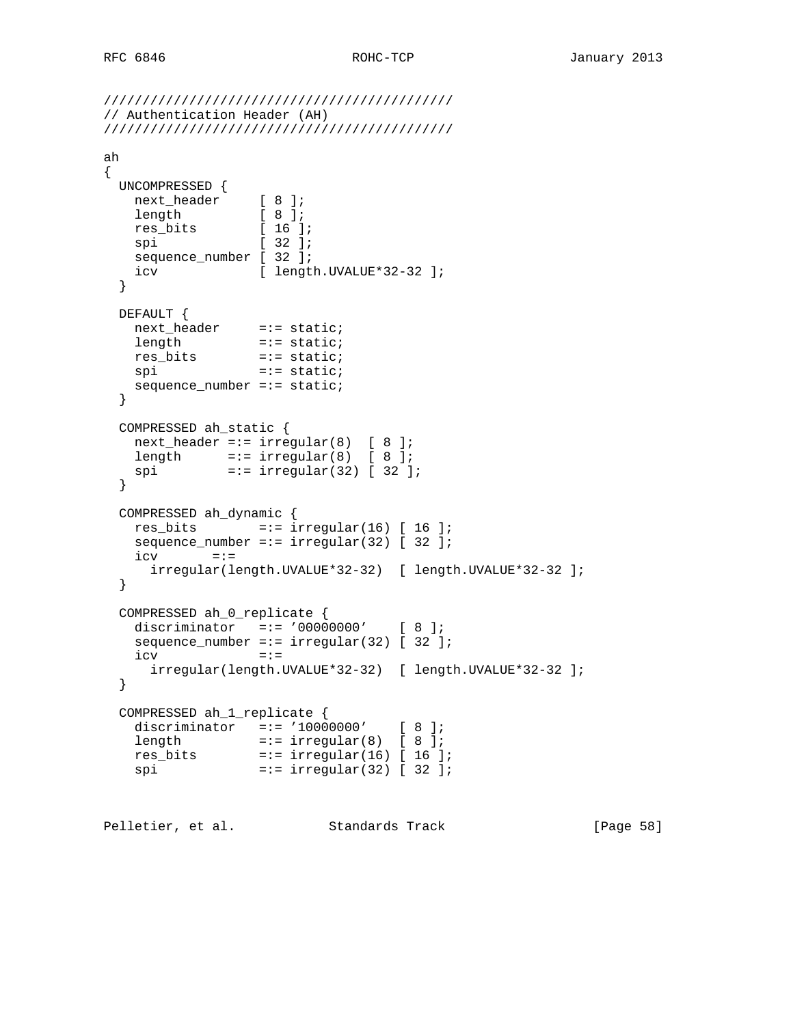```
/////////////////////////////////////////////
// Authentication Header (AH)
/////////////////////////////////////////////
ah
{
  UNCOMPRESSED {
 next_header [ 8 ];
length [ 8 ];
 res_bits [ 16 ];
spi [ 32 ];
   sequence_number [ 32 ];
  icv [ length.UVALUE*32-32 ];
  }
  DEFAULT {
 next_header =:= static;
length =:- static;
 res_bits =:= static;
spi =:= static;
  sequence_number =:= static;
  }
  COMPRESSED ah_static {
   next\_header == irregular(8) [ 8 ];
length =:= irregular(8) [ 8 ];
 spi =:= irregular(32) [ 32 ];
  }
  COMPRESSED ah_dynamic {
  res bits =:- irregular(16) [ 16 ];
   sequence_number =:= irregular(32) [ 32 ];
  \texttt{icv} =:=
     irregular(length.UVALUE*32-32) [ length.UVALUE*32-32 ];
  }
  COMPRESSED ah_0_replicate {
    discriminator =:= '00000000' [ 8 ];
   sequence_number =:= irregular(32) [ 32 ];
   \frac{1}{1}cv =:- irregular(length.UVALUE*32-32) [ length.UVALUE*32-32 ];
  }
  COMPRESSED ah_1_replicate {
   discriminator =:= '10000000' [ 8 ];
length =:= irregular(8) [ 8 ];
 res_bits =:= irregular(16) [ 16 ];
 spi =:= irregular(32) [ 32 ];
Pelletier, et al. Standards Track [Page 58]
```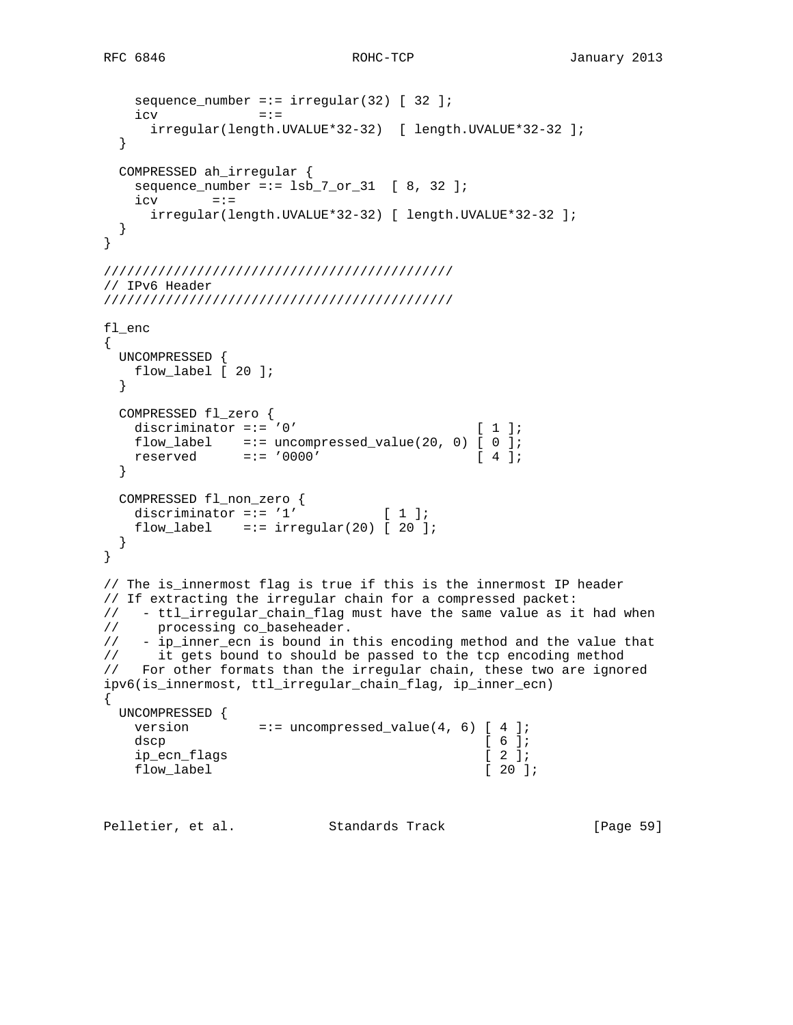```
sequence_number == irregular(32) [32];
   \texttt{icv} = \texttt{:=} irregular(length.UVALUE*32-32) [ length.UVALUE*32-32 ];
   }
  COMPRESSED ah_irregular {
   sequence_number = := 1sb_7_or_31 [ 8, 32 ];
   \texttt{icv} =:=
      irregular(length.UVALUE*32-32) [ length.UVALUE*32-32 ];
  }
}
/////////////////////////////////////////////
// IPv6 Header
/////////////////////////////////////////////
fl_enc
{
  UNCOMPRESSED {
   flow_label [ 20 ];
   }
  COMPRESSED fl_zero {
   discriminator =:= '0' [ 1 ];
flow\_label =:= uncompressed_value(20, 0) [ 0 ];
 reserved =:= '0000' [ 4 ];
   }
  COMPRESSED fl_non_zero {
   discriminator =:= '1' [ 1 ];
   flow_label =:= irregular(20) [ 20 ];
  }
}
// The is_innermost flag is true if this is the innermost IP header
// If extracting the irregular chain for a compressed packet:
// - ttl_irregular_chain_flag must have the same value as it had when
// processing co_baseheader.
//        processing co_baseneauci.<br>//        ip_inner_ecn is bound in this encoding method and the value that<br>//        it gets bound to should be passed to the tcp encoding method
     it gets bound to should be passed to the tcp encoding method
// For other formats than the irregular chain, these two are ignored
ipv6(is_innermost, ttl_irregular_chain_flag, ip_inner_ecn)
{
  UNCOMPRESSED {
   version =:- uncompressed_value(4, 6) [ 4 ];
dscp [ 6 ];
   ip_ecn_flags [ 2 ];
   flow_label [ 20 ];
```
Pelletier, et al. Standards Track [Page 59]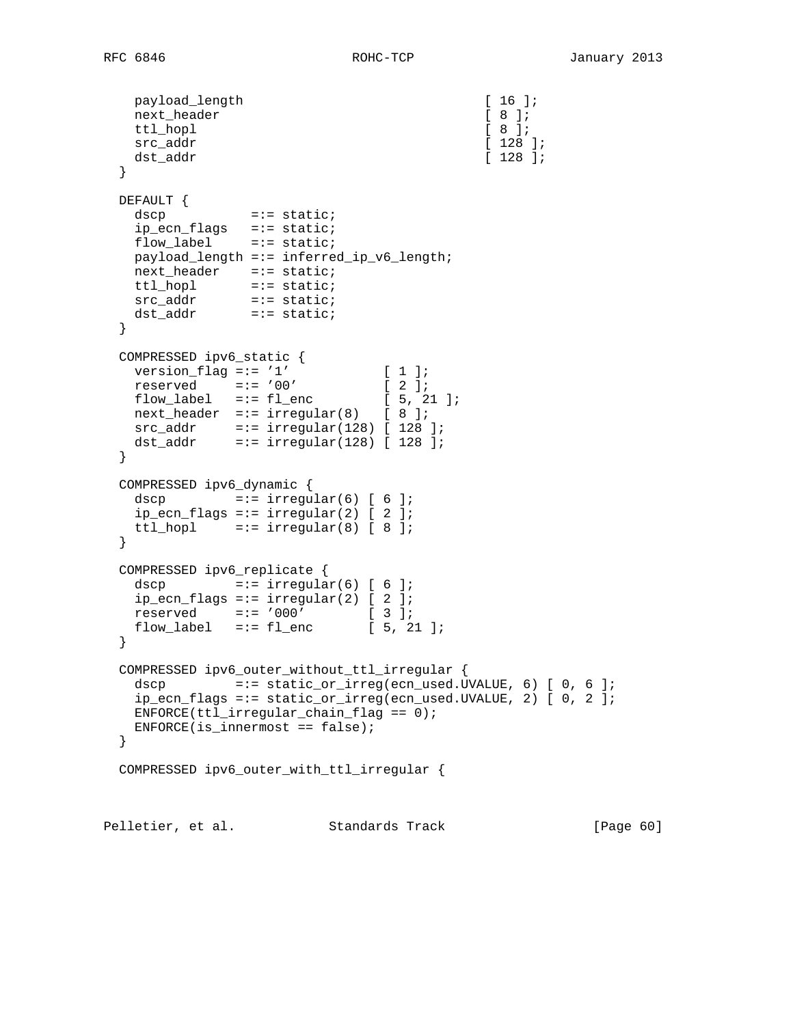```
payload_length [ 16 ];<br>next_header [ 8 ];
   next_header [ 8 ];<br>ttl_hopl [ 8 ];
   ttl_hopl [ 8 ];<br>src addr [ 128 ];
   src\_addrdst_addr [ 128 ];
  }
  DEFAULT {
   dscp =:= static;
    ip_ecn_flags =:= static;
   flow_label =:= static;
    payload_length =:= inferred_ip_v6_length;
 next_header =:= static;
 ttl_hopl =:= static;
src_addr =:= static;
 dst_addr =:= static;
  }
  COMPRESSED ipv6_static {
version_flag == '1' [ 1 ];
 reserved =:= '00' [ 2 ];
flow\_label = := f1\_enc [ 5, 21 ];
  next\_header =:= irregular(8) [ 8 ];
 src_addr =:= irregular(128) [ 128 ];
 dst_addr =:= irregular(128) [ 128 ];
  }
  COMPRESSED ipv6_dynamic {
  dscp =:= irregular(6) [ 6 ];
  ip_ecn_flags =:= irregular(2) [2];
  ttl_hopl =:= irregular(8) [ 8 ];
  }
  COMPRESSED ipv6_replicate {
   dscp = := \text{irregular}(6) [ 6 ];
   ip_ecn_flags =:= irregular(2) [2];
 reserved =:= '000' [ 3 ];
flow\_label = := f1\_enc [ 5, 21 ];
  }
  COMPRESSED ipv6_outer_without_ttl_irregular {
  dscp =:- static_or_irreg(ecn_used.UVALUE, 6) [ 0, 6 ];
    ip_ecn_flags =:= static_or_irreg(ecn_used.UVALUE, 2) [ 0, 2 ];
  ENFORCE(ttl\_irregular\_chain_flag == 0);ENFORCE(is_innermost == false);
  }
  COMPRESSED ipv6_outer_with_ttl_irregular {
Pelletier, et al. Standards Track [Page 60]
```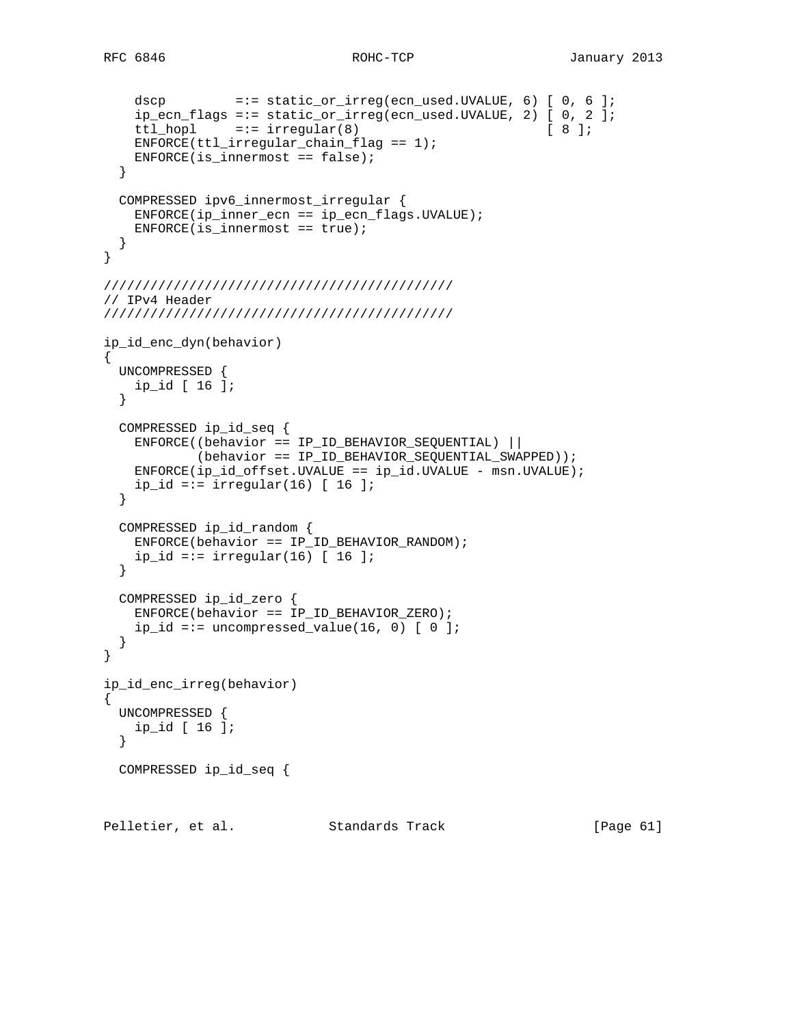```
 dscp =:= static_or_irreg(ecn_used.UVALUE, 6) [ 0, 6 ];
    ip_ecn_flags =:= static_or_irreg(ecn_used.UVALUE, 2) [ 0, 2 ];
   ttl_hopl =:= irregular(8) [ 8 ];
   ENFORCE(ttl irregular chain flag == 1);
    ENFORCE(is_innermost == false);
  }
  COMPRESSED ipv6_innermost_irregular {
   ENFORCE(ip\_inner\_ecn == ip\_ecn\_flags.UVALUE);ENFORCE(is_innermost == true); }
}
/////////////////////////////////////////////
// IPv4 Header
/////////////////////////////////////////////
ip_id_enc_dyn(behavior)
{
  UNCOMPRESSED {
   ip_id [ 16 ];
  }
  COMPRESSED ip_id_seq {
    ENFORCE((behavior == IP_ID_BEHAVIOR_SEQUENTIAL) ||
            (behavior == IP_ID_BEHAVIOR_SEQUENTIAL_SWAPPED));
   ENFORCE(ip_id_offset.UVALUE == ip_id.UVALUE - msn.UVALUE);ip_id == irregular(16) [ 16 ];
  }
  COMPRESSED ip_id_random {
    ENFORCE(behavior == IP_ID_BEHAVIOR_RANDOM);
   ip_id =:= irregular(16) [ 16 ];
  }
  COMPRESSED ip_id_zero {
    ENFORCE(behavior == IP_ID_BEHAVIOR_ZERO);
   ip_id == uncompressed_value(16, 0) [ 0 ]; }
}
ip_id_enc_irreg(behavior)
{
  UNCOMPRESSED {
    ip_id [ 16 ];
  }
  COMPRESSED ip_id_seq {
Pelletier, et al. Standards Track [Page 61]
```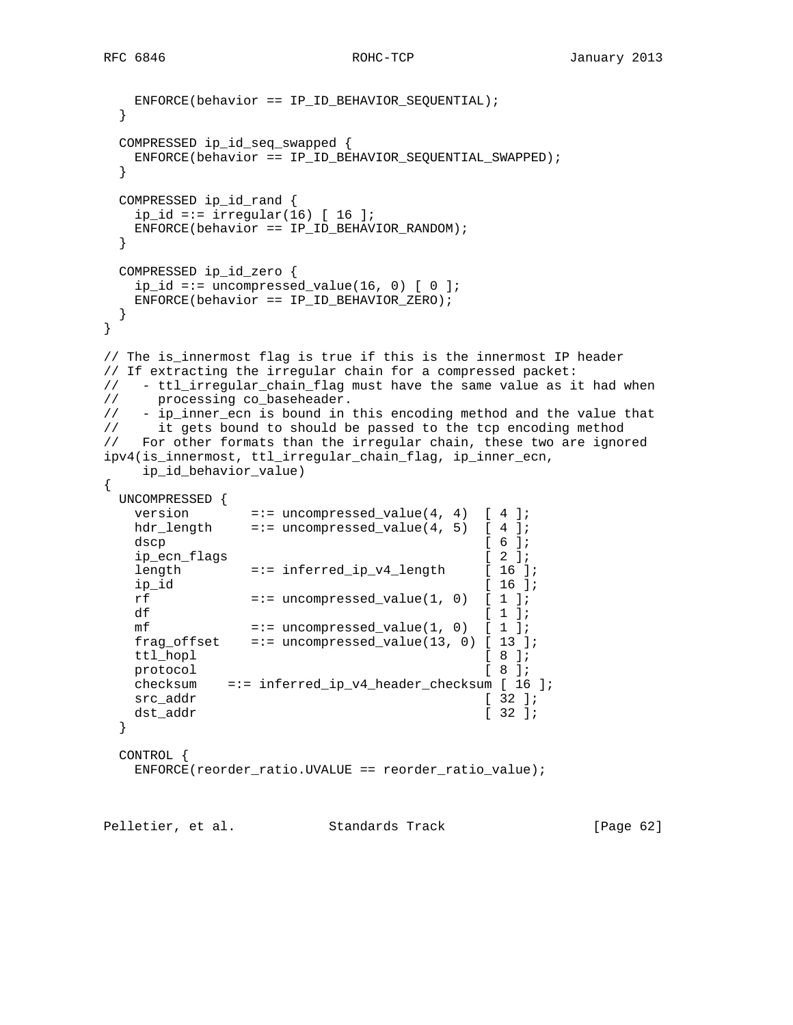```
 ENFORCE(behavior == IP_ID_BEHAVIOR_SEQUENTIAL);
  }
  COMPRESSED ip_id_seq_swapped {
    ENFORCE(behavior == IP_ID_BEHAVIOR_SEQUENTIAL_SWAPPED);
  }
  COMPRESSED ip_id_rand {
   ip_id == irregular(16) [ 16 ];
    ENFORCE(behavior == IP_ID_BEHAVIOR_RANDOM);
  }
  COMPRESSED ip_id_zero {
   ip_id == uncompressed_value(16, 0) [ 0 ]; ENFORCE(behavior == IP_ID_BEHAVIOR_ZERO);
  }
}
// The is_innermost flag is true if this is the innermost IP header
// If extracting the irregular chain for a compressed packet:
// - ttl_irregular_chain_flag must have the same value as it had when
// processing co_baseheader.
// - ip_inner_ecn is bound in this encoding method and the value that
// it gets bound to should be passed to the tcp encoding method
// For other formats than the irregular chain, these two are ignored
ipv4(is_innermost, ttl_irregular_chain_flag, ip_inner_ecn,
     ip_id_behavior_value)
{
  UNCOMPRESSED {
version =:- uncompressed_value(4, 4) [ 4 ];
hdr_length =:= uncompressed_value(4, 5) [ 4 ];
dscp [ 6 ];
   ip_ecn_flags [ 2 ];
   length =:= inferred_ip_v4_length [ 16 ];
   ip_id [ 16 ];
   rf =:- uncompressed_value(1, 0) [ 1 ];
df [ 1 ];
   mf =:- uncompressed_value(1, 0) [ 1 ];
    frag_offset =:= uncompressed_value(13, 0) [ 13 ];
   ttl_hopl [ 8 ];
   protocol [ 8 ];
    checksum =:= inferred_ip_v4_header_checksum [ 16 ];
   \operatorname{src\_addr} [ 32 ];
   dst_addr [ 32 ];
  }
  CONTROL {
    ENFORCE(reorder_ratio.UVALUE == reorder_ratio_value);
```
Pelletier, et al. Standards Track [Page 62]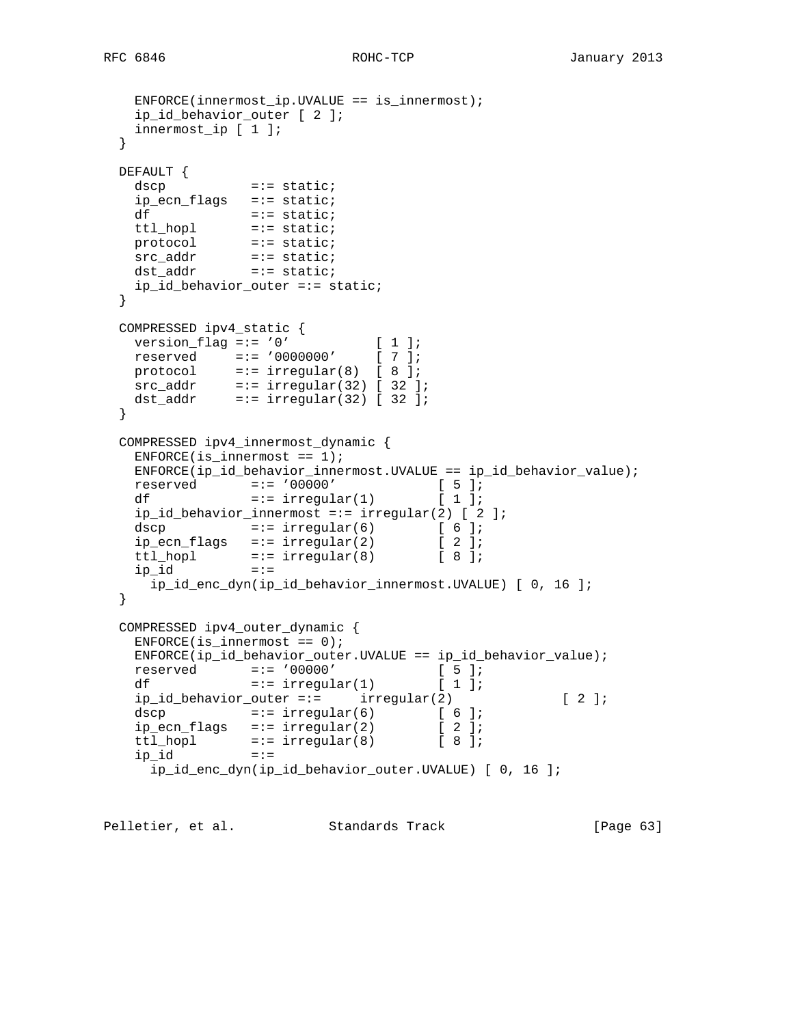```
ENFORCE(innermost_ip.UVALUE == is_innermost);
    ip_id_behavior_outer [ 2 ];
    innermost_ip [ 1 ];
  }
  DEFAULT {
   dscp =:- static;
    ip_ecn_flags =:= static;
df = := state;
 ttl_hopl =:= static;
   protocol =:= static;
src_addr =:= static;
 dst_addr =:= static;
   ip_id_behavior_outer =:= static;
  }
  COMPRESSED ipv4_static {
  version_flag =:= '0' [ 1 ];
  reserved =:= '0000000' [ 7 ];
 protocol =:= irregular(8) [ 8 ];
src\_addr =:= irregular(32) [ 32 ];
 dst_addr =:= irregular(32) [ 32 ];
  }
  COMPRESSED ipv4_innermost_dynamic {
   ENFORCE(is_innermost == 1);ENFORCE(ip_id_behavior_innermost.UVALUE == ip_id_behavior_value);<br>
=:= '00000' [5];
 reserved =:= '00000' [ 5 ];
df =:- irregular(1) [ 1 ];
   ip_id_behavior_innermost =:= irregular(2) [ 2 ];
   dscp =:- irregular(6) [ 6 ];
ip\_ecn\_flags =:= irregular(2) [ 2 ];
ttl_hopl =:= irregular(8) [ 8 ];
 ip_id =:=
     ip_id_enc_dyn(ip_id_behavior_innermost.UVALUE) [ 0, 16 ];
  }
  COMPRESSED ipv4_outer_dynamic {
   ENFORCE(i s_innermost == 0); ENFORCE(ip_id_behavior_outer.UVALUE == ip_id_behavior_value);
 reserved =:= '00000' [ 5 ];
df =:- irregular(1) [ 1 ];
   ip_id_behavior_outer =:= irregular(2) [ 2 ];
   dscp =:= irregular(6) [ 6 ];
   ip\_ecn\_flags =:= irregular(2) [ 2 ];
ttl_hopl =:= irregular(8) [ 8 ];
 ip_id =:=
     ip_id_enc_dyn(ip_id_behavior_outer.UVALUE) [ 0, 16 ];
```
Pelletier, et al. Standards Track [Page 63]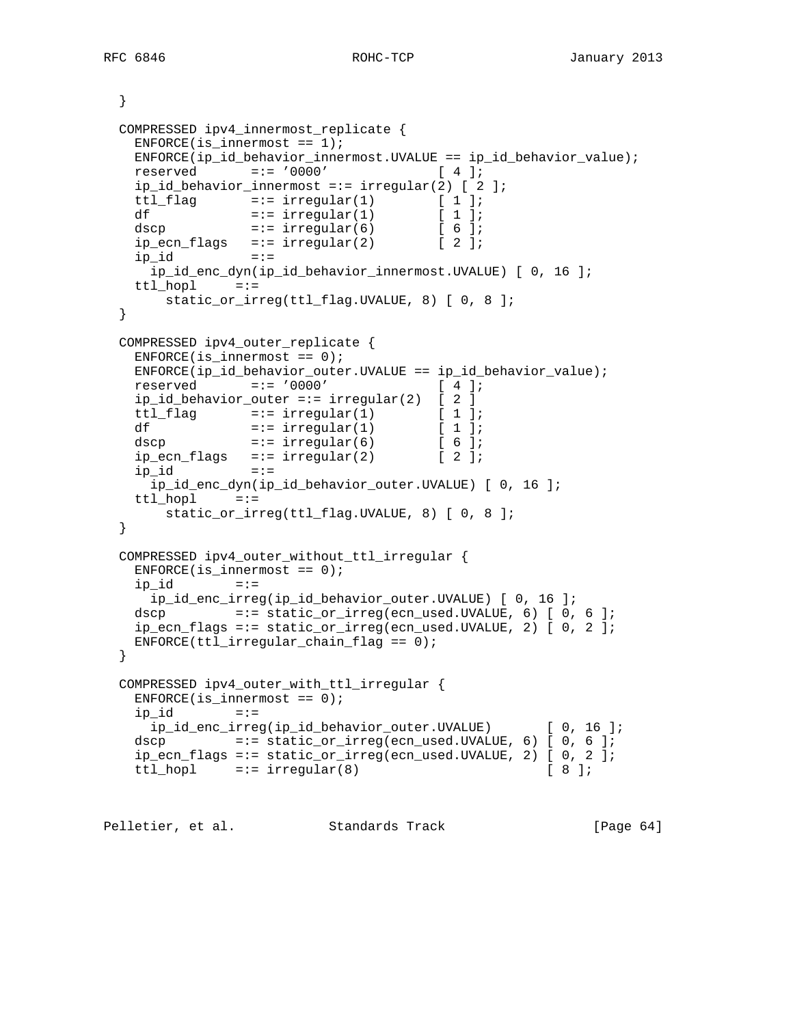```
 }
  COMPRESSED ipv4_innermost_replicate {
   ENFORCE(is innermost == 1);
    ENFORCE(ip_id_behavior_innermost.UVALUE == ip_id_behavior_value);
    reserved =:= '0000' [ 4 ];
    ip_id_behavior_innermost =:= irregular(2) [ 2 ];
   ttl_flag =:- irregular(1) [ 1 ];
df =:- irregular(1) [ 1 ];
dscp =:- irregular(6) [ 6 ];
   ip\_ecn\_flags =:= irregular(2) [ 2 ];<br>in id =:=
    ip_id =:=
     ip_id_enc_dyn(ip_id_behavior_innermost.UVALUE) [ 0, 16 ];
    ttl_hopl =:=
       static_or_irreg(ttl_flag.UVALUE, 8) [ 0, 8 ];
  }
  COMPRESSED ipv4_outer_replicate {
   ENFORCE(is_innermost == 0); ENFORCE(ip_id_behavior_outer.UVALUE == ip_id_behavior_value);
    reserved =:= '0000' [ 4 ];
    ip_id_behavior_outer =:= irregular(2) [ 2 ]
   ttl_flag =:- irregular(1) [ 1 ];
df =:- irregular(1) [ 1 ];
dscp =:- irregular(6) [ 6 ];
ip\_ecn\_flags =:= irregular(2) [ 2 ];
ip_id =:=
     ip_id_enc_dyn(ip_id_behavior_outer.UVALUE) [ 0, 16 ];
    ttl_hopl =:=
       static_or_irreg(ttl_flag.UVALUE, 8) [ 0, 8 ];
  }
  COMPRESSED ipv4_outer_without_ttl_irregular {
   ENFORCE(iis_innermost == 0);ip_id = := ip_id_enc_irreg(ip_id_behavior_outer.UVALUE) [ 0, 16 ];
    dscp =:= static_or_irreg(ecn_used.UVALUE, 6) [ 0, 6 ];
    ip_ecn_flags =:= static_or_irreg(ecn_used.UVALUE, 2) [ 0, 2 ];
   ENFORCE(ttl\_irregular\_chain_flag == 0); }
  COMPRESSED ipv4_outer_with_ttl_irregular {
   ENFORCE(iis_innermost == 0);ip_id =:=
     ip_id_enc_irreg(ip_id_behavior_outer.UVALUE) [ 0, 16 ];
    dscp =:= static_or_irreg(ecn_used.UVALUE, 6) [ 0, 6 ];
    ip_ecn_flags =:= static_or_irreg(ecn_used.UVALUE, 2) [ 0, 2 ];
   ttl_hopl =:= irregular(8) [ 8 ];
```
Pelletier, et al. Standards Track [Page 64]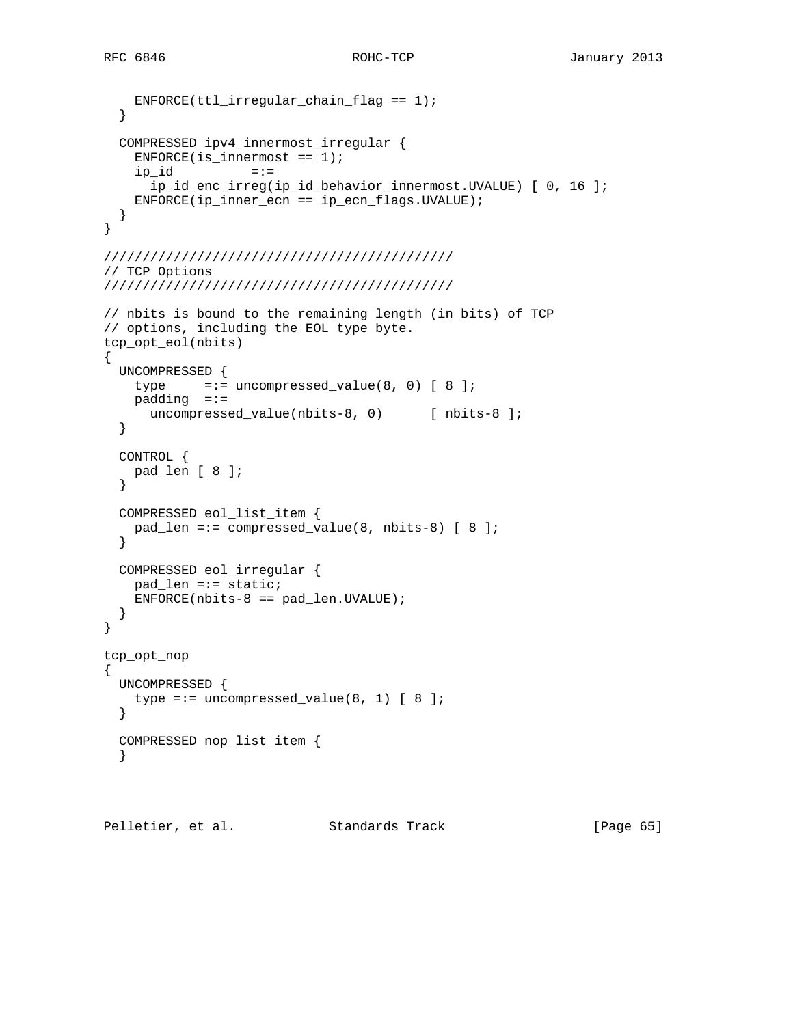```
 ENFORCE(ttl_irregular_chain_flag == 1);
   }
  COMPRESSED ipv4_innermost_irregular {
   ENFORCE(iis_innermost == 1);ip_id =:=
       ip_id_enc_irreg(ip_id_behavior_innermost.UVALUE) [ 0, 16 ];
    ENFORCE(ip_inner_ecn == ip_ecn_flags.UVALUE);
  }
}
/////////////////////////////////////////////
// TCP Options
/////////////////////////////////////////////
// nbits is bound to the remaining length (in bits) of TCP
// options, including the EOL type byte.
tcp_opt_eol(nbits)
{
  UNCOMPRESSED {
   type =:- uncompressed_value(8, 0) [ 8 ];
    padding =:=
     uncompressed_value(nbits-8, 0) [ nbits-8 ];
   }
   CONTROL {
    pad_len [ 8 ];
   }
   COMPRESSED eol_list_item {
    pad_len =:= compressed_value(8, nbits-8) [ 8 ];
   }
  COMPRESSED eol_irregular {
    pad_len =:= static;
   ENFORCE(nbits-8 == pad_len.WALUE); }
}
tcp_opt_nop
{
  UNCOMPRESSED {
   type =:= uncompressed_value(8, 1) [ 8 ];
   }
   COMPRESSED nop_list_item {
   }
```
Pelletier, et al. Standards Track [Page 65]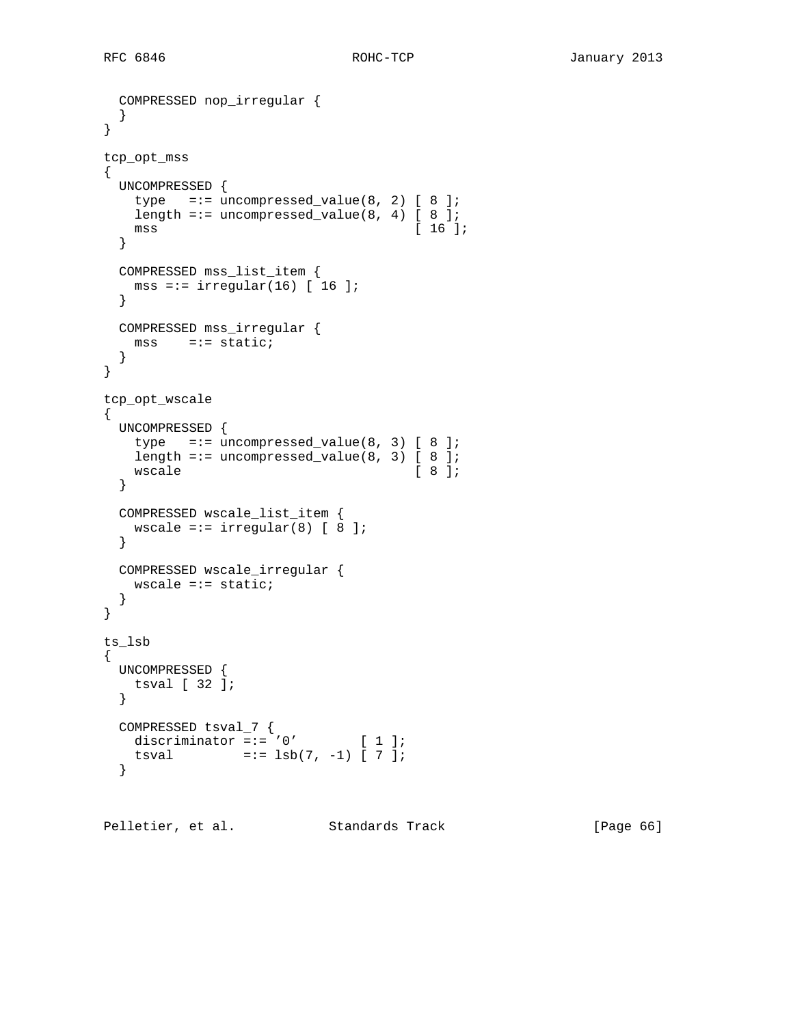```
 COMPRESSED nop_irregular {
  }
}
tcp_opt_mss
{
  UNCOMPRESSED {
  type =:- uncompressed_value(8, 2) [ 8 ];
  length =:= uncompressed_value(8, 4) [ 8 ];
   mss [ 16 ];
  }
  COMPRESSED mss_list_item {
   mss =:= irregular(16) [ 16 ];
  }
  COMPRESSED mss_irregular {
  \text{mss} =:= static;
  }
}
tcp_opt_wscale
{
  UNCOMPRESSED {
  type =:= uncompressed_value(8, 3) [ 8 ];
   length =:= uncompressed_value(8, 3) [ 8 ];<br>wscale [ 8 ];
   wscale
  }
  COMPRESSED wscale_list_item {
  wscale =:= irregular(8) [ 8 ];
  }
  COMPRESSED wscale_irregular {
   wscale =:= static;
  }
}
ts_lsb
{
  UNCOMPRESSED {
   tsval [ 32 ];
  }
  COMPRESSED tsval_7 {
  discriminator =:-'0' [ 1 ];
   tsval = := 1sb(7, -1) [ 7 ];
  }
```
Pelletier, et al. Standards Track [Page 66]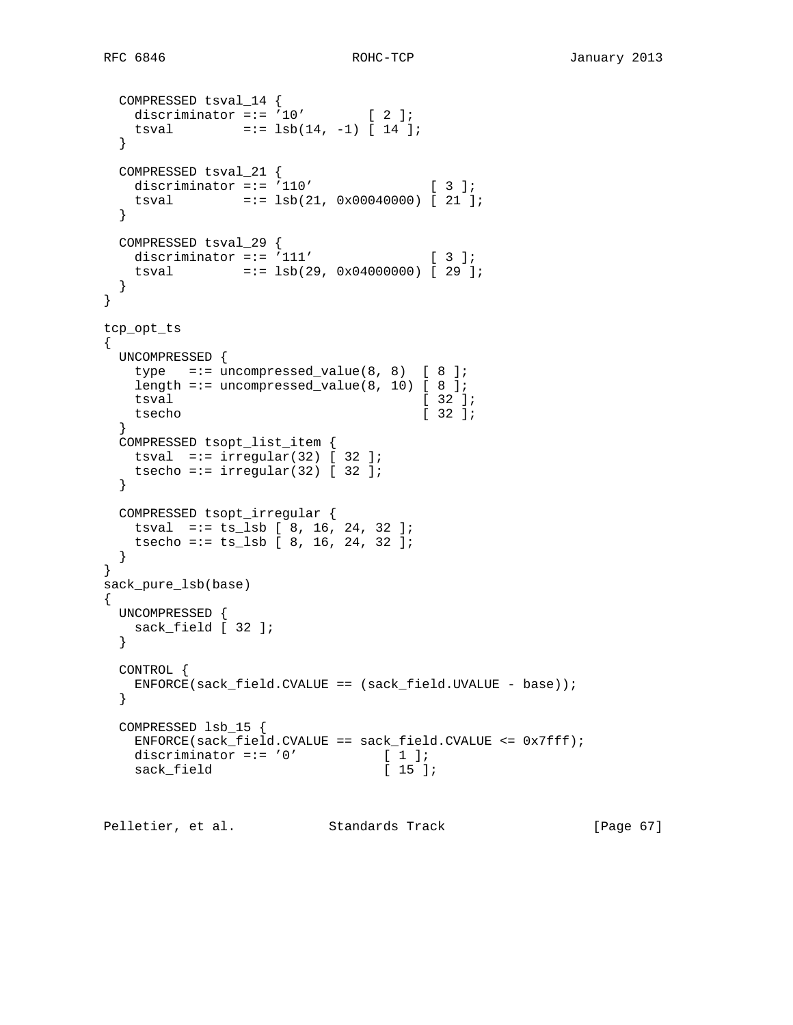```
 COMPRESSED tsval_14 {
   discriminator =:= 10' [ 2 ];
   tsval = := 1sb(14, -1) [ 14 ];
  }
  COMPRESSED tsval_21 {
  discriminator =:- '110' [3];
   tsval =:= lsb(21, 0x00040000) [ 21 ];
  }
  COMPRESSED tsval_29 {
  discriminator =:= '111' [ 3 ];
   tsval =:= lsb(29, 0x04000000) [ 29 ];
  }
}
tcp_opt_ts
{
  UNCOMPRESSED {
  type =:- uncompressed_value(8, 8) [ 8 ];
  length =:= uncompressed_value(8, 10) [ 8 ];
   tsval [ 32 ];
    tsecho [ 32 ];
  }
  COMPRESSED tsopt_list_item {
  tsval =:= irregular(32) \left[\right] 32 ];
   tsecho =:= irregular(32) [ 32 ];
  }
 COMPRESSED tsopt_irregular {
 tsval =:= ts_lsb [ 8, 16, 24, 32 ];
   tsecho =:= ts_lsb [ 8, 16, 24, 32 ];
  }
}
sack_pure_lsb(base)
{
  UNCOMPRESSED {
   sack_field [ 32 ];
  }
  CONTROL {
    ENFORCE(sack_field.CVALUE == (sack_field.UVALUE - base));
  }
  COMPRESSED lsb_15 {
    ENFORCE(sack_field.CVALUE == sack_field.CVALUE <= 0x7fff);
   discriminator =:= '0' [ 1 ];<br>sack field [ 15 ];
   sack_field
```
Pelletier, et al. Standards Track [Page 67]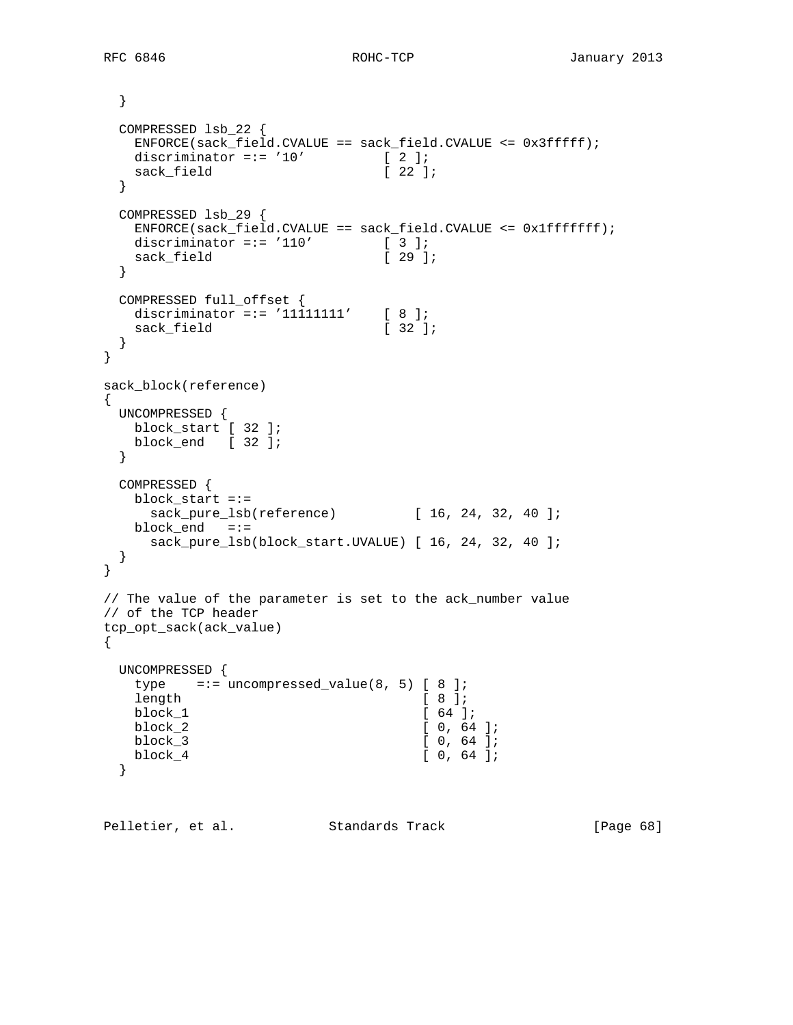RFC 6846 ROHC-TCP January 2013

```
 }
  COMPRESSED lsb_22 {
   ENFORCE(sack_field.CVALUE == sack_field.CVALUE <= 0x3fffff);
  discriminator =:= '10' [2];<br>sack field [22];
  sack_field
  }
  COMPRESSED lsb_29 {
   ENFORCE(sack_field.CVALUE == sack_field.CVALUE <= 0x1fffffff);
  discriminator =:= '110' [ 3 ];<br>sack field [ 29 ];
  sack_field
  }
 COMPRESSED full_offset {
discriminator =:= '11111111' [ 8 ];
sack_field [ 32 ];
  }
}
sack_block(reference)
{
  UNCOMPRESSED {
   block_start [ 32 ];
   block_end [ 32 ];
  }
  COMPRESSED {
   block_start =:=
    sack_pure_lsb(reference) [ 16, 24, 32, 40 ];
   block_end =:=
    sack_pure_lsb(block_start.UVALUE) [ 16, 24, 32, 40 ];
  }
}
// The value of the parameter is set to the ack_number value
// of the TCP header
tcp_opt_sack(ack_value)
{
  UNCOMPRESSED {
  type =:= uncompressed_value(8, 5) [ 8 ];
  length [ 8 ];
  block_1 [ 64 ];
   block_2 [ 0, 64 ];
  block_3 [ 0, 64 ];
  block_4 [ 0, 64 ];
  }
```
Pelletier, et al. Standards Track [Page 68]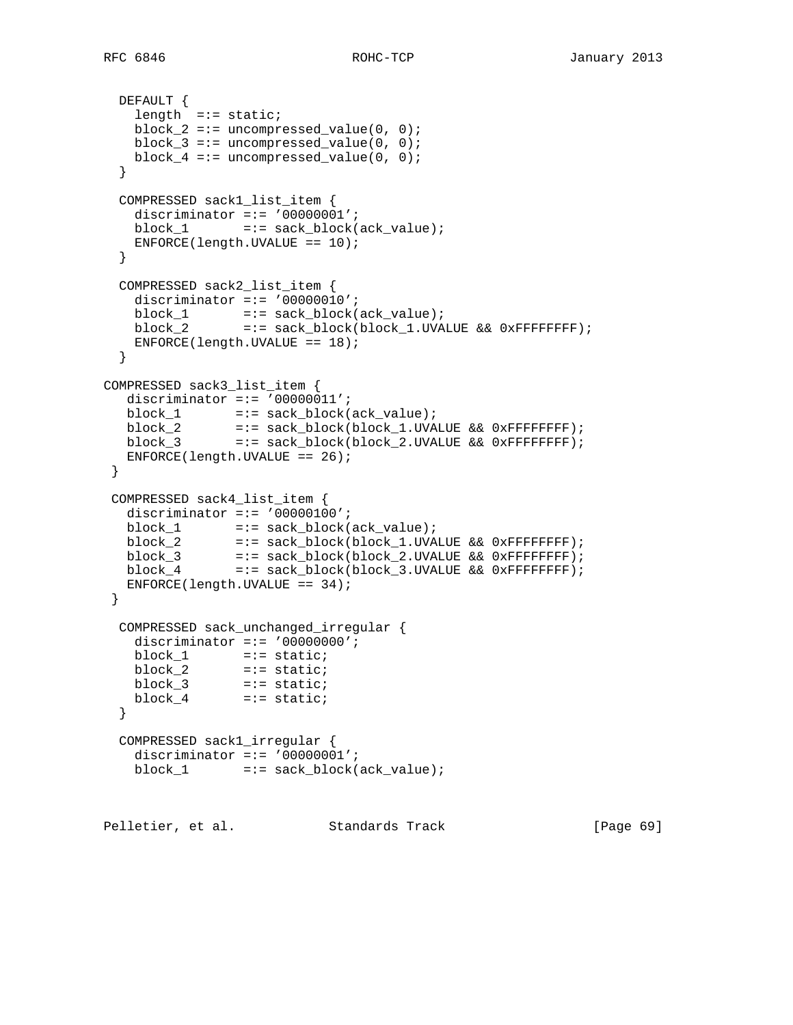```
 DEFAULT {
    length =:= static;
   block2 == uncompressed_value(0, 0);
   block 3 == uncompressed value(0, 0);
   block4 == uncompressed_value(0, 0);
   }
   COMPRESSED sack1_list_item {
   discriminator =:= '00000001';
    block_1 =:= sack_block(ack_value);
   ENFORCE(length.UVALUE == 10); }
   COMPRESSED sack2_list_item {
   discriminator =:= '00000010';
block_1 =:= sack_block(ack_value);
 block_2 =:= sack_block(block_1.UVALUE && 0xFFFFFFFF);
   ENFORCE(length.UVALUE == 18); }
COMPRESSED sack3_list_item {
  discriminator =:- '00000011';
  \verb|block_1| = := \verb|sack_block(ack_value); block_2 =:= sack_block(block_1.UVALUE && 0xFFFFFFFF);
  block_2 =:= sack_block(block_1.0VALUE \alpha\alpha 0xFFFFFFFF;;<br>block_3 =:= sack_block(block_2.UVALUE \alpha\alpha 0xFFFFFFFF;;
  ENFORCE(length.UVALUE == 26);
  }
 COMPRESSED sack4_list_item {
  discriminator =:= '00000100';
  \verb|block_1| = := \verb|sack_block(ack_value); block_2 =:= sack_block(block_1.UVALUE && 0xFFFFFFFF);
 block_3 =:= sack_block(block_2.UVALUE && 0xFFFFFFFF);
 block_4 =:= sack_block(block_3.UVALUE && 0xFFFFFFFF);
   ENFORCE(length.UVALUE == 34);
  }
   COMPRESSED sack_unchanged_irregular {
    discriminator =:= '00000000';
   block_1 =:- static;
 block_2 =:= static;
 block_3 =:= static;
 block_4 =:= static;
   }
   COMPRESSED sack1_irregular {
    discriminator =:= '00000001';
   block\_1 =:= sack\_block(ack\_value);
```
Pelletier, et al. Standards Track [Page 69]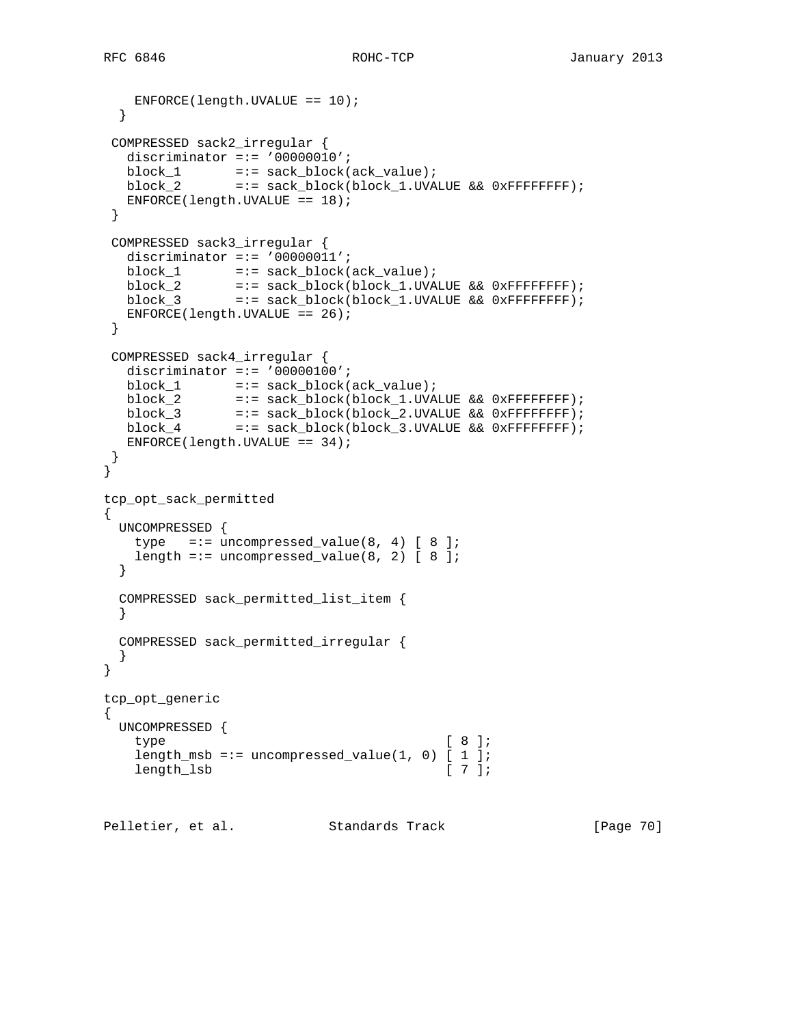```
 ENFORCE(length.UVALUE == 10);
  }
 COMPRESSED sack2_irregular {
   discriminator =:= '00000010';
block_1 =:= sack_block(ack_value);
 block_2 =:= sack_block(block_1.UVALUE && 0xFFFFFFFF);
  ENFORCE(length.UVALUE == 18);
 }
 COMPRESSED sack3_irregular {
  discriminator =:= '000000011';
block_1 =:= sack_block(ack_value);
 block_2 =:= sack_block(block_1.UVALUE && 0xFFFFFFFF);
 block_3 =:= sack_block(block_1.UVALUE && 0xFFFFFFFF);
  ENFORCE(length.UVALUE == 26);
 }
 COMPRESSED sack4_irregular {
  discriminator =:= '00000100';
  \verb|block_1| = := \verb|sack_block(ack_value); block_2 =:= sack_block(block_1.UVALUE && 0xFFFFFFFF);
 block_3 =:= sack_block(block_2.UVALUE && 0xFFFFFFFF);
 block_4 =:= sack_block(block_3.UVALUE && 0xFFFFFFFF);
   ENFORCE(length.UVALUE == 34);
 }
}
tcp_opt_sack_permitted
{
  UNCOMPRESSED {
  type =:- uncompressed_value(8, 4) [ 8 ];
  length =:= uncompressed_value(8, 2) [ 8 ];
  }
  COMPRESSED sack_permitted_list_item {
  }
  COMPRESSED sack_permitted_irregular {
  }
}
tcp_opt_generic
{
  UNCOMPRESSED {
   type [ 8 ];
   length_msb =:= uncompressed_value(1, 0) [1];
   length_lsb [ 7 ];
```
Pelletier, et al. Standards Track [Page 70]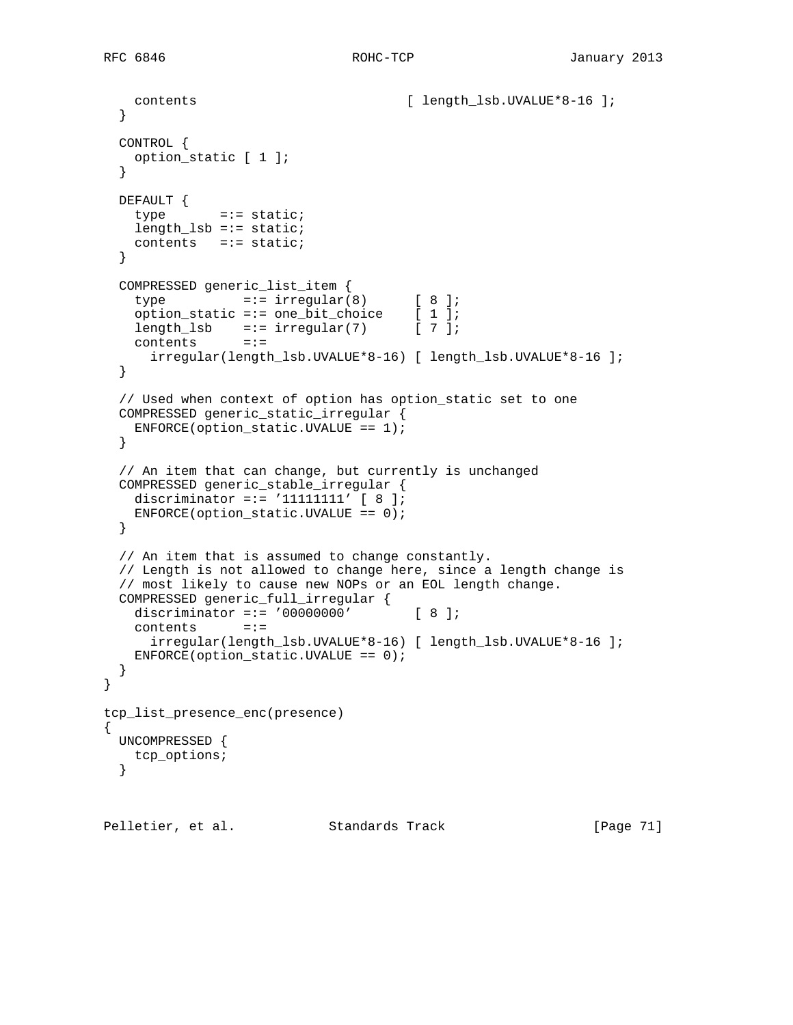```
contents [ length_lsb.UVALUE*8-16 ];
  }
  CONTROL {
    option_static [ 1 ];
   }
  DEFAULT {
   type =:= static;
   length lsb == static; contents =:= static;
  }
  COMPRESSED generic_list_item {
type =:- irregular(8) [ 8 ];
 option_static =:= one_bit_choice [ 1 ];
length_lsb =:= irregular(7) [ 7 ];
    contents =:=
     irregular(length_lsb.UVALUE*8-16) [ length_lsb.UVALUE*8-16 ];
  }
  // Used when context of option has option_static set to one
  COMPRESSED generic_static_irregular {
    ENFORCE(option_static.UVALUE == 1);
  }
  // An item that can change, but currently is unchanged
  COMPRESSED generic_stable_irregular {
   discriminator =:= '11111111' [ 8 ];
   ENFCRCE(option\_static.UVALUE == 0); }
  // An item that is assumed to change constantly.
  // Length is not allowed to change here, since a length change is
  // most likely to cause new NOPs or an EOL length change.
  COMPRESSED generic_full_irregular {
   discriminator =:= '00000000' [ 8 ];
    contents =:=
      irregular(length_lsb.UVALUE*8-16) [ length_lsb.UVALUE*8-16 ];
    ENFORCE(option_static.UVALUE == 0);
  }
tcp_list_presence_enc(presence)
{
  UNCOMPRESSED {
   tcp_options;
  }
```
Pelletier, et al. Standards Track [Page 71]

}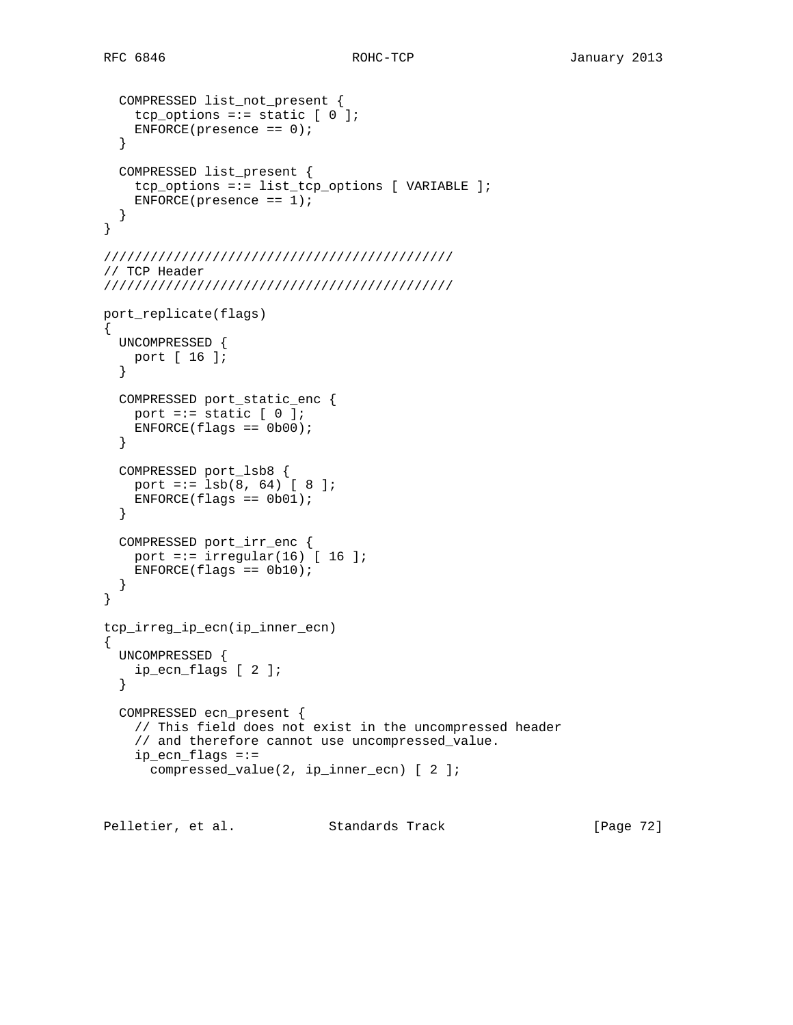```
 COMPRESSED list_not_present {
    tcp_options =:= static [0];
    ENFORCE(presence == 0);
   }
  COMPRESSED list_present {
    tcp_options =:= list_tcp_options [ VARIABLE ];
   ENFORCE(presence == 1); }
}
/////////////////////////////////////////////
// TCP Header
/////////////////////////////////////////////
port_replicate(flags)
\left\{ \right. UNCOMPRESSED {
   port [ 16 ];
   }
   COMPRESSED port_static_enc {
   port =:= static [0];
   ENTER(flags == 0b00); }
   COMPRESSED port_lsb8 {
   port =:= lsb(8, 64) [ 8 ];
   ENTER(flags == 0b01); }
   COMPRESSED port_irr_enc {
   port =:= irregular(16) [ 16 ];
   ENTER(flags == 0b10);
   }
}
tcp_irreg_ip_ecn(ip_inner_ecn)
{
  UNCOMPRESSED {
    ip_ecn_flags [ 2 ];
   }
   COMPRESSED ecn_present {
     // This field does not exist in the uncompressed header
     // and therefore cannot use uncompressed_value.
     ip_ecn_flags =:=
       compressed_value(2, ip_inner_ecn) [ 2 ];
```
Pelletier, et al. Standards Track [Page 72]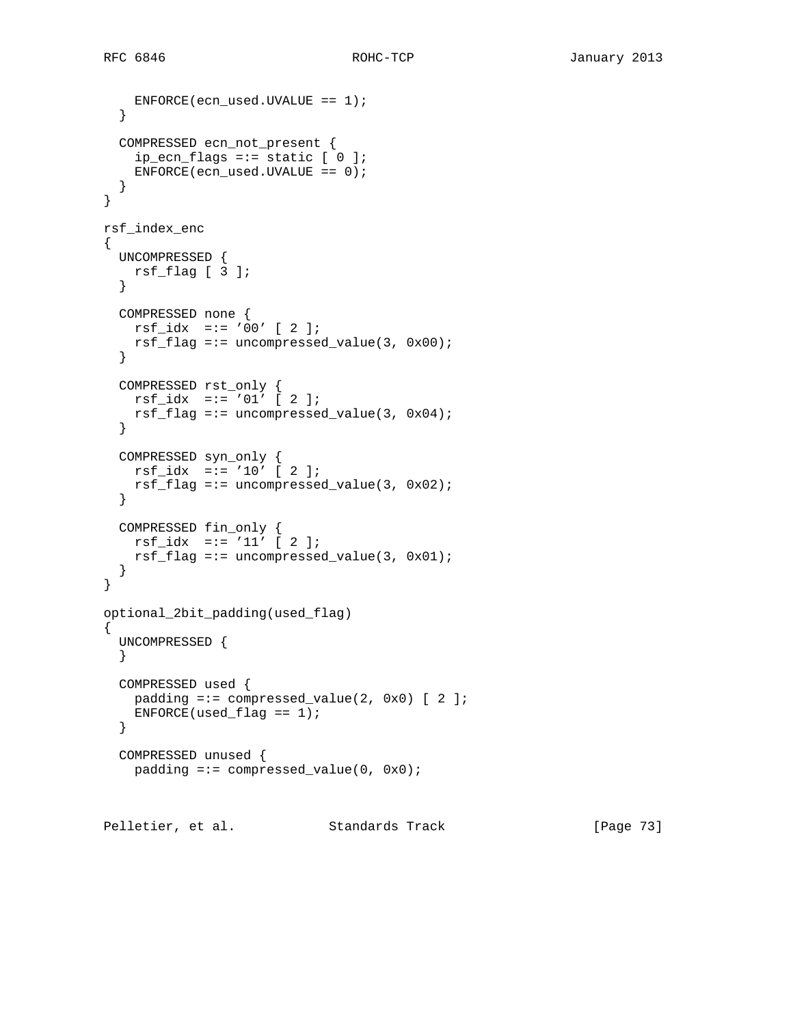```
 ENFORCE(ecn_used.UVALUE == 1);
   }
  COMPRESSED ecn_not_present {
   ip\_ecn\_flags == static [ 0 ];
    ENFORCE(ecn_used.UVALUE == 0);
   }
}
rsf_index_enc
{
  UNCOMPRESSED {
    rsf_flag [ 3 ];
   }
  COMPRESSED none {
    rsf_idx =:= '00' [ 2 ];
   rsf_flag == uncompressed_value(3, 0x00); }
  COMPRESSED rst_only {
    rsf_idx =:= '01' [ 2 ];
    rsf_flag =:= uncompressed_value(3, 0x04);
   }
 COMPRESSED syn_only {
 rsf_idx =:= '10' [ 2 ];
   rsf_flag == uncompressed_value(3, 0x02); }
  COMPRESSED fin_only {
   rsf_idx =:= '11' [ 2 ];
   rsf_flag == uncompressed_value(3, 0x01); }
}
optional_2bit_padding(used_flag)
{
   UNCOMPRESSED {
   }
  COMPRESSED used {
   padding =:- compressed_value(2, 0x0) [ 2 ];
   ENFORCE(used_flag == 1); }
  COMPRESSED unused {
   padding =:- compressed_value(0, 0x0);
Pelletier, et al. Standards Track [Page 73]
```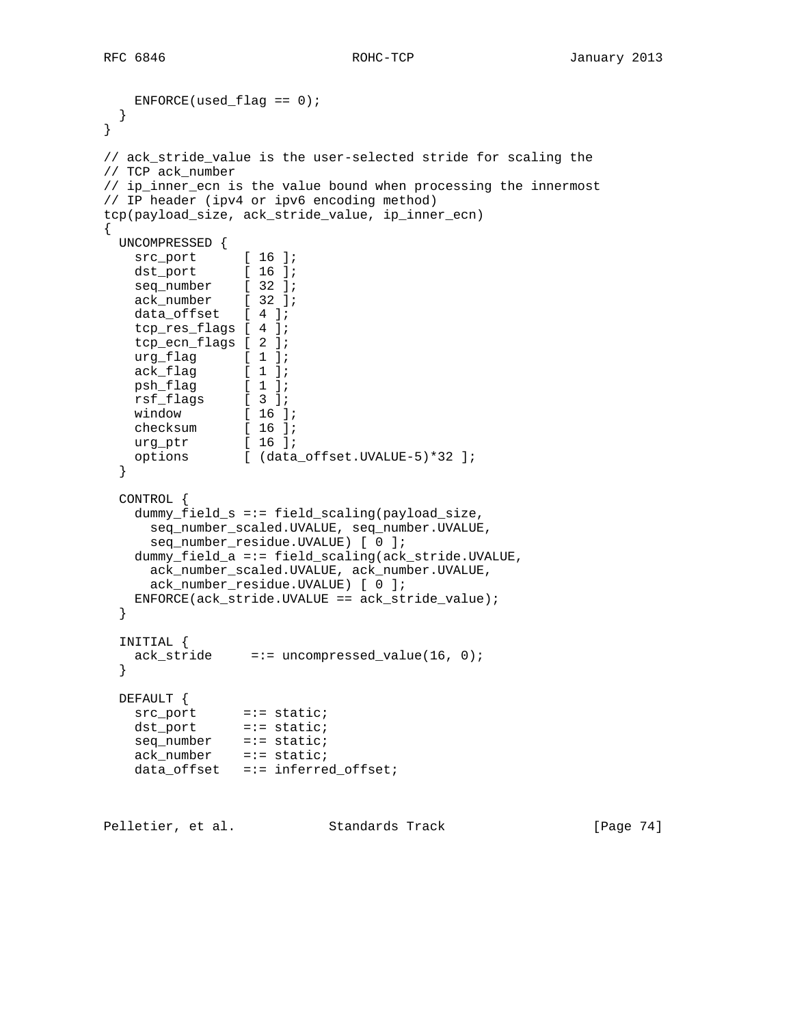RFC 6846 ROHC-TCP January 2013

```
ENFORCE(used_flag == 0); }
}
// ack_stride_value is the user-selected stride for scaling the
// TCP ack_number
// ip_inner_ecn is the value bound when processing the innermost
// IP header (ipv4 or ipv6 encoding method)
tcp(payload_size, ack_stride_value, ip_inner_ecn)
{
  UNCOMPRESSED {
 src_port [ 16 ];
 dst_port [ 16 ];
 seq_number [ 32 ];
 ack_number [ 32 ];
    data_offset [ 4 ];
    tcp_res_flags [ 4 ];
    tcp_ecn_flags [ 2 ];
    urg_flag [ 1 ];
 ack_flag [ 1 ];
 psh_flag [ 1 ];
 rsf_flags [ 3 ];
 window [ 16 ];
 checksum [ 16 ];
 urg_ptr [ 16 ];
 options [ (data_offset.UVALUE-5)*32 ];
  }
  CONTROL {
    dummy_field_s =:= field_scaling(payload_size,
      seq_number_scaled.UVALUE, seq_number.UVALUE,
      seq_number_residue.UVALUE) [ 0 ];
    dummy_field_a =:= field_scaling(ack_stride.UVALUE,
      ack_number_scaled.UVALUE, ack_number.UVALUE,
      ack_number_residue.UVALUE) [ 0 ];
    ENFORCE(ack_stride.UVALUE == ack_stride_value);
  }
  INITIAL {
   ack_stride =:= uncompressed_value(16, 0);
  }
  DEFAULT {
src_port =:= static;
 dst_port =:= static;
   seq_number =:= static;
    ack_number =:= static;
    data_offset =:= inferred_offset;
Pelletier, et al. Standards Track [Page 74]
```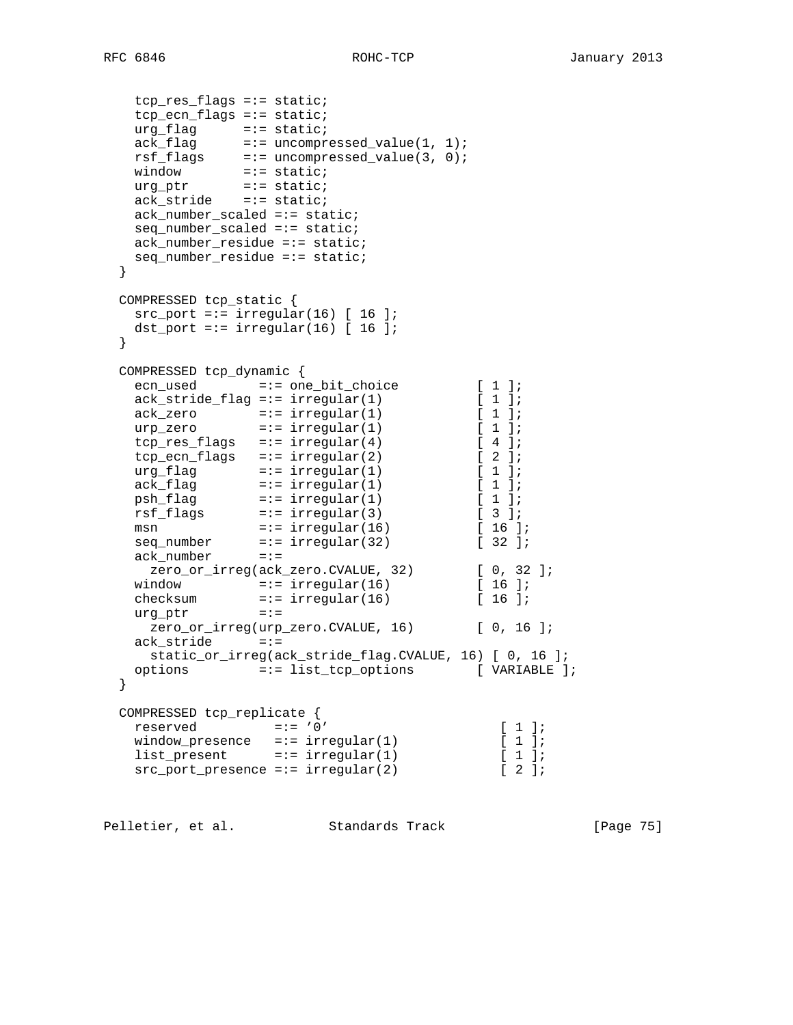```
 tcp_res_flags =:= static;
   tcp_ecn_flags =:= static;
 urg_flag =:= static;
ack_flag =:= uncompressed_value(1, 1);
 rsf_flags =:= uncompressed_value(3, 0);
window =:= static;
 urg_ptr =:= static;
 ack_stride =:= static;
   ack_number_scaled =:= static;
   seq_number_scaled =:= static;
   ack_number_residue =:= static;
   seq_number_residue =:= static;
  }
  COMPRESSED tcp_static {
  src port =:= irregular(16) [ 16 ];
  dst_port =:= irregular(16) [ 16 ];
  }
 COMPRESSED tcp_dynamic {
ecn_used =:= one_bit_choice [ 1 ];
 ack_stride_flag =:= irregular(1) [ 1 ];
ack\_zero =:= irregular(1) [ 1 ];
\text{urp\_zero} =:= \text{irregular}(1) [ 1 ];
top\_res\_flags =:= irregular(4) [ 4 ];
tcp\_ecn\_flags =:= irregular(2) [ 2 ];
urg_flag =:= irregular(1) [ 1 ];
ack\_flag =:= irregular(1) [ 1 ];
psh_f1ag =:= irregular(1) [ 1 ];
rsf_flags =:= irregular(3) [ 3 ];
msn =:- irregular(16) [ 16 ];
seq\_number =:= irregular(32) [ 32 ];
 ack_number =:=
zero_or_irreg(ack_zero.CVALUE, 32) [ 0, 32 ];
window =:- irregular(16) [ 16 ];
checksum =:- irregular(16) [ 16 ];
 urg_ptr =:=
   zero_or_irreg(urp_zero.CVALUE, 16) [ 0, 16 ];
   ack_stride =:=
    static_or_irreg(ack_stride_flag.CVALUE, 16) [ 0, 16 ];
  options =:= list_tcp_options [ VARIABLE ];
  }
  COMPRESSED tcp_replicate {
 reserved =:= '0' [ 1 ];
window_presence =:= irregular(1) [1];
list_present =:= irregular(1) [ 1 ];
src\_port\_presence == irregular(2) [ 2 ];
```
Pelletier, et al. Standards Track [Page 75]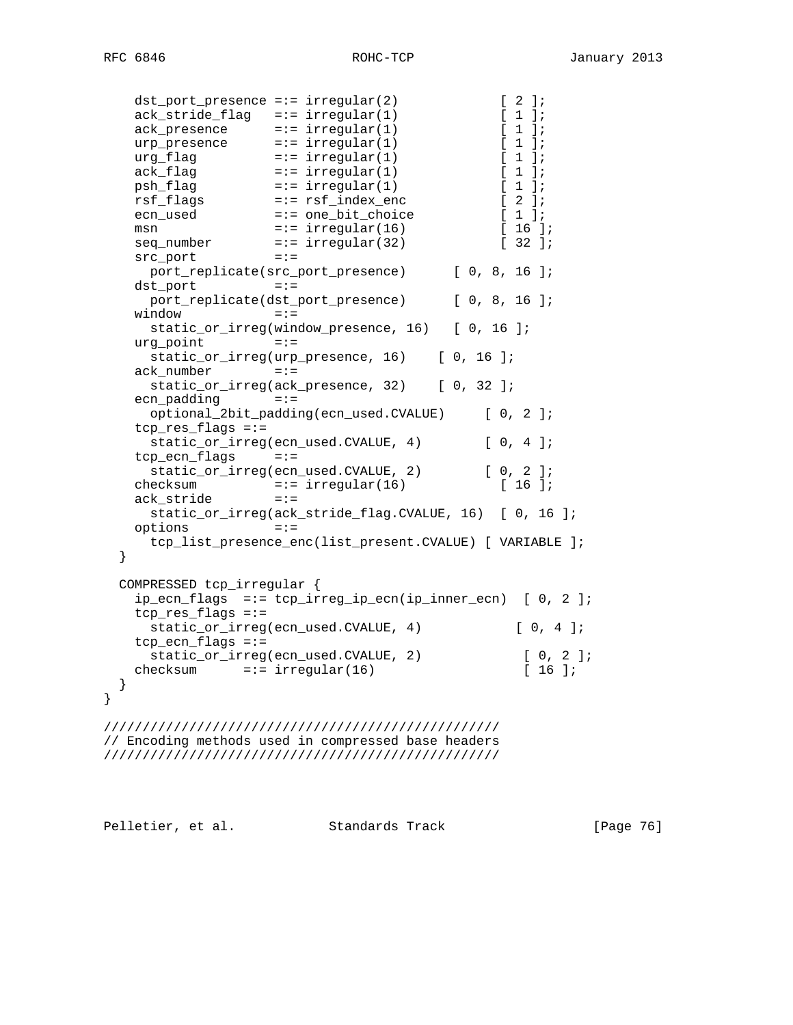|      | dst_port_presence =:= irregular(2)    |                                                           | $\begin{bmatrix} 2 \end{bmatrix}$<br>$\exists$ ; |
|------|---------------------------------------|-----------------------------------------------------------|--------------------------------------------------|
|      | $ack\_stride\_flag = :- irregular(1)$ |                                                           | L<br>$1 \; j$                                    |
|      | ack presence                          | $= := \text{irregular}(1)$                                | [1]                                              |
|      | urp_presence                          | $= := \irregular(1)$                                      | [1]                                              |
|      | urg_flag                              | $= := irregular(1)$                                       | [1]                                              |
|      | ack_flag                              | $= := \irregular(1)$                                      | $\begin{bmatrix} 1 \end{bmatrix}$                |
|      | psh flag                              | $= := \irregular(1)$                                      | $\begin{bmatrix} 1 \end{bmatrix}$                |
|      | rsf_flags                             | =:= rsf_index_enc                                         | $\begin{bmatrix} 2 \end{bmatrix}$                |
|      | ecn_used                              | =:= one_bit_choice                                        | $\lceil 1 \rceil$                                |
|      |                                       |                                                           | $16$ $17$                                        |
|      | msn                                   | $= := \irregular(16)$                                     | $132$ $17$                                       |
|      | seq_number                            | $= := \irregular(32)$                                     |                                                  |
|      | src_port                              | $=$ : $=$                                                 |                                                  |
|      |                                       | port_replicate(src_port_presence)                         | [0, 8, 16]                                       |
|      | dst_port                              | $=$ : $=$                                                 |                                                  |
|      |                                       | port_replicate(dst_port_presence)                         | [0, 8, 16]                                       |
|      | window                                | $=$ : $=$                                                 |                                                  |
|      |                                       | static_or_irreg(window_presence, 16) [ 0, 16 ];           |                                                  |
|      | urg point                             | $=$ : $=$                                                 |                                                  |
|      |                                       | static_or_irreg(urp_presence, 16) [ 0, 16 ];              |                                                  |
|      | ack number                            | $=$ : $=$                                                 |                                                  |
|      |                                       | static_or_irreg(ack_presence, 32) [ 0, 32 ];              |                                                  |
|      | ecn padding                           | $=$ : $=$                                                 |                                                  |
|      |                                       | optional_2bit_padding(ecn_used.CVALUE)                    | [0, 2]                                           |
|      | $tcp_res_flags ==$                    |                                                           |                                                  |
|      |                                       | static_or_irreg(ecn_used.CVALUE, 4)                       | [0, 4]                                           |
|      | tcp_ecn_flags                         | $=$ : $=$                                                 |                                                  |
|      |                                       | static_or_irreg(ecn_used.CVALUE,<br>2)                    | [0, 2]                                           |
|      | checksum                              | $= := \irregular(16)$                                     | [16]                                             |
|      | ack_stride                            | $=$ : $=$                                                 |                                                  |
|      |                                       | static_or_irreg(ack_stride_flag.CVALUE, 16) [ 0, 16 ];    |                                                  |
|      |                                       | $=$ : $=$                                                 |                                                  |
|      | options                               |                                                           |                                                  |
|      |                                       | tcp_list_presence_enc(list_present.CVALUE) [ VARIABLE ];  |                                                  |
| $\}$ |                                       |                                                           |                                                  |
|      |                                       |                                                           |                                                  |
|      | COMPRESSED tcp_irregular {            |                                                           |                                                  |
|      |                                       | ip_ecn_flags =:= tcp_irreg_ip_ecn(ip_inner_ecn) [ 0, 2 ]; |                                                  |
|      | tcp res flags =:=                     |                                                           |                                                  |
|      |                                       | static_or_irreg(ecn_used.CVALUE, 4)                       | [0, 4]                                           |
|      | $tcp\_ecn\_flags ==$                  |                                                           |                                                  |
|      |                                       | static_or_irreg(ecn_used.CVALUE, 2)                       | [0, 2]                                           |
|      | checksum $=:-$ irregular(16)          |                                                           | ſ.<br>$16$ ];                                    |
| }    |                                       |                                                           |                                                  |
| $\}$ |                                       |                                                           |                                                  |
|      |                                       |                                                           |                                                  |
|      |                                       |                                                           |                                                  |
|      |                                       | // Encoding methods used in compressed base headers       |                                                  |
|      |                                       |                                                           |                                                  |
|      |                                       |                                                           |                                                  |

Pelletier, et al. Standards Track [Page 76]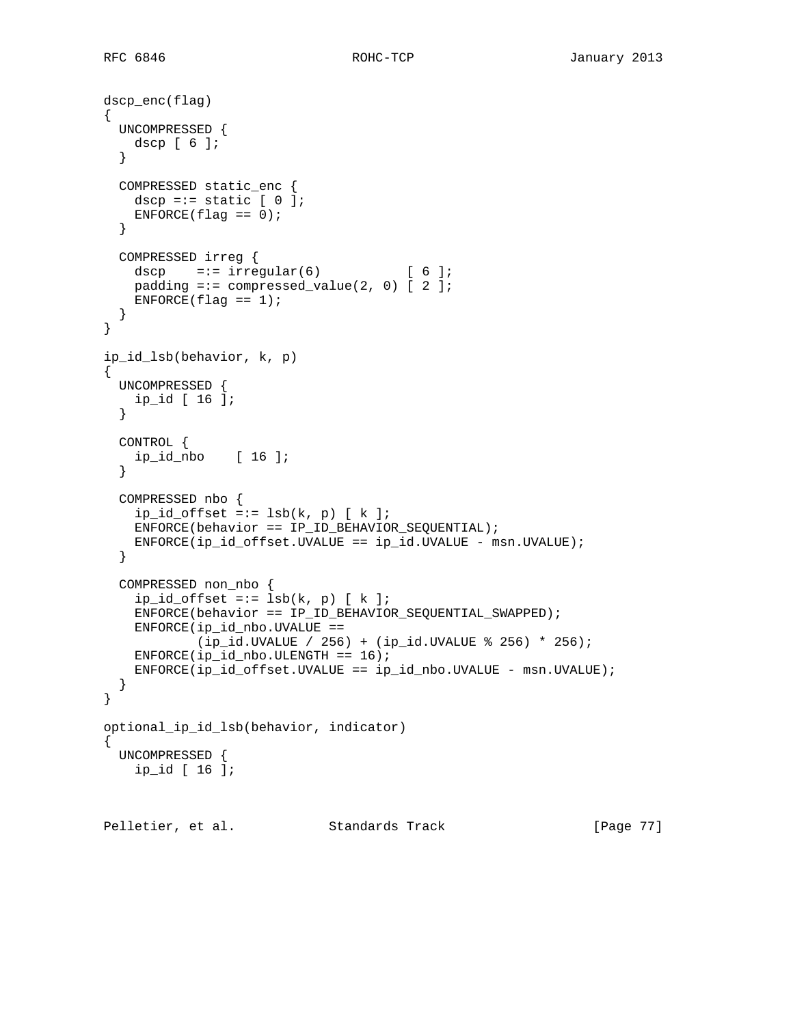```
dscp_enc(flag)
{
   UNCOMPRESSED {
    dscp [ 6 ];
   }
   COMPRESSED static_enc {
  dscp =:= static [0];
   ENFORCE(flag == 0); }
  COMPRESSED irreg {
   dscp =:= irregular(6) [ 6 ];
   padding =:- compressed_value(2, 0) [ 2 ];
   ENFORCE(flag == 1); }
}
ip_id_lsb(behavior, k, p)
{
  UNCOMPRESSED {
    ip_id [ 16 ];
   }
   CONTROL {
    ip_id_nbo [ 16 ];
   }
  COMPRESSED nbo {
   ip_id_offset == lsb(k, p) [ k ]; ENFORCE(behavior == IP_ID_BEHAVIOR_SEQUENTIAL);
   ENFORCE(ip_id_offset.UVALUE == ip_id.UVALUE - msn.UVALUE); }
  COMPRESSED non_nbo {
   ip_id_offset == lsb(k, p) [ k ]; ENFORCE(behavior == IP_ID_BEHAVIOR_SEQUENTIAL_SWAPPED);
   ENFORCE(ip_id_nbo.UVALUE == (ip_id.UVALUE / 256) + (ip_id.UVALUE % 256) * 256);
   ENFORCE(ip_id_nbo.ULENGTH == 16); ENFORCE(ip_id_offset.UVALUE == ip_id_nbo.UVALUE - msn.UVALUE);
   }
}
optional_ip_id_lsb(behavior, indicator)
{
  UNCOMPRESSED {
    ip_id [ 16 ];
Pelletier, et al. Standards Track [Page 77]
```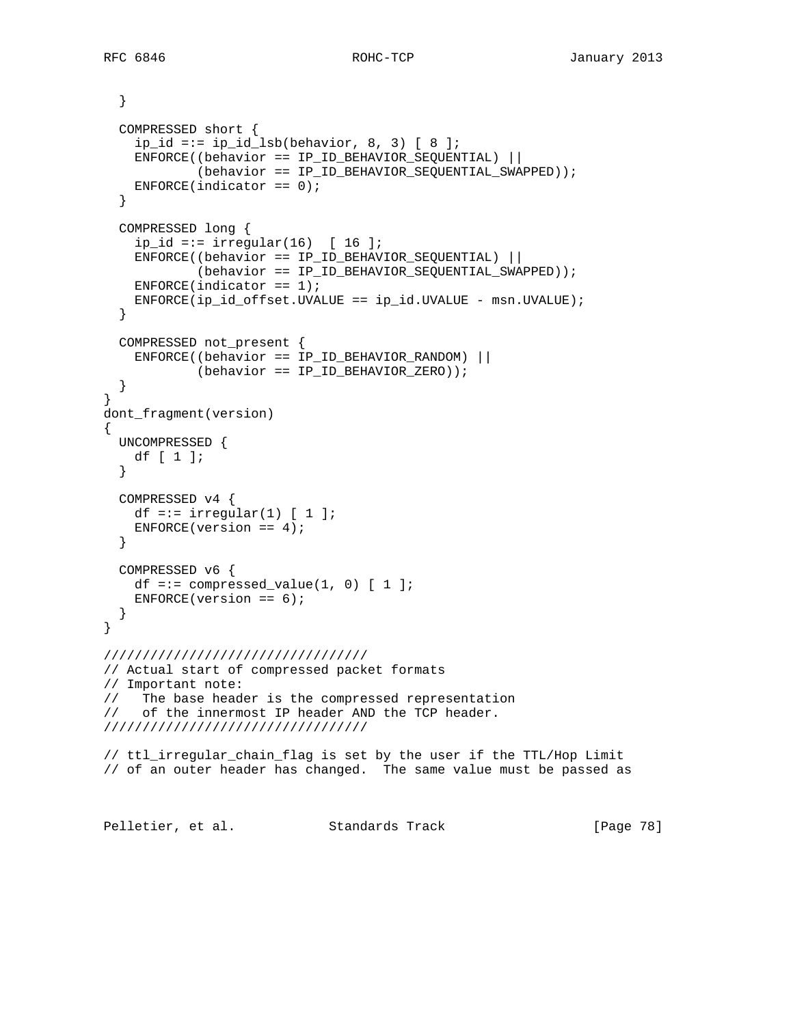```
 }
   COMPRESSED short {
    ip id =:= ip id lsb(behavior, 8, 3) [ 8 ];
    ENFORCE((behavior == IP_ID_BEHAVIOR_SEQUENTIAL) ||
             (behavior == IP_ID_BEHAVIOR_SEQUENTIAL_SWAPPED));
   ENTER(intactor == 0); }
   COMPRESSED long {
    ip_id == irregular(16) [16] ENFORCE((behavior == IP_ID_BEHAVIOR_SEQUENTIAL) ||
            (behavior == IP_ID_BEHAVIOR_SEQUENTIAL_SWAPPED));
   ENFORCE(indicator == 1);
    ENFORCE(ip_id_offset.UVALUE == ip_id.UVALUE - msn.UVALUE);
   }
  COMPRESSED not_present {
    ENFORCE((behavior == IP_ID_BEHAVIOR_RANDOM) ||
            (behavior == IP_ID_BEHAVIOR_ZERO));
   }
}
dont_fragment(version)
{
  UNCOMPRESSED {
   df [ 1 ];
   }
  COMPRESSED v4 {
   df =:= irregular(1) [ 1 ];
    ENFORCE(version == 4);
   }
  COMPRESSED v6 {
   df =:= compressed_value(1, 0) [1];
   ENFORCE(version == 6);
   }
}
//////////////////////////////////
// Actual start of compressed packet formats
// Important note:
// The base header is the compressed representation
// of the innermost IP header AND the TCP header.
//////////////////////////////////
// ttl_irregular_chain_flag is set by the user if the TTL/Hop Limit
// of an outer header has changed. The same value must be passed as
Pelletier, et al. Standards Track [Page 78]
```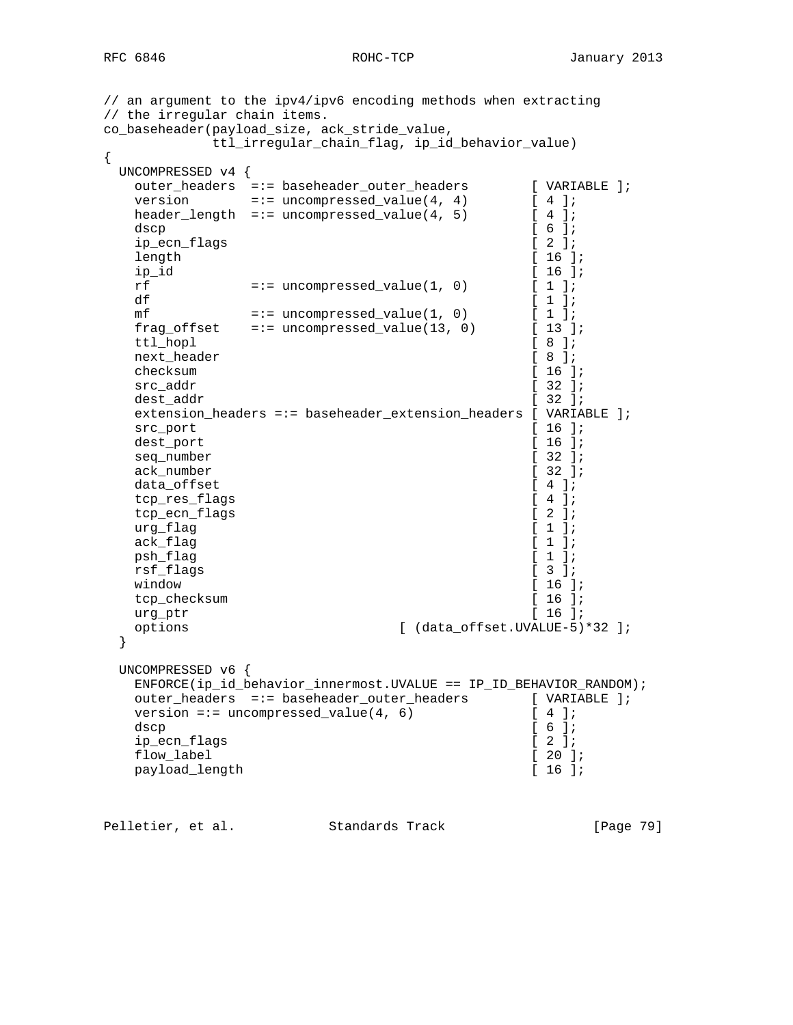// an argument to the ipv4/ipv6 encoding methods when extracting // the irregular chain items. co\_baseheader(payload\_size, ack\_stride\_value, ttl\_irregular\_chain\_flag, ip\_id\_behavior\_value) { UNCOMPRESSED v4 { outer\_headers =:= baseheader\_outer\_headers [ VARIABLE ]; version  $=:-$  uncompressed\_value $(4, 4)$  [ 4 ]; header\_length =:= uncompressed\_value(4, 5)  $[4]$ ; dscp  $[ 6 ]$ ; ip\_ecn\_flags [ 2 ]; length [ 16 ];<br>
ip\_id [ 16 ];  $[16]$ ;<br> $[1]$ ; rf  $=:-$  uncompressed\_value(1, 0)  $[1]$ ;<br>df  $[1]$ ; df  $[1]$ ; mf  $=:-$  uncompressed\_value(1, 0)  $[1]$ ; frag\_offset =:= uncompressed\_value(13, 0) [ 13 ]; ttl\_hopl [ 8 ];<br>next\_header [ 8 ]; next\_header [ 8 ];<br>checksum [ 16 ]; checksum src\_addr [ 32 ]; dest addr [ 32 ]; extension\_headers =:= baseheader\_extension\_headers [ VARIABLE ]; src\_port [ 16 ];<br>dest port [ 16 ]; dest\_port [ 16 ];<br>seq\_number [ 32 ]; seq\_number [ 32 ];<br>ack number [ 32 ]; ack\_number data\_offset [ 4 ];<br>
tcp res\_flags [ 4 ]; tcp\_res\_flags tcp\_ecn\_flags [ 2 ];  $\arg_{\text{flag}}$  [ 1 ];  $ack\_flag$  [ 1 ]; psh\_flag [ 1 ]; rsf\_flags [ 3 ]; window [ 16 ]; tcp\_checksum [ 16 ];<br>urg\_ptr [ 16 ]; urg\_ptr options [ (data\_offset.UVALUE-5)\*32 ]; } UNCOMPRESSED v6 { ENFORCE(ip\_id\_behavior\_innermost.UVALUE == IP\_ID\_BEHAVIOR\_RANDOM); outer\_headers =:= baseheader\_outer\_headers [ VARIABLE ]; version =:= uncompressed\_value(4, 6)  $[4]$ ; dscp [ 6 ]; ip\_ecn\_flags [ 2 ]; flow\_label [ 20 ]; payload\_length [ 16 ];

Pelletier, et al. Standards Track [Page 79]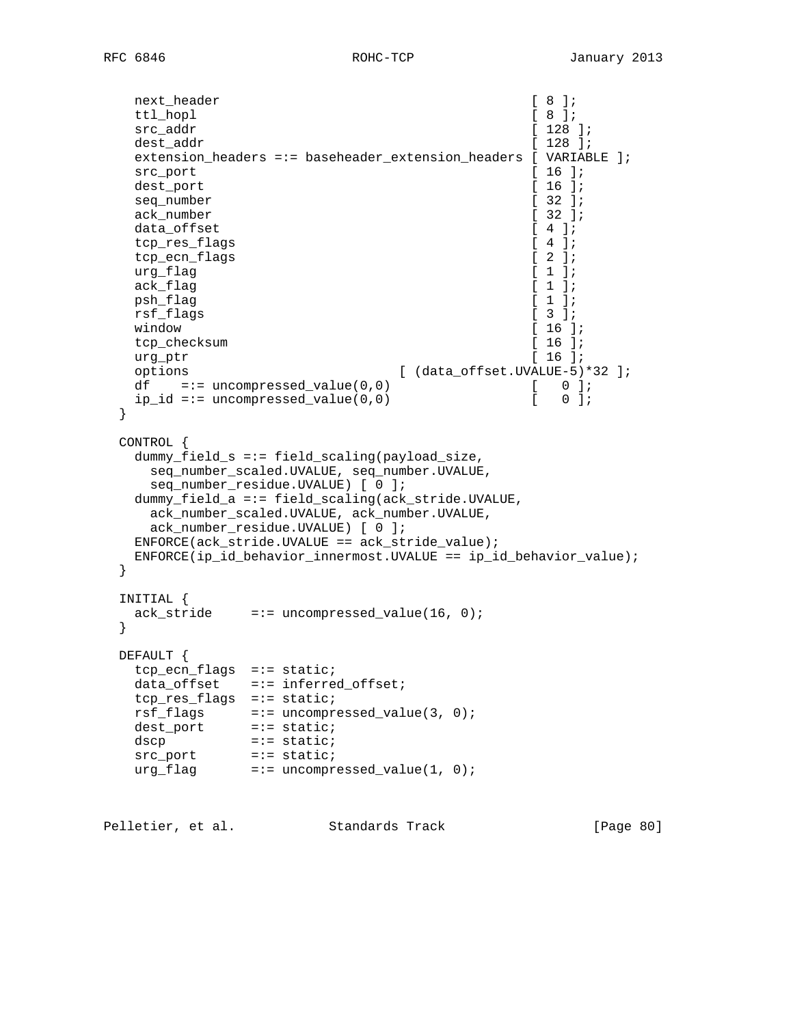```
next_header [ 8 ];<br>ttl_hopl [ 8 ];
  ttl_hopl
  src_addr [ 128 ];
  dest_addr [ 128 ];
   extension_headers =:= baseheader_extension_headers [ VARIABLE ];
  src_port [ 16 ];
  dest_port [ 16 ];<br>seq_number [ 32 ];
  seq_number
  ack_number [ 32 ];
  data offset [ 4 ];
  tcp_res_flags [ 4 ];<br>tcp ecn flags [ 2 ];
  tcp_ecn_flags [ 2 ];<br>urq flaq [ 1 ];
  urg_flag [ 1 ];<br>ack_flag [ 1 ];
  ack_flag [ 1 ];<br>psh flag [ 1 ] [ 1 ] ]
  psh_flag
  rsf_flags [ 3 ];
  window [ 16 ];
  tcp_checksum [ 16 ];
   urg_ptr [ 16 ];
   options [ (data_offset.UVALUE-5)*32 ];
  df =:= uncompressed_value(0,0) [ 0];
   ip_id =:= uncompressed_value(0,0) [ 0 ];
  }
  CONTROL {
   dummy_field_s =:= field_scaling(payload_size,
    seq_number_scaled.UVALUE, seq_number.UVALUE,
     seq_number_residue.UVALUE) [ 0 ];
   dummy_field_a =:= field_scaling(ack_stride.UVALUE,
    ack_number_scaled.UVALUE, ack_number.UVALUE,
    ack_number_residue.UVALUE) [ 0 ];
   ENFORCE(ack_stride.UVALUE == ack_stride_value);
   ENFORCE(ip_id_behavior_innermost.UVALUE == ip_id_behavior_value);
  }
  INITIAL {
  ack\_stride =:= uncompressed_value(16, 0);
  }
  DEFAULT {
   tcp_ecn_flags =:= static;
  data_offset =:= inferred_offset;
   tcp_res_flags =:= static;
 rsf_flags =:= uncompressed_value(3, 0);
 dest_port =:= static;
dscp =:- static;
src_port =:= static;
 urg_flag =:= uncompressed_value(1, 0);
```
Pelletier, et al. Standards Track [Page 80]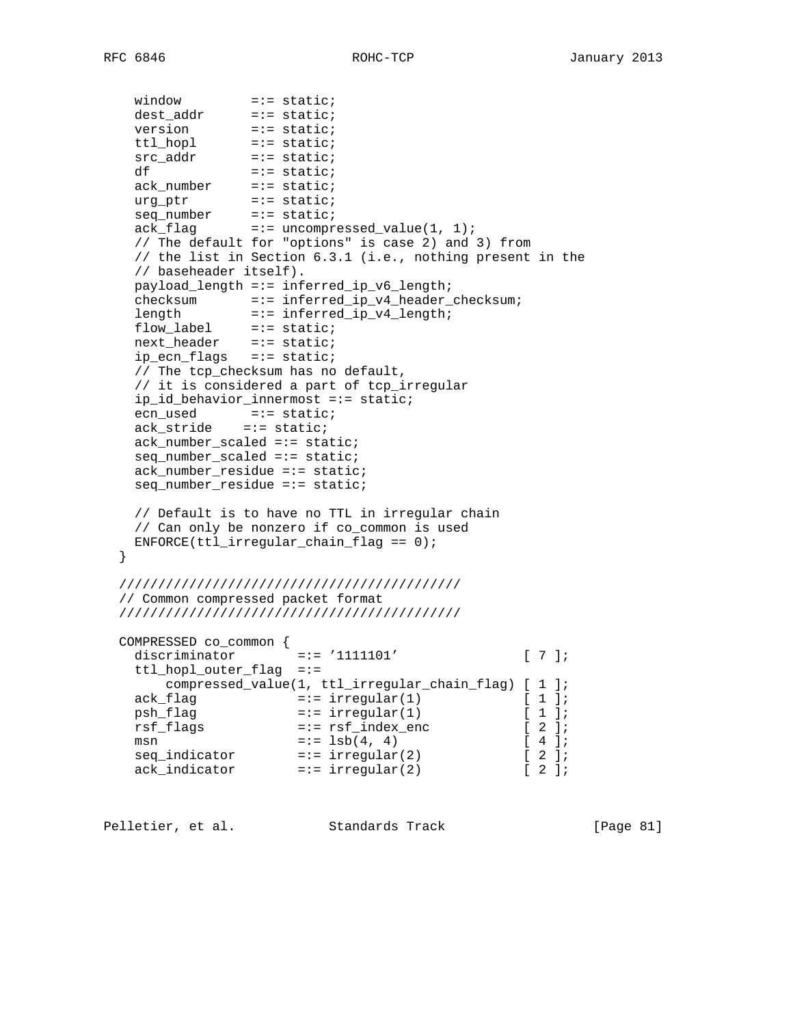```
window =:- static;
 dest_addr =:= static;
version =:= static;
 ttl_hopl =:= static;
src_addr =:= static;
df = := state;
 ack_number =:= static;
 urg_ptr =:= static;
seq_number =:= static;
ack_flag =:= uncompressed_value(1, 1);
    // The default for "options" is case 2) and 3) from
    // the list in Section 6.3.1 (i.e., nothing present in the
    // baseheader itself).
    payload_length =:= inferred_ip_v6_length;
 checksum =:= inferred_ip_v4_header_checksum;
length =:- inferred_ip_v4_length;
flow_label =:= static;
 next_header =:= static;
    ip_ecn_flags =:= static;
    // The tcp_checksum has no default,
    // it is considered a part of tcp_irregular
    ip_id_behavior_innermost =:= static;
ecn_used =:= static;
 ack_stride =:= static;
    ack_number_scaled =:= static;
    seq_number_scaled =:= static;
    ack_number_residue =:= static;
    seq_number_residue =:= static;
    // Default is to have no TTL in irregular chain
    // Can only be nonzero if co_common is used
  ENFORCE(ttl\_irregular\_chain_flag == 0); }
  ////////////////////////////////////////////
  // Common compressed packet format
  ////////////////////////////////////////////
  COMPRESSED co_common {
 discriminator =:= '1111101' [ 7 ];
 ttl_hopl_outer_flag =:=
      compressed_value(1, ttl_irregular_chain_flag) [ 1 ];
ack\_flag =:= irregular(1) [ 1 ];
psh_flag =:= irregular(1) [ 1 ];
 rsf_flags =:= rsf_index_enc [ 2 ];
msn = := 1sb(4, 4) [ 4 ];
 seq_indicator =:= irregular(2) [ 2 ];
 ack_indicator =:= irregular(2) [ 2 ];
```
Pelletier, et al. Standards Track [Page 81]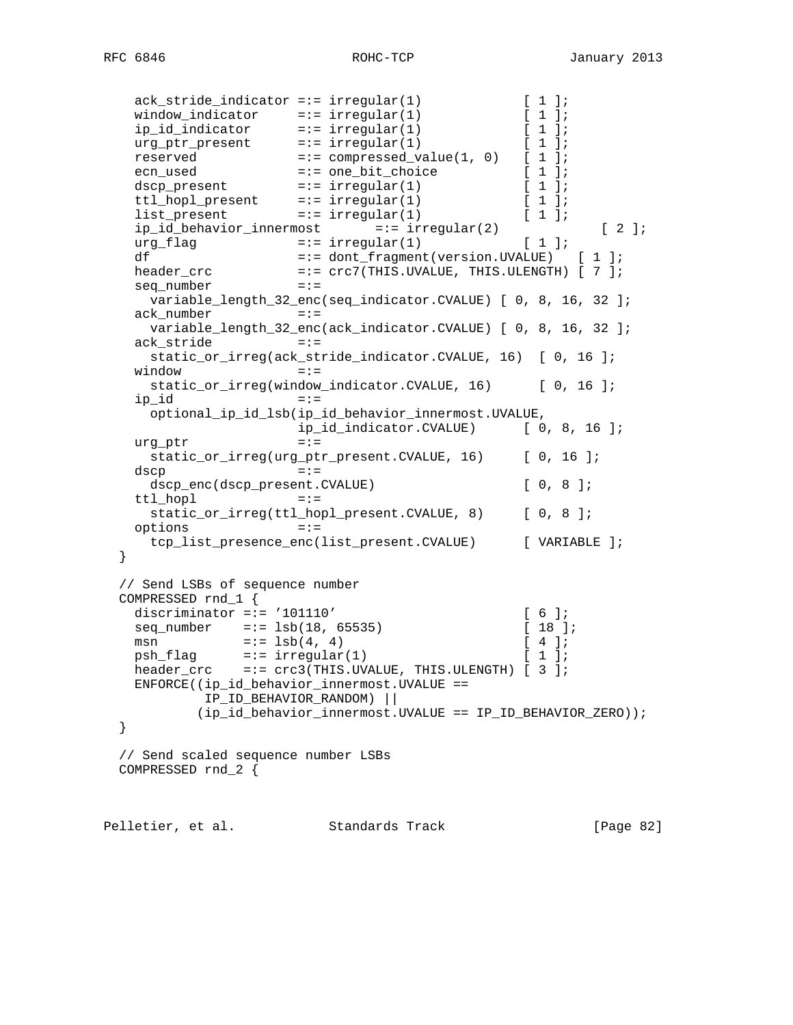```
 ack_stride_indicator =:= irregular(1) [ 1 ];
window_indicator =:= irregular(1) [ 1 ];
 ip_id_indicator =:= irregular(1) [ 1 ];
urg\_ptr\_present =:= irregular(1) [ 1 ];
reserved =:= compressed_value(1, 0) [ 1 ];
 ecn_used =:= one_bit_choice [ 1 ];
dscp_present =:- irregular(1) [1];
ttl_hopl_present =:= irregular(1) [ 1 ];
 list_present =:= irregular(1) [ 1 ];
  list_present =:= irregular(1)<br>ip_id_behavior_innermost =:= irregular(2) [ 2 ];<br>-:- irreqular(1) [ 1 ];
urg_flag =:= irregular(1) [ 1 ];
 df =:= dont_fragment(version.UVALUE) [ 1 ];
header_crc                   =:= crc7(THIS.UVALUE, THIS.ULENGTH) [ 7 ];
 seq_number =:=
     variable_length_32_enc(seq_indicator.CVALUE) [ 0, 8, 16, 32 ];
  ack number =:- variable_length_32_enc(ack_indicator.CVALUE) [ 0, 8, 16, 32 ];
   ack_stride =:=
     static_or_irreg(ack_stride_indicator.CVALUE, 16) [ 0, 16 ];
   window =:=
    static_or_irreg(window_indicator.CVALUE, 16) [ 0, 16 ];
   ip id =:- optional_ip_id_lsb(ip_id_behavior_innermost.UVALUE,
                    ip_id_indicator.CVALUE) [ 0, 8, 16 ];
  urg\_ptr =:=
    static_or_irreg(urg_ptr_present.CVALUE, 16) [ 0, 16 ];
  dscp = :=dscp_enc(dscp_present.CVALUE) [ 0, 8 ];
   ttl_hopl =:=
    static_or_irreg(ttl_hopl_present.CVALUE, 8) [ 0, 8 ];
   options =:=
     tcp_list_presence_enc(list_present.CVALUE) [ VARIABLE ];
  }
  // Send LSBs of sequence number
 COMPRESSED rnd_1 {<br>discriminator =:= '101110'
discriminator =:= '101110' [ 6 ];
 seq_number =:= lsb(18, 65535) [ 18 ];
msn =:= 1 \text{sb}(4, 4) [ 4 ];
psh_flag =:= irregular(1) [ 1 ];
 header_crc =:= crc3(THIS.UVALUE, THIS.ULENGTH) [ 3 ];
   ENFORCE((ip_id_behavior_innermost.UVALUE ==
          IP_ID_BEHAVIOR_RANDOM) ||
          (ip_id_behavior_innermost.UVALUE == IP_ID_BEHAVIOR_ZERO));
  }
  // Send scaled sequence number LSBs
  COMPRESSED rnd_2 {
```
Pelletier, et al. Standards Track [Page 82]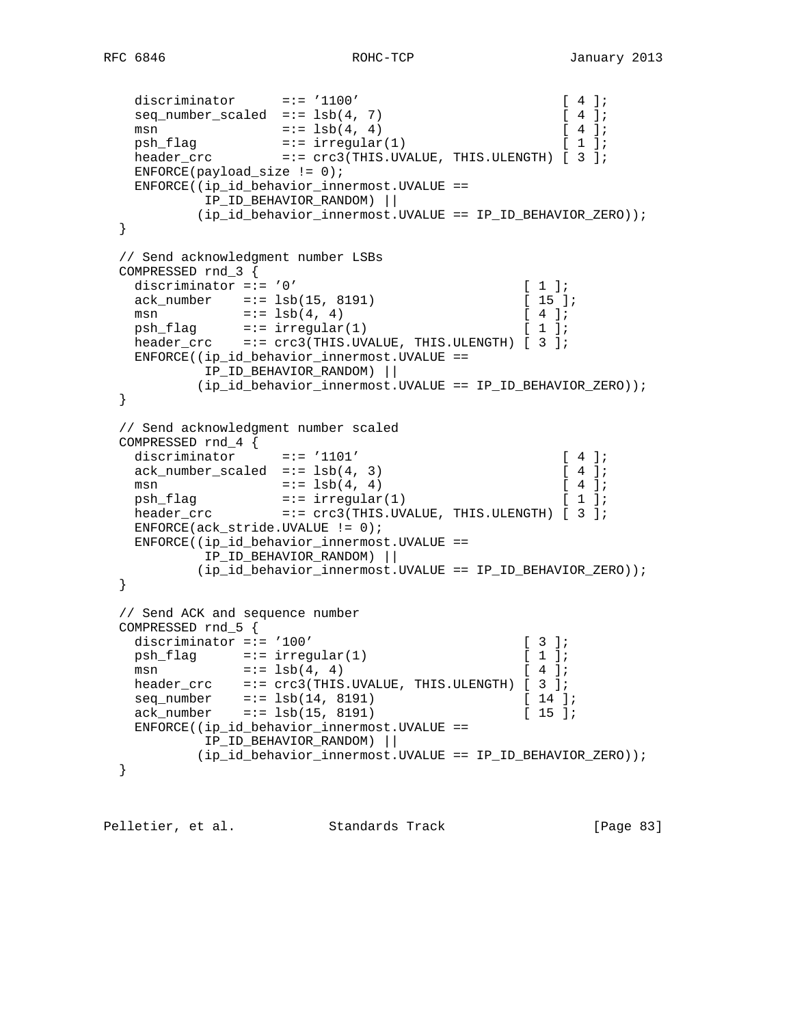```
RFC 6846 ROHC-TCP January 2013
```

```
discriminator =:= '1100' [ 4 ];
 seq_number_scaled =:= lsb(4, 7) [ 4 ];
  msn =:= lsb(4, 4) <br>psh_flag =:= irregular(1) [ 4 ];<br>[ 1 ];
psh_f1ag =:= irregular(1) [ 1 ];
header_crc             =:= crc3(THIS.UVALUE, THIS.ULENGTH) [ 3 ];
  ENTER(payload_size != 0); ENFORCE((ip_id_behavior_innermost.UVALUE ==
           IP_ID_BEHAVIOR_RANDOM) ||
          (ip_id_behavior_innermost.UVALUE == IP_ID_BEHAVIOR_ZERO));
  }
  // Send acknowledgment number LSBs
  COMPRESSED rnd_3 {
  discriminator =:= '0' [1];<br>ack_number =:= 1sb(15, 8191) [15];
  ack\_number =:= lsb(15, 8191)msn =:- 1sb(4, 4) [ 4 ];
psh_flag =:= irregular(1) [ 1 ];
 header_crc =:= crc3(THIS.UVALUE, THIS.ULENGTH) [ 3 ];
   ENFORCE((ip_id_behavior_innermost.UVALUE ==
          IP_ID_BEHAVIOR_RANDOM) ||
          (ip_id_behavior_innermost.UVALUE == IP_ID_BEHAVIOR_ZERO));
  }
  // Send acknowledgment number scaled
  COMPRESSED rnd_4 {
discriminator =:= '1101' [ 4 ];
ack\_number\_scaled = := 1sb(4, 3) [ 4 ];
msn =:- 1 \text{sb}(4, 4) [ 4 ];
psh_f1ag =:= irregular(1) [ 1 ];
header_crc             =:= crc3(THIS.UVALUE, THIS.ULENGTH) [ 3 ];
   ENFORCE(ack_stride.UVALUE != 0);
   ENFORCE((ip_id_behavior_innermost.UVALUE ==
          IP_ID_BEHAVIOR_RANDOM) ||
          (ip_id_behavior_innermost.UVALUE == IP_ID_BEHAVIOR_ZERO));
  }
  // Send ACK and sequence number
 COMPRESSED rnd_5 {<br>discriminator =:= '100'
discriminator =:= '100' [ 3 ];
psh_flag =:= irregular(1) [ 1 ];
msn =:- 1sb(4, 4) [ 4 ];
 header_crc =:= crc3(THIS.UVALUE, THIS.ULENGTH) [ 3 ];
 seq_number =:= lsb(14, 8191) [ 14 ];
ack_number =:= lsb(15, 8191) [ 15 ];
   ENFORCE((ip_id_behavior_innermost.UVALUE ==
          IP_ID_BEHAVIOR_RANDOM) ||
          (ip_id_behavior_innermost.UVALUE == IP_ID_BEHAVIOR_ZERO));
  }
```
Pelletier, et al. Standards Track [Page 83]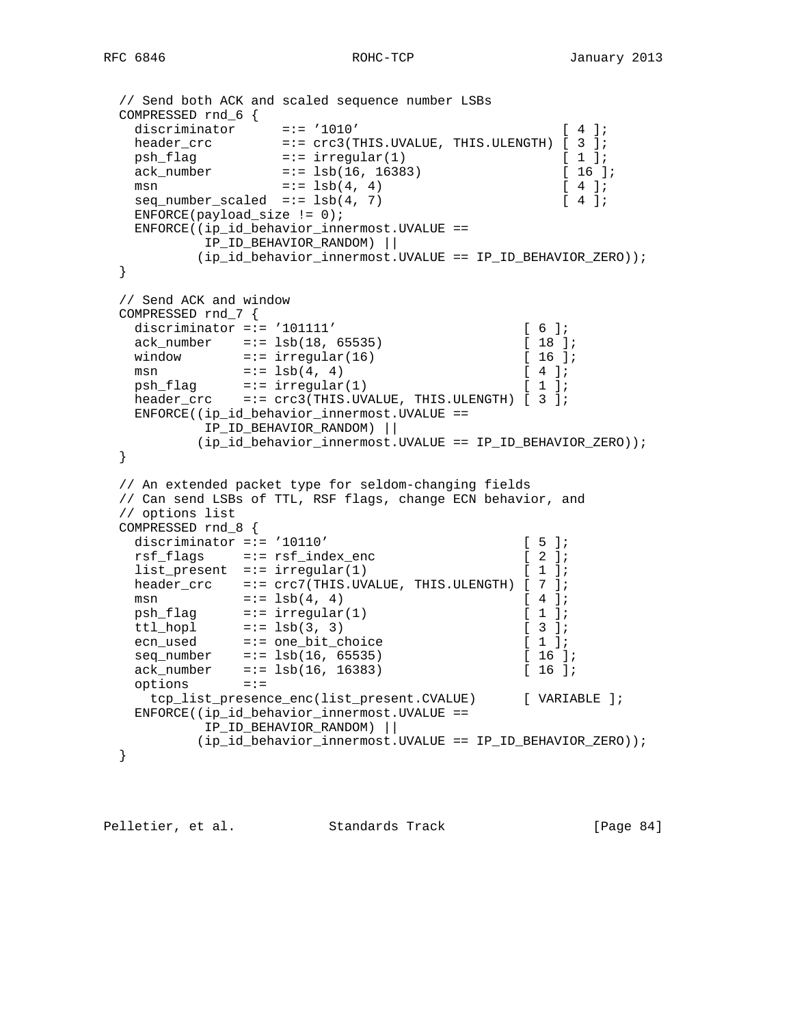```
 // Send both ACK and scaled sequence number LSBs
  COMPRESSED rnd_6 {
 discriminator =:= '1010' [ 4 ];
header_crc             =:= crc3(THIS.UVALUE, THIS.ULENGTH) [ 3 ];
psh_f1ag =:= irregular(1) [ 1 ];
 ack_number =:= lsb(16, 16383) [ 16 ];
msn =:- 1 \text{sb}(4, 4) [ 4 ];
  seq\_number\_scaled = := 1sb(4, 7) [ 4 ];
  ENFORCE(payload_size != 0); ENFORCE((ip_id_behavior_innermost.UVALUE ==
          IP_ID_BEHAVIOR_RANDOM) ||
          (ip_id_behavior_innermost.UVALUE == IP_ID_BEHAVIOR_ZERO));
  }
  // Send ACK and window
 COMPRESSED rnd_7 {<br>discriminator =:= '101111'
discriminator =:= '101111' [ 6 ];
 ack_number =:= lsb(18, 65535) [ 18 ];
window =:- \text{ irregular}(16) [ 16 ];
msn =:- 1sb(4, 4) [ 4 ];
 psh_flag =:= irregular(1) [ 1 ];
 header_crc =:= crc3(THIS.UVALUE, THIS.ULENGTH) [ 3 ];
   ENFORCE((ip_id_behavior_innermost.UVALUE ==
          IP_ID_BEHAVIOR_RANDOM) ||
          (ip_id_behavior_innermost.UVALUE == IP_ID_BEHAVIOR_ZERO));
  }
  // An extended packet type for seldom-changing fields
  // Can send LSBs of TTL, RSF flags, change ECN behavior, and
  // options list
  COMPRESSED rnd_8 {
  discriminator =:= '10110' [ 5 ];
  rsf_flags =:= rsf_index_enc [ 2 ];<br>list_present =:= irregular(1) [ 1 ];
list\_present =:= irregular(1) [ 1 ];
 header_crc =:= crc7(THIS.UVALUE, THIS.ULENGTH) [ 7 ];
msn =:= 1 \text{sb}(4, 4) [ 4 ];
psh_flag =:= irregular(1) [ 1 ];
ttl_hopl =:= 1sb(3, 3) [ 3 ];
 ecn_used =:= one_bit_choice [ 1 ];
 seq_number =:= lsb(16, 65535) [ 16 ];
ack_number =:= lsb(16, 16383) [ 16 ];
 options =:=
    tcp_list_presence_enc(list_present.CVALUE) [ VARIABLE ];
   ENFORCE((ip_id_behavior_innermost.UVALUE ==
          IP_ID_BEHAVIOR_RANDOM) ||
          (ip_id_behavior_innermost.UVALUE == IP_ID_BEHAVIOR_ZERO));
  }
```
Pelletier, et al. Standards Track [Page 84]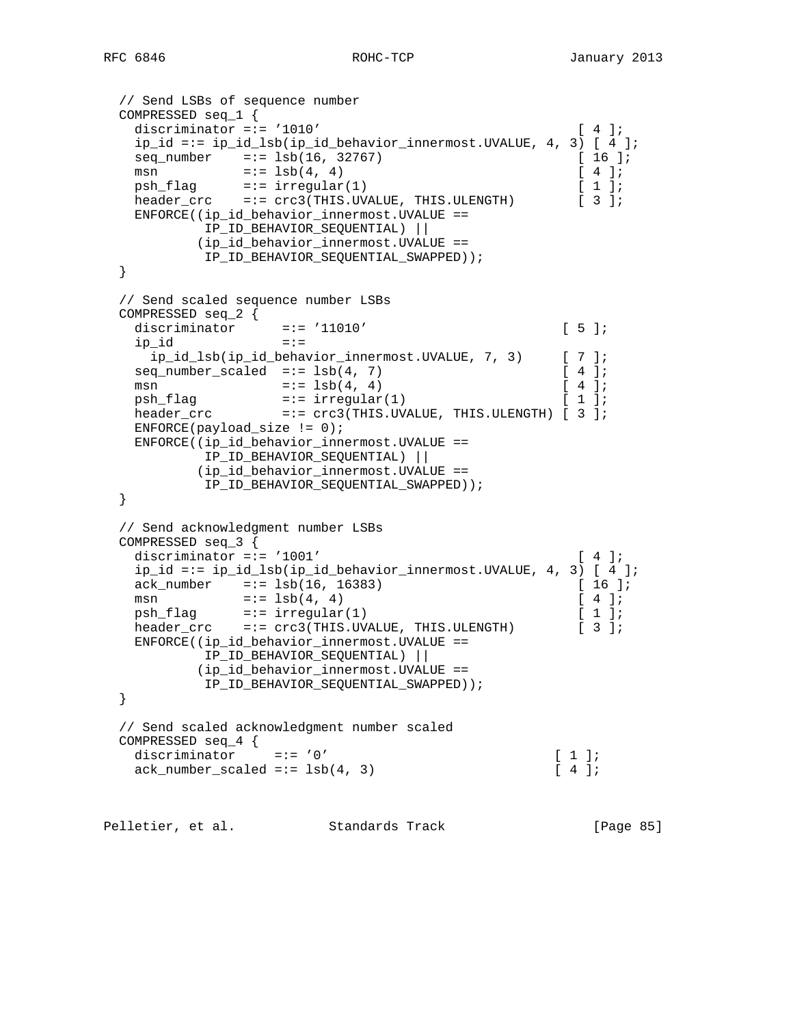```
 // Send LSBs of sequence number
  COMPRESSED seq_1 {
   discriminator =:= '1010' [ 4 ];
    ip_id =:= ip_id_lsb(ip_id_behavior_innermost.UVALUE, 4, 3) [ 4 ];
   seq_number =:= lsb(16, 32767) [ 16 ];
msn =:= 1 \text{sb}(4, 4) [ 4 ];
psh_f1ag =:= irregular(1) [ 1 ];
 header_crc =:= crc3(THIS.UVALUE, THIS.ULENGTH) [ 3 ];
    ENFORCE((ip_id_behavior_innermost.UVALUE ==
          IP_ID_BEHAVIOR_SEQUENTIAL) ||
          (ip_id_behavior_innermost.UVALUE ==
           IP_ID_BEHAVIOR_SEQUENTIAL_SWAPPED));
  }
  // Send scaled sequence number LSBs
  COMPRESSED seq_2 {
  discriminator =:= '11010' [ 5 ];
  ip_id =:=
     ip_id_lsb(ip_id_behavior_innermost.UVALUE, 7, 3) [ 7 ];
   seq\_number\_scaled = := 1sb(4, 7) [ 4 ];
   msn =:= lsb(4, 4) <br>psh_flag =:= irregular(1) [ 1 ];
psh_f1ag =:= irregular(1) [ 1 ];
header_crc             =:= crc3(THIS.UVALUE, THIS.ULENGTH) [ 3 ];
   ENFORCE(payload_size != 0);
   ENFORCE((ip_id_behavior_innermost.UVALUE ==
           IP_ID_BEHAVIOR_SEQUENTIAL) ||
          (ip_id_behavior_innermost.UVALUE ==
         IP_ID_BEHAVIOR_SEQUENTIAL_SWAPPED));
  }
  // Send acknowledgment number LSBs
  COMPRESSED seq_3 {
   discriminator =:= '1001' [ 4 ];
   ip_id =:= ip_id_lsb(ip_id_behavior_innermost.UVALUE, 4, 3) [ 4 ];
 ack_number =:= lsb(16, 16383) [ 16 ];
msn =:= 1 \text{sb}(4, 4) [ 4 ];
psh_f1ag =:= irregular(1) [ 1 ];
 header_crc =:= crc3(THIS.UVALUE, THIS.ULENGTH) [ 3 ];
    ENFORCE((ip_id_behavior_innermost.UVALUE ==
           IP_ID_BEHAVIOR_SEQUENTIAL) ||
          (ip_id_behavior_innermost.UVALUE ==
          IP_ID_BEHAVIOR_SEQUENTIAL_SWAPPED));
  }
  // Send scaled acknowledgment number scaled
  COMPRESSED seq_4 {
  discriminator =:= '0' [1];<br>ack_number_scaled =:= 1 \text{sb}(4, 3) [4];
  ack_number_scaled =:= lsb(4, 3)
```
Pelletier, et al. Standards Track [Page 85]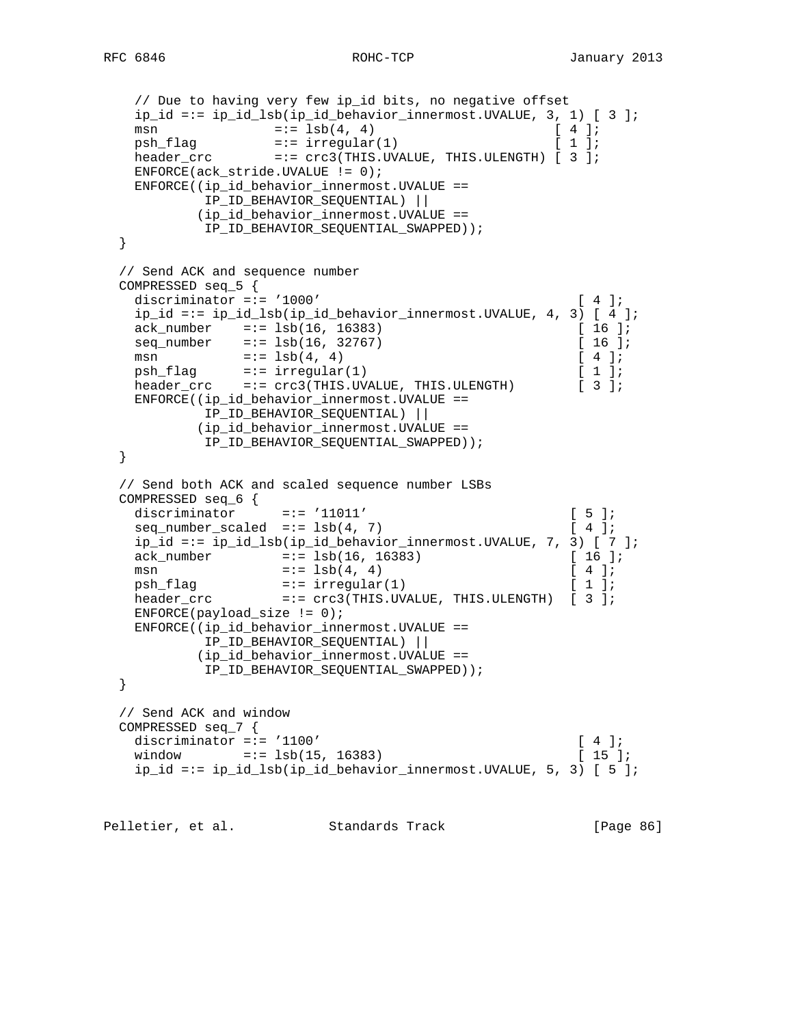```
 // Due to having very few ip_id bits, no negative offset
    ip_id =:= ip_id_lsb(ip_id_behavior_innermost.UVALUE, 3, 1) [ 3 ];
   msn =:- 1 \text{sb}(4, 4) [ 4 ];
   psh_flag =:- \text{ irregular}(1) [ 1 ];
   \frac{1}{10} header_crc =:= crc3(THIS.UVALUE, THIS.ULENGTH) [ 3 ];
    ENFORCE(ack_stride.UVALUE != 0);
    ENFORCE((ip_id_behavior_innermost.UVALUE ==
           IP_ID_BEHAVIOR_SEQUENTIAL) ||
           (ip_id_behavior_innermost.UVALUE ==
            IP_ID_BEHAVIOR_SEQUENTIAL_SWAPPED));
  }
  // Send ACK and sequence number
  COMPRESSED seq_5 {
   discriminator =:= '1000' [ 4 ];
    ip_id =:= ip_id_lsb(ip_id_behavior_innermost.UVALUE, 4, 3) [ 4 ];
   ack_number =:= lsb(16, 16383) [ 16 ];
   seq\_number =:= lsb(16, 32767) [ 16 ];<br>
msn =:= lsb(4, 4) [ 4 ];
   msn =:- 1sb(4, 4)psh_f1ag =:= irregular(1) [ 1 ];
 header_crc =:= crc3(THIS.UVALUE, THIS.ULENGTH) [ 3 ];
    ENFORCE((ip_id_behavior_innermost.UVALUE ==
           IP_ID_BEHAVIOR_SEQUENTIAL) ||
           (ip_id_behavior_innermost.UVALUE ==
           IP_ID_BEHAVIOR_SEQUENTIAL_SWAPPED));
  }
  // Send both ACK and scaled sequence number LSBs
 COMPRESSED seq_6 \{ =:= '11011'<br>discriminator =:= '11011'
 discriminator =:= '11011' [ 5 ];
\texttt{seq\_number\_scaled} \quad \texttt{==} \; \texttt{lsb(4, 7)} \qquad \qquad \texttt{[ 4 ]}; ip_id =:= ip_id_lsb(ip_id_behavior_innermost.UVALUE, 7, 3) [ 7 ];
   ack_number =:= lsb(16, 16383) [ 16 ];
msn =:-1 \text{sb}(4, 4) [ 4 ];
 psh_flag =:= irregular(1) [ 1 ];
   header_crc =:= crc3(THIS.UVALUE, THIS.ULENGTH) [ 3 ];
    ENFORCE(payload_size != 0);
    ENFORCE((ip_id_behavior_innermost.UVALUE ==
           IP_ID_BEHAVIOR_SEQUENTIAL) ||
           (ip_id_behavior_innermost.UVALUE ==
            IP_ID_BEHAVIOR_SEQUENTIAL_SWAPPED));
  }
  // Send ACK and window
  COMPRESSED seq_7 {
   discriminator =:= '1100' [ 4 ];
   window =:= lsb(15, 16383) [ 15 ];
    ip_id =:= ip_id_lsb(ip_id_behavior_innermost.UVALUE, 5, 3) [ 5 ];
Pelletier, et al. Standards Track [Page 86]
```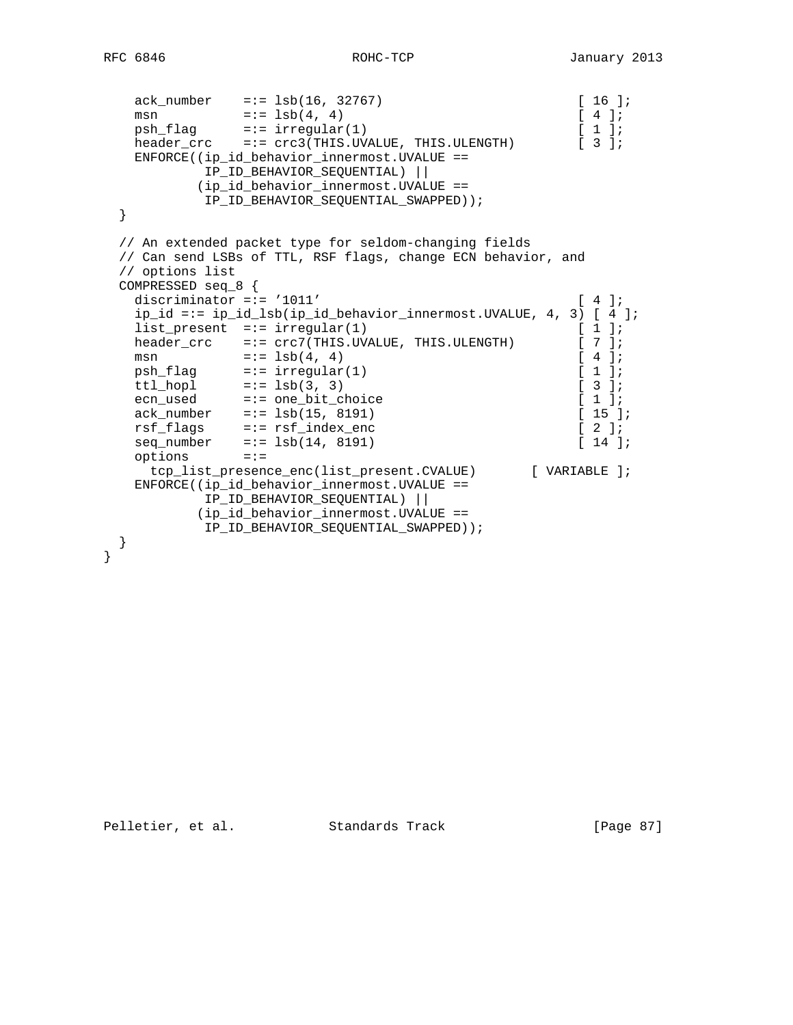```
 ack_number =:= lsb(16, 32767) [ 16 ];
msn =:= 1 \text{sb}(4, 4) [ 4 ];
psh_f1ag =:= irregular(1) [ 1 ];
 header_crc =:= crc3(THIS.UVALUE, THIS.ULENGTH) [ 3 ];
   ENFORCE((ip_id_behavior_innermost.UVALUE ==
          IP_ID_BEHAVIOR_SEQUENTIAL) ||
         (ip_id_behavior_innermost.UVALUE ==
          IP_ID_BEHAVIOR_SEQUENTIAL_SWAPPED));
  }
  // An extended packet type for seldom-changing fields
  // Can send LSBs of TTL, RSF flags, change ECN behavior, and
  // options list
  COMPRESSED seq_8 {
  discriminator =:= '1011' [ 4 ];
   ip_id =:= ip_id_lsb(ip_id_behavior_innermost.UVALUE, 4, 3) [ 4 ];
   list_present =:= irregular(1) [ 1 ];
  header_crc =:= \text{crc7(THIS.UVALUE, THIS.ULENGTH)} [ 7 ];<br>msn =:= \text{lsb}(4, 4) [ 4 ];
msn =:= 1 \text{sb}(4, 4) [ 4 ];
psh_f1ag =:= irregular(1) [ 1 ];
ttl_hopl =:= 1 \text{sb}(3, 3) [ 3 ];
 ecn_used =:= one_bit_choice [ 1 ];
ack_number =:= lsb(15, 8191) [ 15 ];
 rsf_flags =:= rsf_index_enc [ 2 ];
 seq_number =:= lsb(14, 8191) [ 14 ];
 options =:=
   tcp_list_presence_enc(list_present.CVALUE) [ VARIABLE ];
   ENFORCE((ip_id_behavior_innermost.UVALUE ==
          IP_ID_BEHAVIOR_SEQUENTIAL) ||
         (ip_id_behavior_innermost.UVALUE ==
          IP_ID_BEHAVIOR_SEQUENTIAL_SWAPPED));
  }
```
}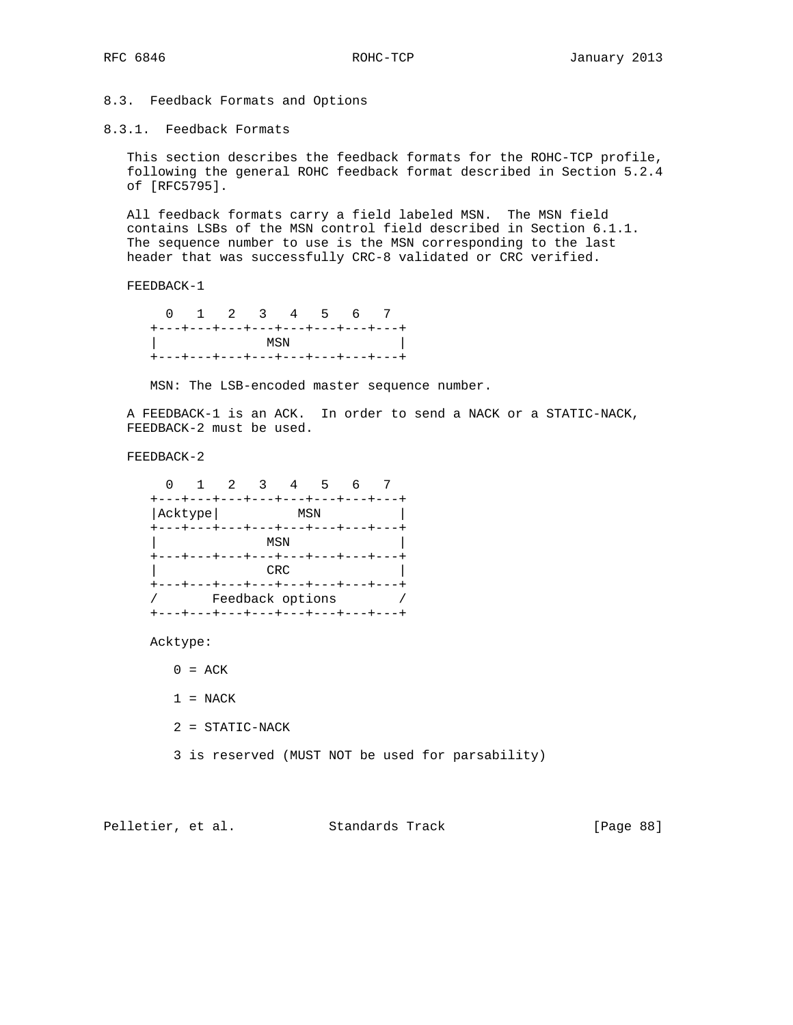8.3. Feedback Formats and Options

8.3.1. Feedback Formats

 This section describes the feedback formats for the ROHC-TCP profile, following the general ROHC feedback format described in Section 5.2.4 of [RFC5795].

 All feedback formats carry a field labeled MSN. The MSN field contains LSBs of the MSN control field described in Section 6.1.1. The sequence number to use is the MSN corresponding to the last header that was successfully CRC-8 validated or CRC verified.

FEEDBACK-1

 0 1 2 3 4 5 6 7 +---+---+---+---+---+---+---+---+ | MSN | +---+---+---+---+---+---+---+---+

MSN: The LSB-encoded master sequence number.

 A FEEDBACK-1 is an ACK. In order to send a NACK or a STATIC-NACK, FEEDBACK-2 must be used.

FEEDBACK-2

|                                  |  | $2^{\circ}$      |     |  |                                 |
|----------------------------------|--|------------------|-----|--|---------------------------------|
| +---+---+---+---+---+---+---+--- |  |                  |     |  |                                 |
| Acktype                          |  |                  | MSN |  |                                 |
| +---+---+---+---+---+---+---+--- |  |                  |     |  |                                 |
|                                  |  | MSN              |     |  |                                 |
| +---+---+---+---+---+---+---+--- |  |                  |     |  |                                 |
|                                  |  | CRC              |     |  |                                 |
| +---+---+---+---+---+---+---+--- |  |                  |     |  |                                 |
|                                  |  | Feedback options |     |  |                                 |
|                                  |  |                  |     |  | ---+---+---+---+---+---+---+--- |

Acktype:

 $0 = ACK$ 

 $1 = NACK$ 

2 = STATIC-NACK

3 is reserved (MUST NOT be used for parsability)

Pelletier, et al. Standards Track [Page 88]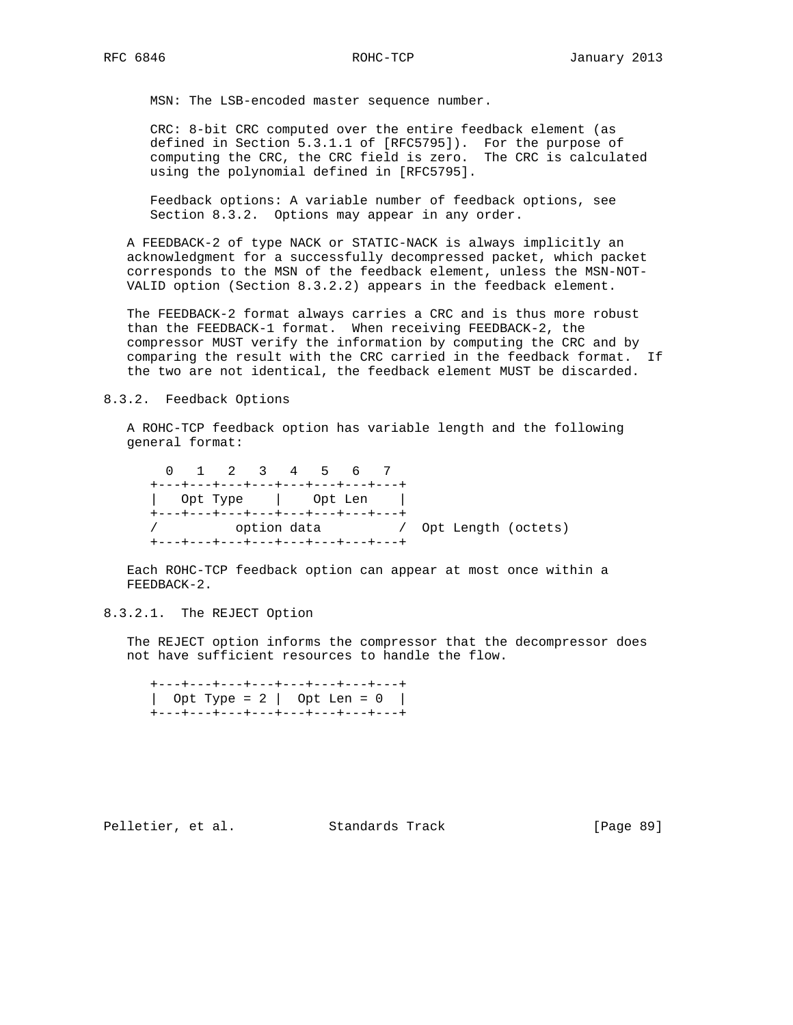MSN: The LSB-encoded master sequence number.

 CRC: 8-bit CRC computed over the entire feedback element (as defined in Section 5.3.1.1 of [RFC5795]). For the purpose of computing the CRC, the CRC field is zero. The CRC is calculated using the polynomial defined in [RFC5795].

 Feedback options: A variable number of feedback options, see Section 8.3.2. Options may appear in any order.

 A FEEDBACK-2 of type NACK or STATIC-NACK is always implicitly an acknowledgment for a successfully decompressed packet, which packet corresponds to the MSN of the feedback element, unless the MSN-NOT- VALID option (Section 8.3.2.2) appears in the feedback element.

 The FEEDBACK-2 format always carries a CRC and is thus more robust than the FEEDBACK-1 format. When receiving FEEDBACK-2, the compressor MUST verify the information by computing the CRC and by comparing the result with the CRC carried in the feedback format. If the two are not identical, the feedback element MUST be discarded.

8.3.2. Feedback Options

 A ROHC-TCP feedback option has variable length and the following general format:

 0 1 2 3 4 5 6 7 +---+---+---+---+---+---+---+---+ | Opt Type | Opt Len | +---+---+---+---+---+---+---+---+ / option data / Opt Length (octets) +---+---+---+---+---+---+---+---+

 Each ROHC-TCP feedback option can appear at most once within a FEEDBACK-2.

8.3.2.1. The REJECT Option

 The REJECT option informs the compressor that the decompressor does not have sufficient resources to handle the flow.

 +---+---+---+---+---+---+---+---+ | Opt Type = 2 | Opt Len = 0 | +---+---+---+---+---+---+---+---+

Pelletier, et al. Standards Track [Page 89]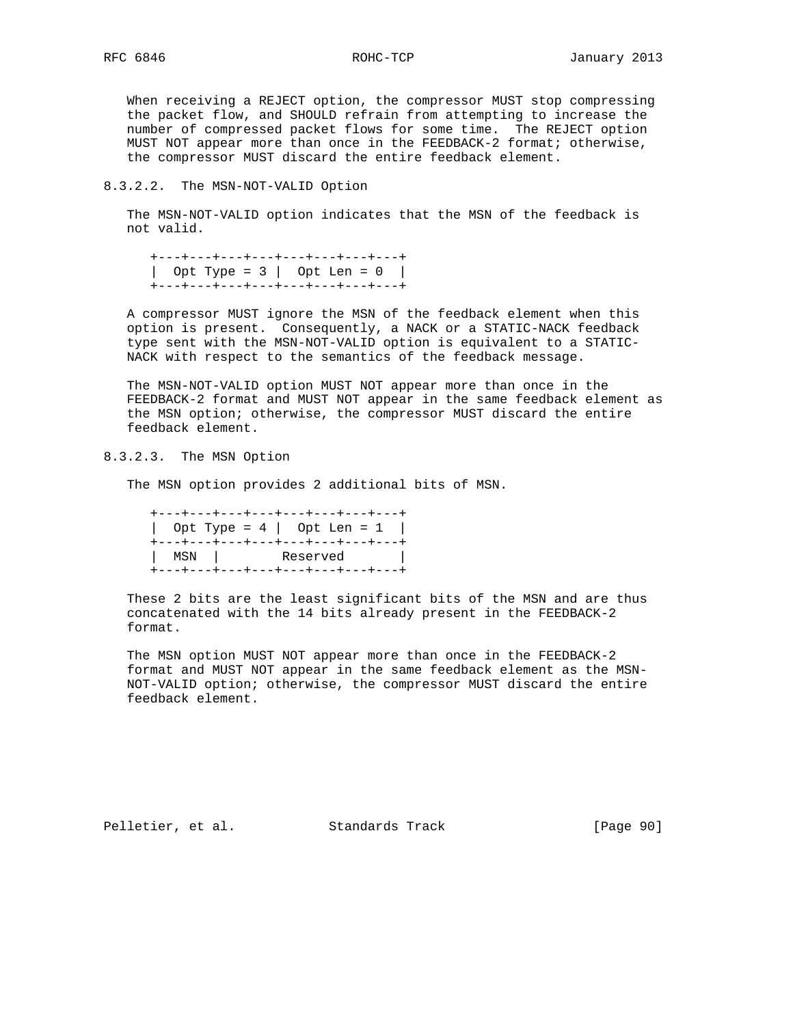When receiving a REJECT option, the compressor MUST stop compressing the packet flow, and SHOULD refrain from attempting to increase the number of compressed packet flows for some time. The REJECT option MUST NOT appear more than once in the FEEDBACK-2 format; otherwise, the compressor MUST discard the entire feedback element.

## 8.3.2.2. The MSN-NOT-VALID Option

 The MSN-NOT-VALID option indicates that the MSN of the feedback is not valid.

 +---+---+---+---+---+---+---+---+ | Opt Type = 3 | Opt Len = 0 | +---+---+---+---+---+---+---+---+

 A compressor MUST ignore the MSN of the feedback element when this option is present. Consequently, a NACK or a STATIC-NACK feedback type sent with the MSN-NOT-VALID option is equivalent to a STATIC- NACK with respect to the semantics of the feedback message.

 The MSN-NOT-VALID option MUST NOT appear more than once in the FEEDBACK-2 format and MUST NOT appear in the same feedback element as the MSN option; otherwise, the compressor MUST discard the entire feedback element.

8.3.2.3. The MSN Option

The MSN option provides 2 additional bits of MSN.

 +---+---+---+---+---+---+---+---+ | Opt Type = 4 | Opt Len = 1 | +---+---+---+---+---+---+---+---+ | MSN | Reserved | +---+---+---+---+---+---+---+---+

 These 2 bits are the least significant bits of the MSN and are thus concatenated with the 14 bits already present in the FEEDBACK-2 format.

 The MSN option MUST NOT appear more than once in the FEEDBACK-2 format and MUST NOT appear in the same feedback element as the MSN- NOT-VALID option; otherwise, the compressor MUST discard the entire feedback element.

Pelletier, et al. Standards Track [Page 90]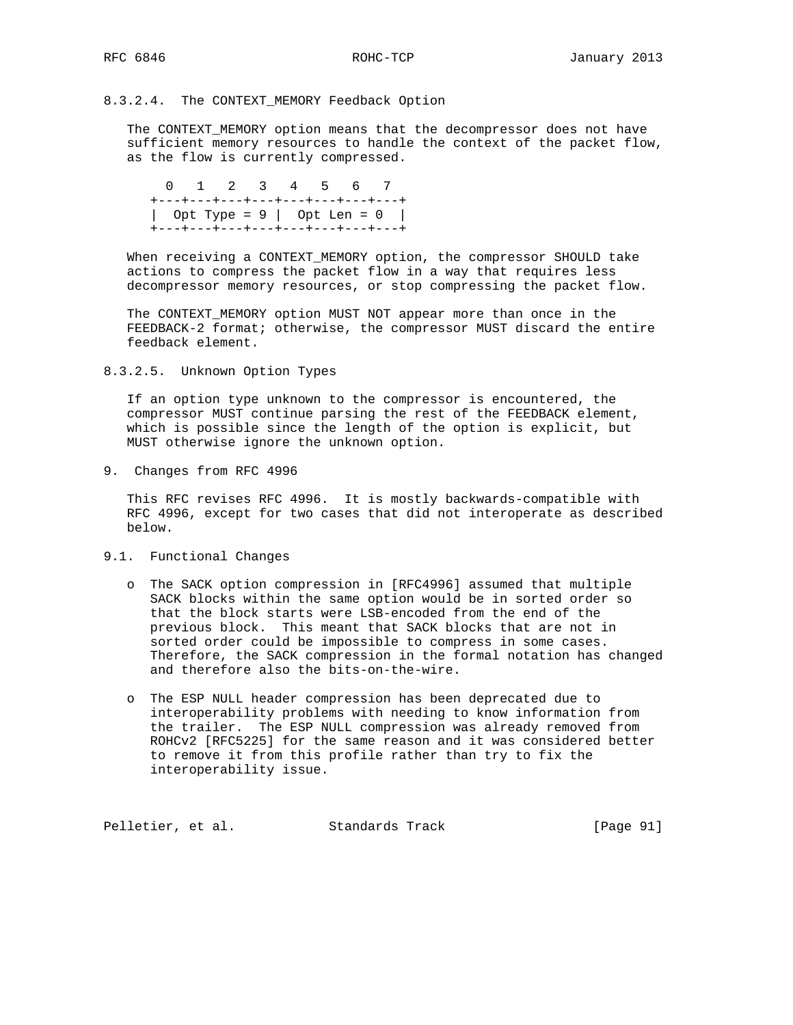# 8.3.2.4. The CONTEXT\_MEMORY Feedback Option

 The CONTEXT\_MEMORY option means that the decompressor does not have sufficient memory resources to handle the context of the packet flow, as the flow is currently compressed.

 0 1 2 3 4 5 6 7 +---+---+---+---+---+---+---+---+ | Opt Type =  $9$  | Opt Len =  $0$  | +---+---+---+---+---+---+---+---+

 When receiving a CONTEXT\_MEMORY option, the compressor SHOULD take actions to compress the packet flow in a way that requires less decompressor memory resources, or stop compressing the packet flow.

 The CONTEXT\_MEMORY option MUST NOT appear more than once in the FEEDBACK-2 format; otherwise, the compressor MUST discard the entire feedback element.

8.3.2.5. Unknown Option Types

 If an option type unknown to the compressor is encountered, the compressor MUST continue parsing the rest of the FEEDBACK element, which is possible since the length of the option is explicit, but MUST otherwise ignore the unknown option.

9. Changes from RFC 4996

 This RFC revises RFC 4996. It is mostly backwards-compatible with RFC 4996, except for two cases that did not interoperate as described below.

- 9.1. Functional Changes
	- o The SACK option compression in [RFC4996] assumed that multiple SACK blocks within the same option would be in sorted order so that the block starts were LSB-encoded from the end of the previous block. This meant that SACK blocks that are not in sorted order could be impossible to compress in some cases. Therefore, the SACK compression in the formal notation has changed and therefore also the bits-on-the-wire.
	- o The ESP NULL header compression has been deprecated due to interoperability problems with needing to know information from the trailer. The ESP NULL compression was already removed from ROHCv2 [RFC5225] for the same reason and it was considered better to remove it from this profile rather than try to fix the interoperability issue.

Pelletier, et al. Standards Track [Page 91]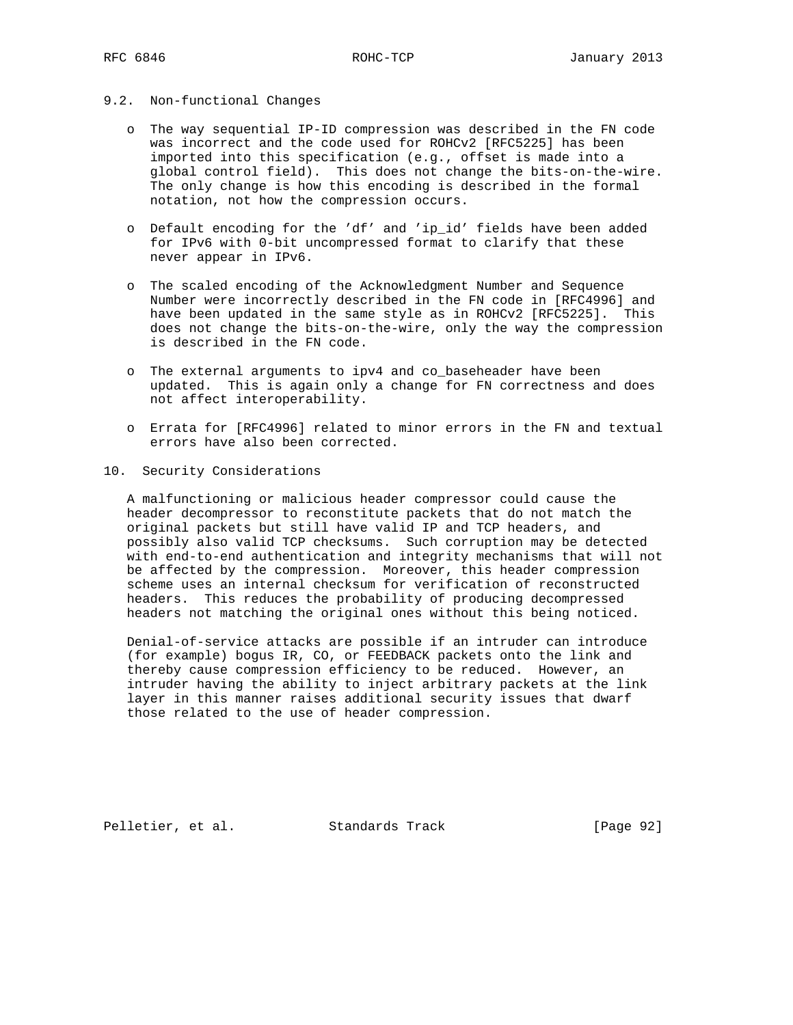## 9.2. Non-functional Changes

- o The way sequential IP-ID compression was described in the FN code was incorrect and the code used for ROHCv2 [RFC5225] has been imported into this specification (e.g., offset is made into a global control field). This does not change the bits-on-the-wire. The only change is how this encoding is described in the formal notation, not how the compression occurs.
- o Default encoding for the 'df' and 'ip\_id' fields have been added for IPv6 with 0-bit uncompressed format to clarify that these never appear in IPv6.
- o The scaled encoding of the Acknowledgment Number and Sequence Number were incorrectly described in the FN code in [RFC4996] and have been updated in the same style as in ROHCv2 [RFC5225]. This does not change the bits-on-the-wire, only the way the compression is described in the FN code.
- o The external arguments to ipv4 and co\_baseheader have been updated. This is again only a change for FN correctness and does not affect interoperability.
- o Errata for [RFC4996] related to minor errors in the FN and textual errors have also been corrected.

#### 10. Security Considerations

 A malfunctioning or malicious header compressor could cause the header decompressor to reconstitute packets that do not match the original packets but still have valid IP and TCP headers, and possibly also valid TCP checksums. Such corruption may be detected with end-to-end authentication and integrity mechanisms that will not be affected by the compression. Moreover, this header compression scheme uses an internal checksum for verification of reconstructed headers. This reduces the probability of producing decompressed headers not matching the original ones without this being noticed.

 Denial-of-service attacks are possible if an intruder can introduce (for example) bogus IR, CO, or FEEDBACK packets onto the link and thereby cause compression efficiency to be reduced. However, an intruder having the ability to inject arbitrary packets at the link layer in this manner raises additional security issues that dwarf those related to the use of header compression.

Pelletier, et al. Standards Track [Page 92]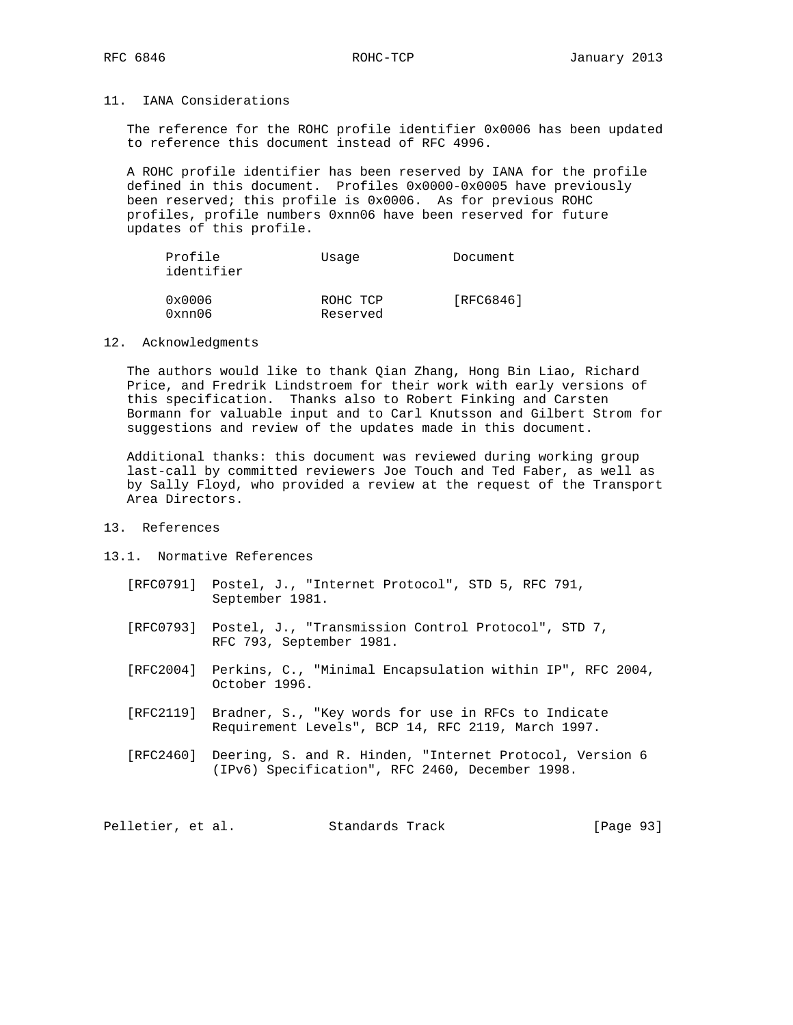# 11. IANA Considerations

 The reference for the ROHC profile identifier 0x0006 has been updated to reference this document instead of RFC 4996.

 A ROHC profile identifier has been reserved by IANA for the profile defined in this document. Profiles 0x0000-0x0005 have previously been reserved; this profile is 0x0006. As for previous ROHC profiles, profile numbers 0xnn06 have been reserved for future updates of this profile.

| Profile<br>identifier | Usage                | Document  |  |  |
|-----------------------|----------------------|-----------|--|--|
| 0x0006<br>0xnn06      | ROHC TCP<br>Reserved | [RFC6846] |  |  |

### 12. Acknowledgments

 The authors would like to thank Qian Zhang, Hong Bin Liao, Richard Price, and Fredrik Lindstroem for their work with early versions of this specification. Thanks also to Robert Finking and Carsten Bormann for valuable input and to Carl Knutsson and Gilbert Strom for suggestions and review of the updates made in this document.

 Additional thanks: this document was reviewed during working group last-call by committed reviewers Joe Touch and Ted Faber, as well as by Sally Floyd, who provided a review at the request of the Transport Area Directors.

# 13. References

#### 13.1. Normative References

- [RFC0791] Postel, J., "Internet Protocol", STD 5, RFC 791, September 1981.
- [RFC0793] Postel, J., "Transmission Control Protocol", STD 7, RFC 793, September 1981.
- [RFC2004] Perkins, C., "Minimal Encapsulation within IP", RFC 2004, October 1996.
- [RFC2119] Bradner, S., "Key words for use in RFCs to Indicate Requirement Levels", BCP 14, RFC 2119, March 1997.
- [RFC2460] Deering, S. and R. Hinden, "Internet Protocol, Version 6 (IPv6) Specification", RFC 2460, December 1998.

Pelletier, et al. Standards Track [Page 93]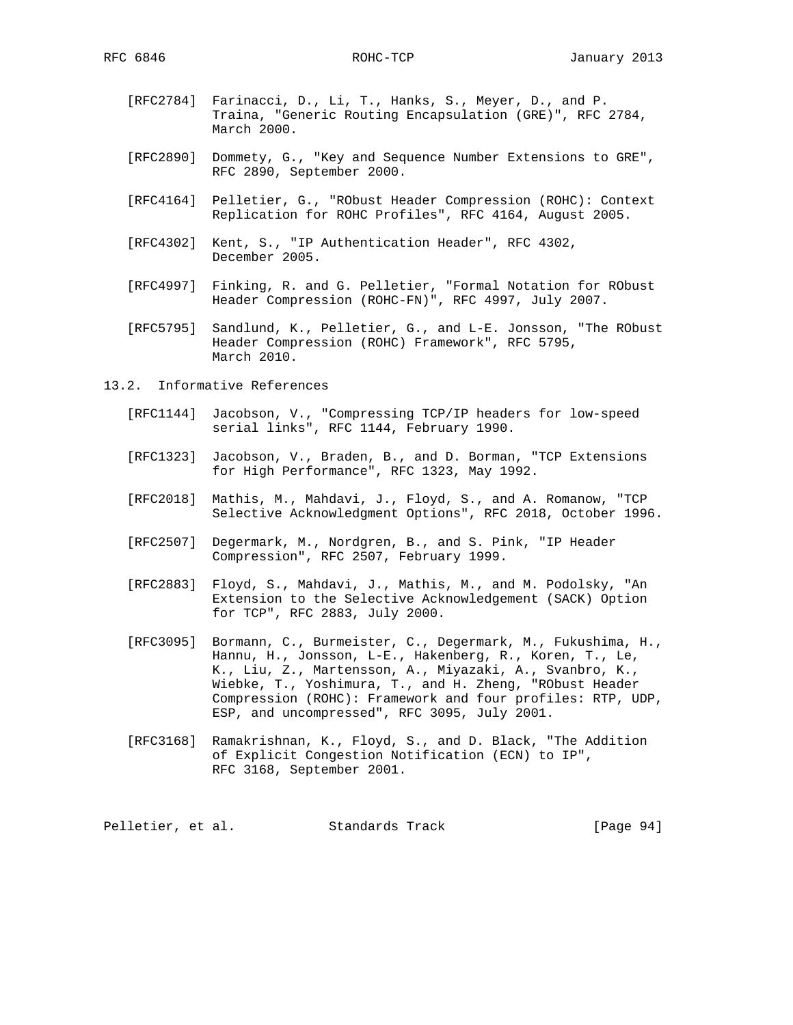- [RFC2784] Farinacci, D., Li, T., Hanks, S., Meyer, D., and P. Traina, "Generic Routing Encapsulation (GRE)", RFC 2784, March 2000.
- [RFC2890] Dommety, G., "Key and Sequence Number Extensions to GRE", RFC 2890, September 2000.
- [RFC4164] Pelletier, G., "RObust Header Compression (ROHC): Context Replication for ROHC Profiles", RFC 4164, August 2005.
- [RFC4302] Kent, S., "IP Authentication Header", RFC 4302, December 2005.
- [RFC4997] Finking, R. and G. Pelletier, "Formal Notation for RObust Header Compression (ROHC-FN)", RFC 4997, July 2007.
	- [RFC5795] Sandlund, K., Pelletier, G., and L-E. Jonsson, "The RObust Header Compression (ROHC) Framework", RFC 5795, March 2010.
- 13.2. Informative References
- [RFC1144] Jacobson, V., "Compressing TCP/IP headers for low-speed serial links", RFC 1144, February 1990.
	- [RFC1323] Jacobson, V., Braden, B., and D. Borman, "TCP Extensions for High Performance", RFC 1323, May 1992.
	- [RFC2018] Mathis, M., Mahdavi, J., Floyd, S., and A. Romanow, "TCP Selective Acknowledgment Options", RFC 2018, October 1996.
	- [RFC2507] Degermark, M., Nordgren, B., and S. Pink, "IP Header Compression", RFC 2507, February 1999.
	- [RFC2883] Floyd, S., Mahdavi, J., Mathis, M., and M. Podolsky, "An Extension to the Selective Acknowledgement (SACK) Option for TCP", RFC 2883, July 2000.
	- [RFC3095] Bormann, C., Burmeister, C., Degermark, M., Fukushima, H., Hannu, H., Jonsson, L-E., Hakenberg, R., Koren, T., Le, K., Liu, Z., Martensson, A., Miyazaki, A., Svanbro, K., Wiebke, T., Yoshimura, T., and H. Zheng, "RObust Header Compression (ROHC): Framework and four profiles: RTP, UDP, ESP, and uncompressed", RFC 3095, July 2001.
	- [RFC3168] Ramakrishnan, K., Floyd, S., and D. Black, "The Addition of Explicit Congestion Notification (ECN) to IP", RFC 3168, September 2001.

Pelletier, et al. Standards Track [Page 94]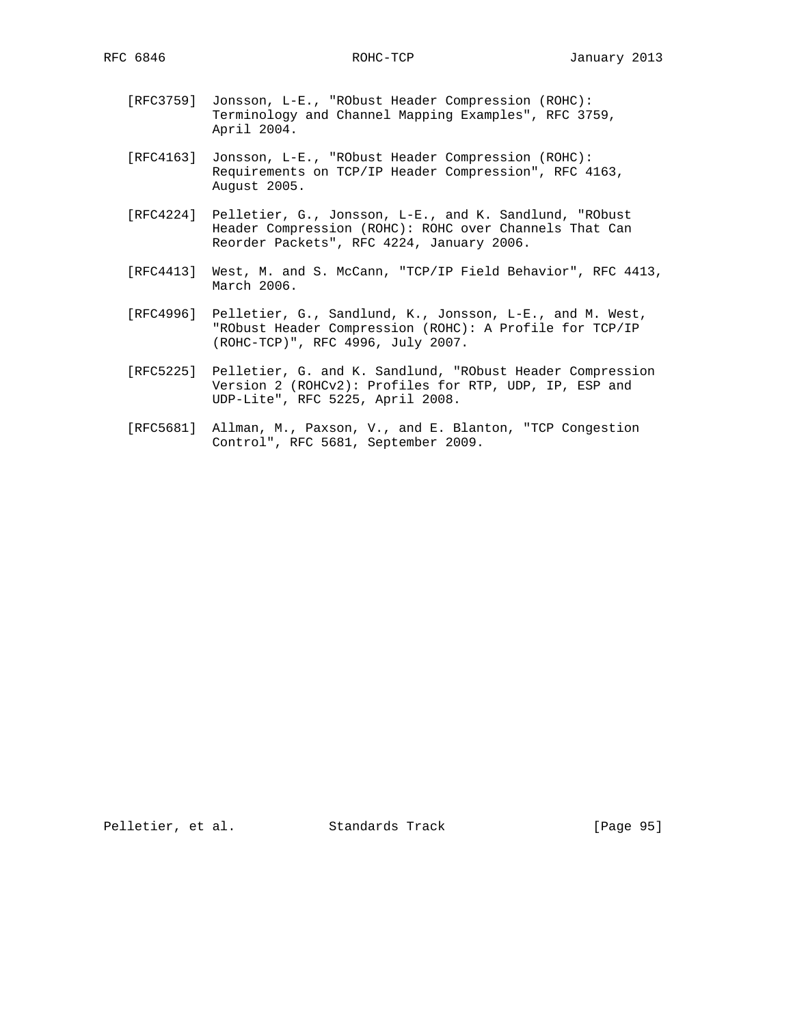- [RFC3759] Jonsson, L-E., "RObust Header Compression (ROHC): Terminology and Channel Mapping Examples", RFC 3759, April 2004.
- [RFC4163] Jonsson, L-E., "RObust Header Compression (ROHC): Requirements on TCP/IP Header Compression", RFC 4163, August 2005.
- [RFC4224] Pelletier, G., Jonsson, L-E., and K. Sandlund, "RObust Header Compression (ROHC): ROHC over Channels That Can Reorder Packets", RFC 4224, January 2006.
- [RFC4413] West, M. and S. McCann, "TCP/IP Field Behavior", RFC 4413, March 2006.
- [RFC4996] Pelletier, G., Sandlund, K., Jonsson, L-E., and M. West, "RObust Header Compression (ROHC): A Profile for TCP/IP (ROHC-TCP)", RFC 4996, July 2007.
- [RFC5225] Pelletier, G. and K. Sandlund, "RObust Header Compression Version 2 (ROHCv2): Profiles for RTP, UDP, IP, ESP and UDP-Lite", RFC 5225, April 2008.
- [RFC5681] Allman, M., Paxson, V., and E. Blanton, "TCP Congestion Control", RFC 5681, September 2009.

Pelletier, et al. Standards Track [Page 95]